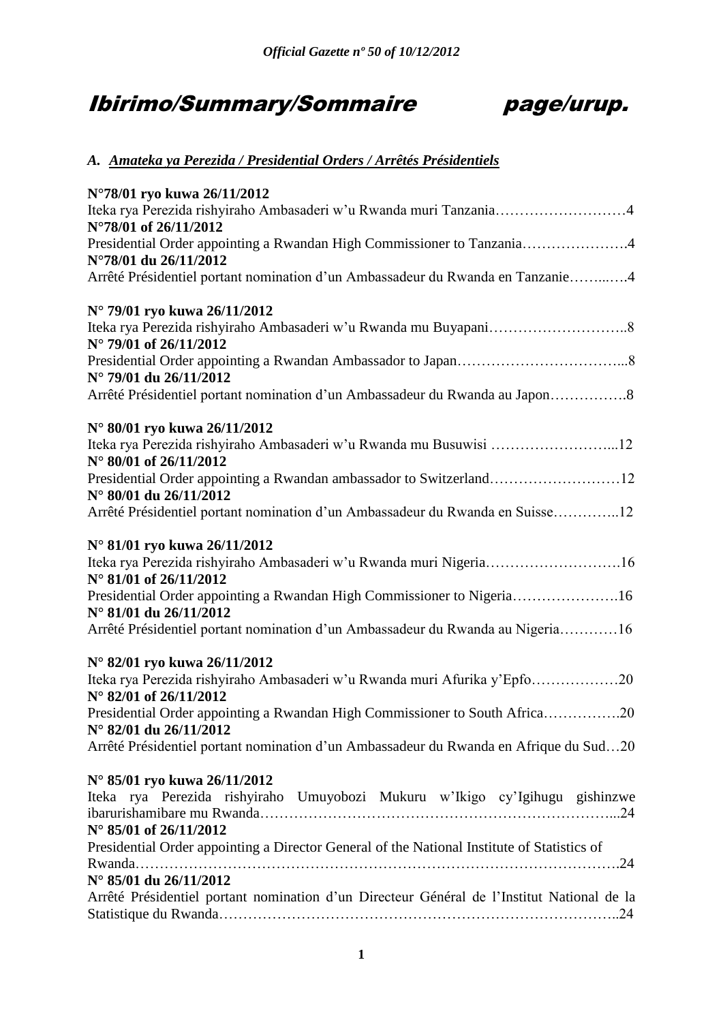# Ibirimo/Summary/Sommaire page/urup.



## *A. Amateka ya Perezida / Presidential Orders / Arrêtés Présidentiels*

| N°78/01 ryo kuwa 26/11/2012                                                                                                  |
|------------------------------------------------------------------------------------------------------------------------------|
| Iteka rya Perezida rishyiraho Ambasaderi w'u Rwanda muri Tanzania4<br>N°78/01 of 26/11/2012                                  |
| Presidential Order appointing a Rwandan High Commissioner to Tanzania4<br>N°78/01 du 26/11/2012                              |
| Arrêté Présidentiel portant nomination d'un Ambassadeur du Rwanda en Tanzanie4                                               |
| N° 79/01 ryo kuwa 26/11/2012                                                                                                 |
| N° 79/01 of 26/11/2012                                                                                                       |
| N° 79/01 du 26/11/2012                                                                                                       |
| Arrêté Présidentiel portant nomination d'un Ambassadeur du Rwanda au Japon8                                                  |
| N° 80/01 ryo kuwa 26/11/2012                                                                                                 |
| Iteka rya Perezida rishyiraho Ambasaderi w'u Rwanda mu Busuwisi 12<br>N° 80/01 of 26/11/2012                                 |
| Presidential Order appointing a Rwandan ambassador to Switzerland12<br>N° 80/01 du 26/11/2012                                |
| Arrêté Présidentiel portant nomination d'un Ambassadeur du Rwanda en Suisse12                                                |
| N° 81/01 ryo kuwa 26/11/2012<br>Iteka rya Perezida rishyiraho Ambasaderi w'u Rwanda muri Nigeria16<br>N° 81/01 of 26/11/2012 |
| Presidential Order appointing a Rwandan High Commissioner to Nigeria16<br>N° 81/01 du 26/11/2012                             |
| Arrêté Présidentiel portant nomination d'un Ambassadeur du Rwanda au Nigeria16                                               |
| N° 82/01 ryo kuwa 26/11/2012                                                                                                 |
| Iteka rya Perezida rishyiraho Ambasaderi w'u Rwanda muri Afurika y'Epfo20<br>N° 82/01 of 26/11/2012                          |
| Presidential Order appointing a Rwandan High Commissioner to South Africa20                                                  |
| N° 82/01 du 26/11/2012<br>Arrêté Présidentiel portant nomination d'un Ambassadeur du Rwanda en Afrique du Sud20              |
| N° 85/01 ryo kuwa 26/11/2012                                                                                                 |
| Iteka rya Perezida rishyiraho Umuyobozi Mukuru w'Ikigo cy'Igihugu gishinzwe<br>N° 85/01 of 26/11/2012                        |
| Presidential Order appointing a Director General of the National Institute of Statistics of<br>N° 85/01 du 26/11/2012        |
| Arrêté Présidentiel portant nomination d'un Directeur Général de l'Institut National de la                                   |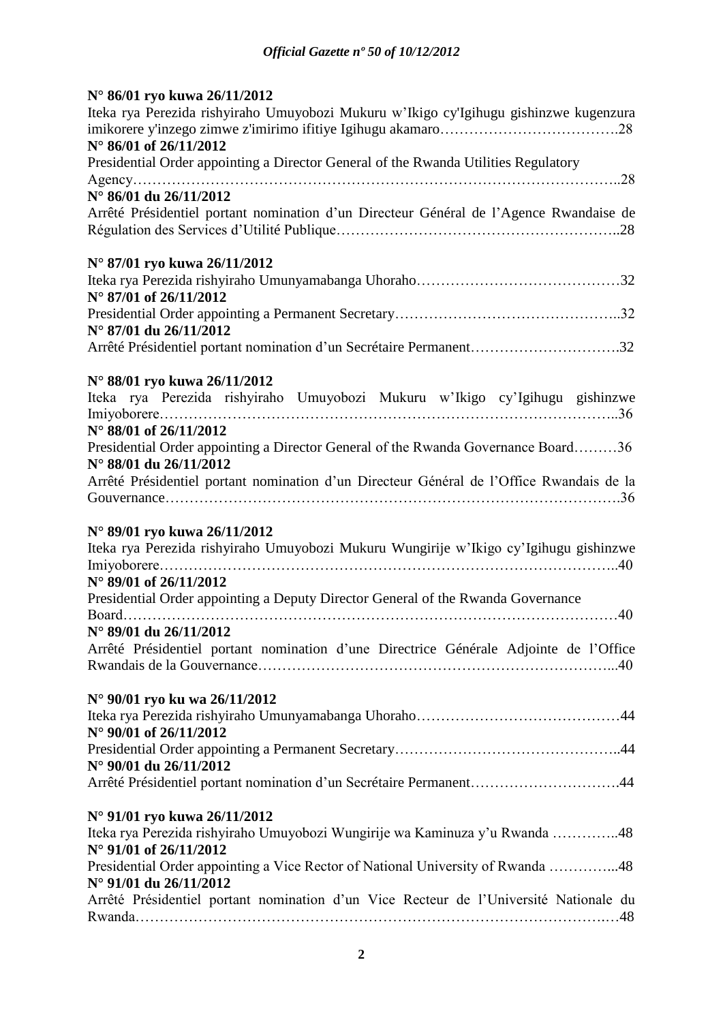## **N° 86/01 ryo kuwa 26/11/2012**

| Iteka rya Perezida rishyiraho Umuyobozi Mukuru w'Ikigo cy'Igihugu gishinzwe kugenzura<br>N° 86/01 of 26/11/2012                                                                                                                     |
|-------------------------------------------------------------------------------------------------------------------------------------------------------------------------------------------------------------------------------------|
| Presidential Order appointing a Director General of the Rwanda Utilities Regulatory                                                                                                                                                 |
|                                                                                                                                                                                                                                     |
| N° 86/01 du 26/11/2012                                                                                                                                                                                                              |
| Arrêté Présidentiel portant nomination d'un Directeur Général de l'Agence Rwandaise de                                                                                                                                              |
| N° 87/01 ryo kuwa 26/11/2012                                                                                                                                                                                                        |
|                                                                                                                                                                                                                                     |
| N° 87/01 of 26/11/2012                                                                                                                                                                                                              |
| N° 87/01 du 26/11/2012                                                                                                                                                                                                              |
| Arrêté Présidentiel portant nomination d'un Secrétaire Permanent32                                                                                                                                                                  |
| N° 88/01 ryo kuwa 26/11/2012                                                                                                                                                                                                        |
| Iteka rya Perezida rishyiraho Umuyobozi Mukuru w'Ikigo cy'Igihugu gishinzwe                                                                                                                                                         |
| N° 88/01 of 26/11/2012                                                                                                                                                                                                              |
| Presidential Order appointing a Director General of the Rwanda Governance Board36<br>N° 88/01 du 26/11/2012                                                                                                                         |
| Arrêté Présidentiel portant nomination d'un Directeur Général de l'Office Rwandais de la                                                                                                                                            |
|                                                                                                                                                                                                                                     |
| N° 89/01 ryo kuwa 26/11/2012<br>Iteka rya Perezida rishyiraho Umuyobozi Mukuru Wungirije w'Ikigo cy'Igihugu gishinzwe<br>N° 89/01 of 26/11/2012<br>Presidential Order appointing a Deputy Director General of the Rwanda Governance |
| Board                                                                                                                                                                                                                               |
| N° 89/01 du 26/11/2012                                                                                                                                                                                                              |
| Arrêté Présidentiel portant nomination d'une Directrice Générale Adjointe de l'Office                                                                                                                                               |
| N° 90/01 ryo ku wa 26/11/2012                                                                                                                                                                                                       |
|                                                                                                                                                                                                                                     |
| N° 90/01 of 26/11/2012                                                                                                                                                                                                              |
|                                                                                                                                                                                                                                     |
| N° 90/01 du 26/11/2012                                                                                                                                                                                                              |
| Arrêté Présidentiel portant nomination d'un Secrétaire Permanent44                                                                                                                                                                  |
| N° 91/01 ryo kuwa 26/11/2012                                                                                                                                                                                                        |
| Iteka rya Perezida rishyiraho Umuyobozi Wungirije wa Kaminuza y'u Rwanda 48<br>N° 91/01 of 26/11/2012                                                                                                                               |
| Presidential Order appointing a Vice Rector of National University of Rwanda 48                                                                                                                                                     |
| N° 91/01 du 26/11/2012                                                                                                                                                                                                              |
| Arrêté Présidentiel portant nomination d'un Vice Recteur de l'Université Nationale du                                                                                                                                               |
|                                                                                                                                                                                                                                     |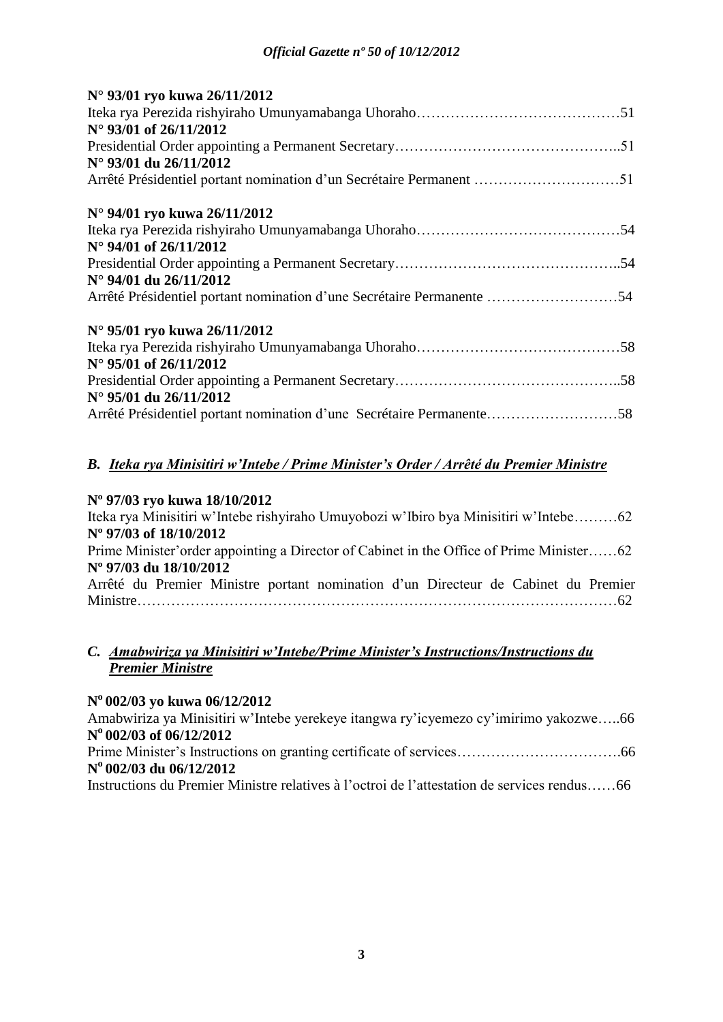| N° 93/01 ryo kuwa 26/11/2012                                          |
|-----------------------------------------------------------------------|
|                                                                       |
| N° 93/01 of 26/11/2012                                                |
|                                                                       |
| N° 93/01 du 26/11/2012                                                |
|                                                                       |
| N° 94/01 ryo kuwa 26/11/2012                                          |
|                                                                       |
| $N^{\circ}$ 94/01 of 26/11/2012                                       |
|                                                                       |
| N° 94/01 du 26/11/2012                                                |
| Arrêté Présidentiel portant nomination d'une Secrétaire Permanente 54 |
| N° 95/01 ryo kuwa 26/11/2012                                          |
|                                                                       |
| N° 95/01 of 26/11/2012                                                |
|                                                                       |
| $N^{\circ}$ 95/01 du 26/11/2012                                       |
| Arrêté Présidentiel portant nomination d'une Secrétaire Permanente58  |

## *B. Iteka rya Minisitiri w'Intebe / Prime Minister's Order / Arrêté du Premier Ministre*

## **Nº 97/03 ryo kuwa 18/10/2012**

| Iteka rya Minisitiri w'Intebe rishyiraho Umuyobozi w'Ibiro bya Minisitiri w'Intebe62     |
|------------------------------------------------------------------------------------------|
| N° 97/03 of 18/10/2012                                                                   |
| Prime Minister' order appointing a Director of Cabinet in the Office of Prime Minister62 |
| N° 97/03 du 18/10/2012                                                                   |
| Arrêté du Premier Ministre portant nomination d'un Directeur de Cabinet du Premier       |
|                                                                                          |

## *C. Amabwiriza ya Minisitiri w'Intebe/Prime Minister's Instructions/Instructions du Premier Ministre*

## **N <sup>o</sup>002/03 yo kuwa 06/12/2012**

Amabwiriza ya Minisitiri w'Intebe yerekeye itangwa ry'icyemezo cy'imirimo yakozwe…..66 **N <sup>o</sup>002/03 of 06/12/2012** Prime Minister's Instructions on granting certificate of services…………………………….66 **N <sup>o</sup>002/03 du 06/12/2012** Instructions du Premier Ministre relatives à l'octroi de l'attestation de services rendus……66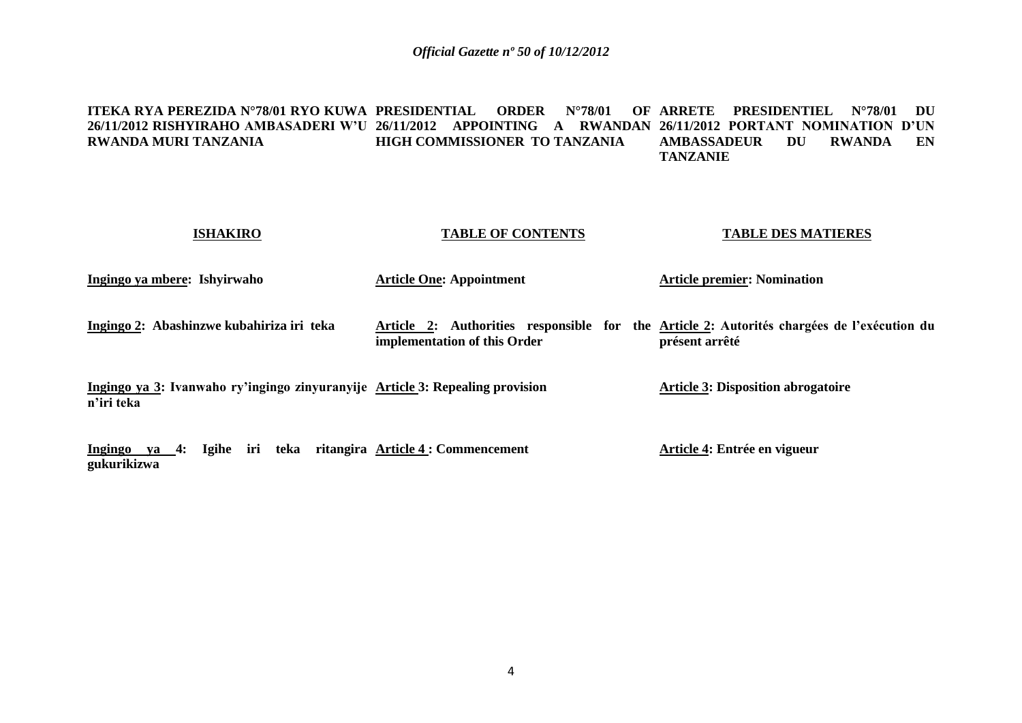#### <code>ITEKA RYA PEREZIDA N°78/01 RYO KUWA PRESIDENTIAL ORDER N°78/01 OF ARRETE PRESIDENTIEL N°78/01 DU</code> **26/11/2012 RISHYIRAHO AMBASADERI W'U 26/11/2012 APPOINTING A RWANDAN 26/11/2012 PORTANT NOMINATION D'UN RWANDA MURI TANZANIA HIGH COMMISSIONER TO TANZANIA AMBASSADEUR DU RWANDA EN TANZANIE**

| <b>ISHAKIRO</b>                                                                             | <b>TABLE OF CONTENTS</b>        | <b>TABLE DES MATIERES</b>                                                                                    |
|---------------------------------------------------------------------------------------------|---------------------------------|--------------------------------------------------------------------------------------------------------------|
| Ingingo ya mbere: Ishyirwaho                                                                | <b>Article One: Appointment</b> | <b>Article premier: Nomination</b>                                                                           |
| Ingingo 2: Abashinzwe kubahiriza iri teka                                                   | implementation of this Order    | Article 2: Authorities responsible for the Article 2: Autorités chargées de l'exécution du<br>présent arrêté |
| Ingingo ya 3: Ivanwaho ry'ingingo zinyuranyije Article 3: Repealing provision<br>n'iri teka |                                 | <b>Article 3: Disposition abrogatoire</b>                                                                    |
| Ingingo ya 4: Igihe iri teka ritangira Article 4 : Commencement<br>gukurikizwa              |                                 | Article 4: Entrée en vigueur                                                                                 |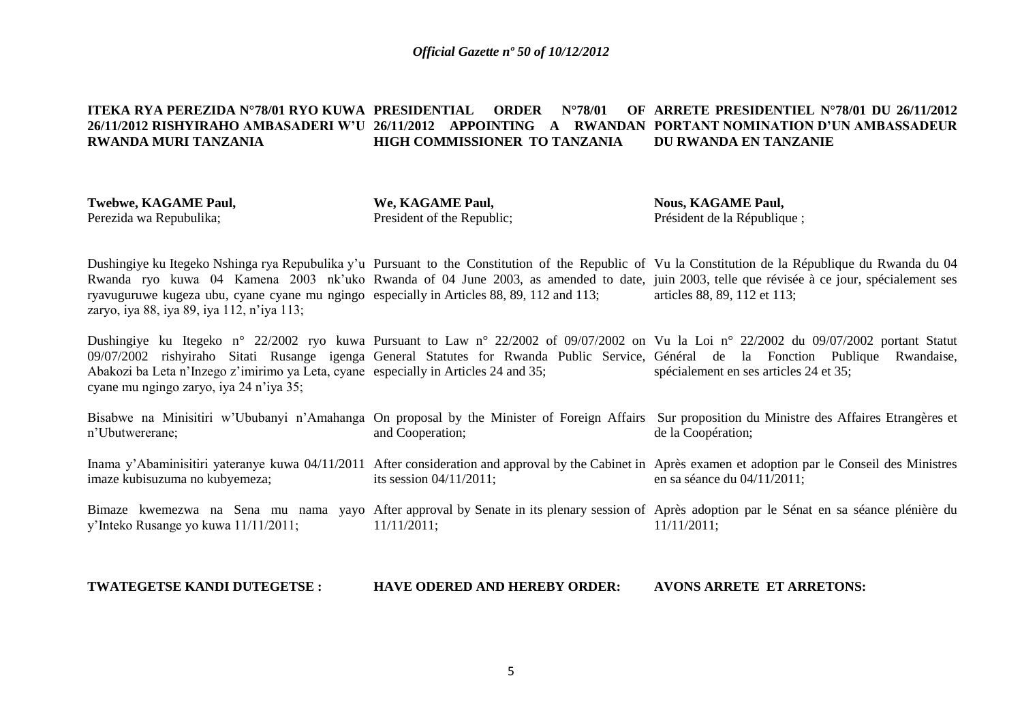#### **ITEKA RYA PEREZIDA N°78/01 RYO KUWA PRESIDENTIAL ORDER N°78/01 OF ARRETE PRESIDENTIEL N°78/01 DU 26/11/2012 26/11/2012 RISHYIRAHO AMBASADERI W'U 26/11/2012 APPOINTING A RWANDAN PORTANT NOMINATION D'UN AMBASSADEUR RWANDA MURI TANZANIA HIGH COMMISSIONER TO TANZANIA DU RWANDA EN TANZANIE**

| Twebwe, KAGAME Paul,    | We, KAGAME Paul,           | <b>Nous, KAGAME Paul,</b>   |
|-------------------------|----------------------------|-----------------------------|
| Perezida wa Repubulika; | President of the Republic; | Président de la République; |

Dushingiye ku Itegeko Nshinga rya Repubulika y'u Pursuant to the Constitution of the Republic of Vu la Constitution de la République du Rwanda du 04 Rwanda ryo kuwa 04 Kamena 2003 nk'uko Rwanda of 04 June 2003, as amended to date, juin 2003, telle que révisée à ce jour, spécialement ses ryavuguruwe kugeza ubu, cyane cyane mu ngingo especially in Articles 88, 89, 112 and 113; zaryo, iya 88, iya 89, iya 112, n'iya 113; articles 88, 89, 112 et 113;

Dushingiye ku Itegeko n° 22/2002 ryo kuwa Pursuant to Law n° 22/2002 of 09/07/2002 on Vu la Loi n° 22/2002 du 09/07/2002 portant Statut 09/07/2002 rishyiraho Sitati Rusange igenga General Statutes for Rwanda Public Service, Général de la Fonction Publique Rwandaise, Abakozi ba Leta n'Inzego z'imirimo ya Leta, cyane especially in Articles 24 and 35; cyane mu ngingo zaryo, iya 24 n'iya 35; spécialement en ses articles 24 et 35;

| n'Ubutwererane;                                                         | and Cooperation;           | Bisabwe na Minisitiri w'Ububanyi n'Amahanga On proposal by the Minister of Foreign Affairs Sur proposition du Ministre des Affaires Etrangères et<br>de la Coopération;                    |
|-------------------------------------------------------------------------|----------------------------|--------------------------------------------------------------------------------------------------------------------------------------------------------------------------------------------|
| imaze kubisuzuma no kubyemeza;                                          | its session $04/11/2011$ ; | Inama y'Abaminisitiri yateranye kuwa 04/11/2011 After consideration and approval by the Cabinet in Après examen et adoption par le Conseil des Ministres<br>en sa séance du $04/11/2011$ ; |
| Bimaze kwemezwa na Sena mu nama<br>y'Inteko Rusange yo kuwa 11/11/2011; | 11/11/2011;                | yayo After approval by Senate in its plenary session of Après adoption par le Sénat en sa séance plénière du<br>$11/11/2011$ :                                                             |

**TWATEGETSE KANDI DUTEGETSE : HAVE ODERED AND HEREBY ORDER: AVONS ARRETE ET ARRETONS:**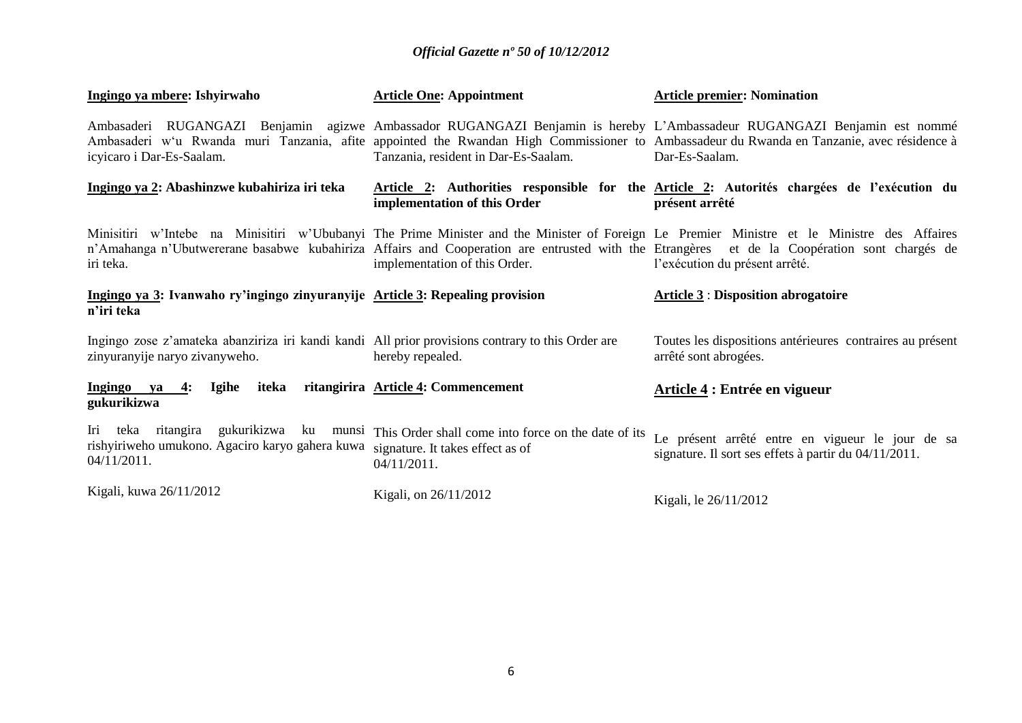| Ingingo ya mbere: Ishyirwaho                                                                                                        | <b>Article One: Appointment</b>                                                                                                               | <b>Article premier: Nomination</b>                                                                                                                                                                                                                                                                                           |
|-------------------------------------------------------------------------------------------------------------------------------------|-----------------------------------------------------------------------------------------------------------------------------------------------|------------------------------------------------------------------------------------------------------------------------------------------------------------------------------------------------------------------------------------------------------------------------------------------------------------------------------|
| icyicaro i Dar-Es-Saalam.                                                                                                           | Tanzania, resident in Dar-Es-Saalam.                                                                                                          | Ambasaderi RUGANGAZI Benjamin agizwe Ambassador RUGANGAZI Benjamin is hereby L'Ambassadeur RUGANGAZI Benjamin est nommé<br>Ambasaderi w'u Rwanda muri Tanzania, afite appointed the Rwandan High Commissioner to Ambassadeur du Rwanda en Tanzanie, avec résidence à<br>Dar-Es-Saalam.                                       |
| Ingingo ya 2: Abashinzwe kubahiriza iri teka                                                                                        | implementation of this Order                                                                                                                  | Article 2: Authorities responsible for the Article 2: Autorités chargées de l'exécution du<br>présent arrêté                                                                                                                                                                                                                 |
| iri teka.                                                                                                                           | implementation of this Order.                                                                                                                 | Minisitiri w'Intebe na Minisitiri w'Ububanyi The Prime Minister and the Minister of Foreign Le Premier Ministre et le Ministre des Affaires<br>n'Amahanga n'Ubutwererane basabwe kubahiriza Affairs and Cooperation are entrusted with the Etrangères et de la Coopération sont chargés de<br>l'exécution du présent arrêté. |
| Ingingo ya 3: Ivanwaho ry'ingingo zinyuranyije Article 3: Repealing provision<br>n'iri teka                                         |                                                                                                                                               | <b>Article 3: Disposition abrogatoire</b>                                                                                                                                                                                                                                                                                    |
| Ingingo zose z'amateka abanziriza iri kandi kandi All prior provisions contrary to this Order are<br>zinyuranyije naryo zivanyweho. | hereby repealed.                                                                                                                              | Toutes les dispositions antérieures contraires au présent<br>arrêté sont abrogées.                                                                                                                                                                                                                                           |
| Ingingo ya $4$ :<br>Igihe<br>iteka<br>gukurikizwa                                                                                   | ritangirira Article 4: Commencement                                                                                                           | Article 4 : Entrée en vigueur                                                                                                                                                                                                                                                                                                |
| Iri<br>rishyiriweho umukono. Agaciro karyo gahera kuwa<br>04/11/2011.                                                               | teka ritangira gukurikizwa ku munsi This Order shall come into force on the date of its<br>signature. It takes effect as of<br>$04/11/2011$ . | Le présent arrêté entre en vigueur le jour de sa<br>signature. Il sort ses effets à partir du 04/11/2011.                                                                                                                                                                                                                    |
| Kigali, kuwa 26/11/2012                                                                                                             | Kigali, on 26/11/2012                                                                                                                         | Kigali, le 26/11/2012                                                                                                                                                                                                                                                                                                        |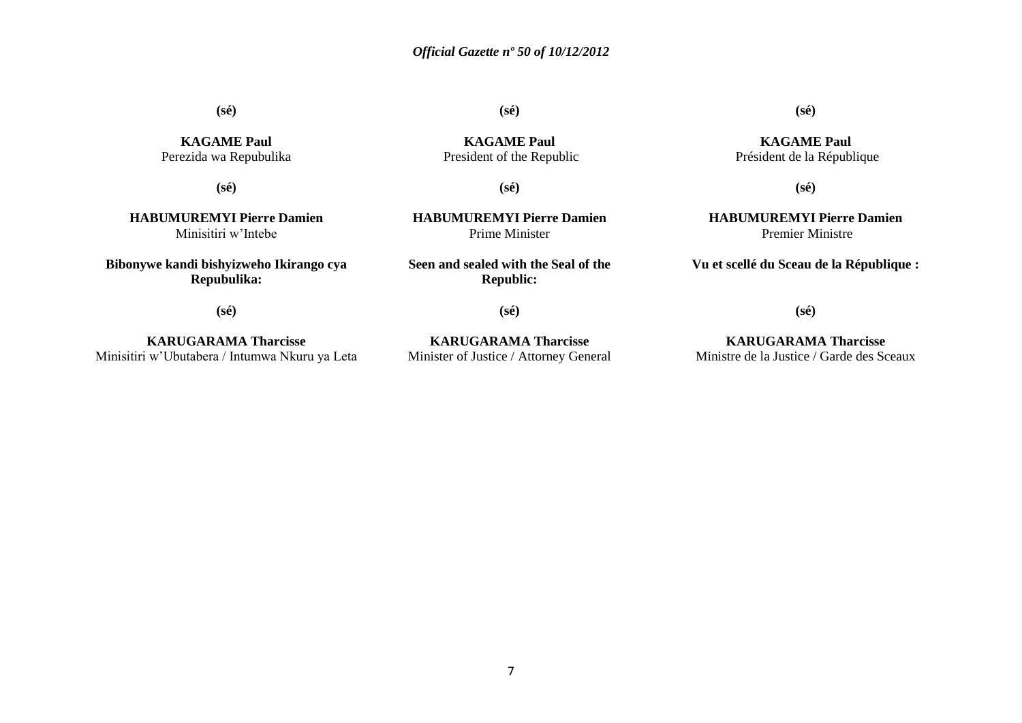**(sé)**

**KAGAME Paul** Perezida wa Repubulika

**(sé)**

**HABUMUREMYI Pierre Damien** Minisitiri w'Intebe

**Bibonywe kandi bishyizweho Ikirango cya Repubulika:**

**(sé)**

**(sé)**

**KAGAME Paul** President of the Republic

**(sé)**

**HABUMUREMYI Pierre Damien** Prime Minister

**Seen and sealed with the Seal of the Republic:**

**(sé)**

**KARUGARAMA Tharcisse** Minisitiri w'Ubutabera / Intumwa Nkuru ya Leta

**KARUGARAMA Tharcisse** Minister of Justice / Attorney General **(sé)**

**KAGAME Paul** Président de la République

**(sé)**

**HABUMUREMYI Pierre Damien** Premier Ministre

**Vu et scellé du Sceau de la République :**

**(sé)**

**KARUGARAMA Tharcisse** Ministre de la Justice / Garde des Sceaux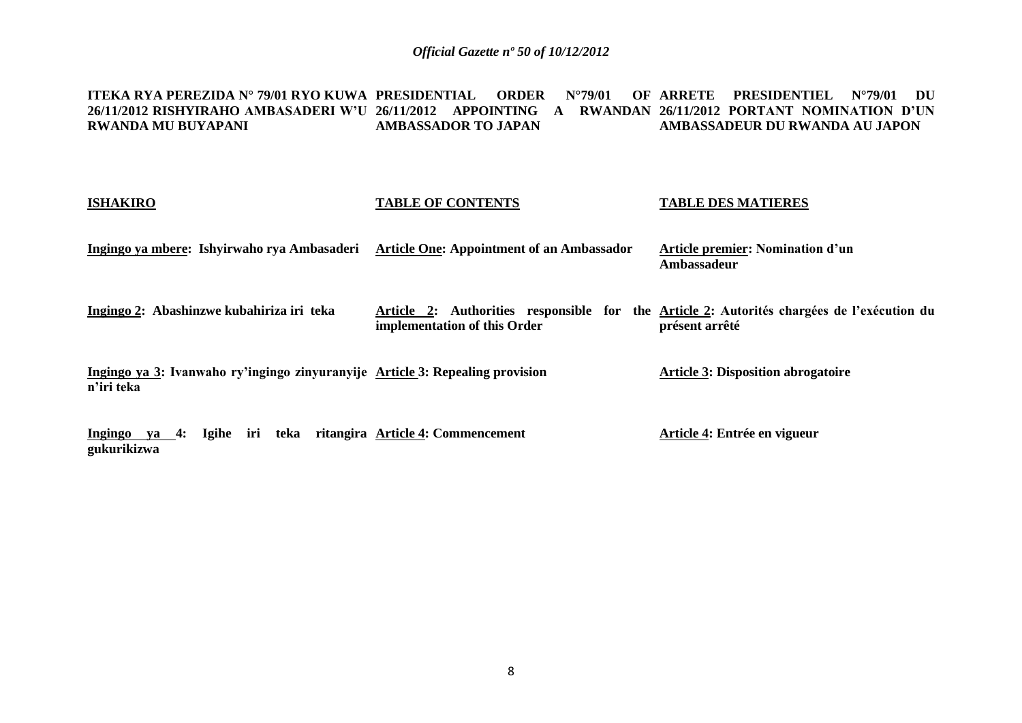**ITEKA RYA PEREZIDA N° 79/01 RYO KUWA 26/11/2012 RISHYIRAHO AMBASADERI W'U 26/11/2012 APPOINTING A RWANDAN 26/11/2012 PORTANT NOMINATION D'UN RWANDA MU BUYAPANI PRESIDENTIAL ORDER N°79/01 OF ARRETE PRESIDENTIEL N°79/01 DU AMBASSADOR TO JAPAN AMBASSADEUR DU RWANDA AU JAPON**

## **ISHAKIRO Ingingo ya mbere: Ishyirwaho rya Ambasaderi Article One: Appointment of an Ambassador Ingingo 2: Abashinzwe kubahiriza iri teka Ingingo ya 3: Ivanwaho ry'ingingo zinyuranyije Article 3: Repealing provision n'iri teka Ingingo ya 4: Igihe iri teka ritangira Article 4: Commencement TABLE OF CONTENTS Article 2: Authorities responsible for the Article 2: Autorités chargées de l'exécution du implementation of this Order TABLE DES MATIERES Article premier: Nomination d'un Ambassadeur présent arrêté Article 3: Disposition abrogatoire Article 4: Entrée en vigueur**

**gukurikizwa**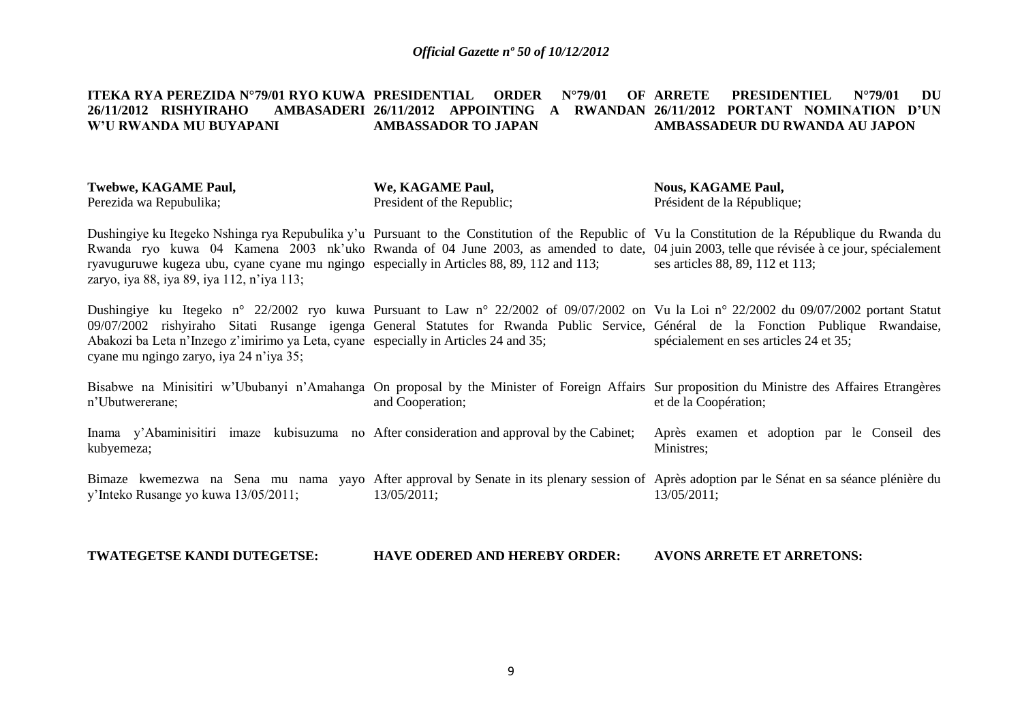#### **ITEKA RYA PEREZIDA N°79/01 RYO KUWA 26/11/2012 RISHVIRAHO W'U RWANDA MU BUYAPANI PRIDER N°79/01 OF ARRETE 26/11/2012 APPOINTING A RWANDAN 26/11/2012 PORTANT NOMINATION D'UN AMBASSADOR TO JAPAN PRESIDENTIEL N°79/01 DU AMBASSADEUR DU RWANDA AU JAPON**

| <b>Twebwe, KAGAME Paul,</b> | We, KAGAME Paul,           | <b>Nous, KAGAME Paul,</b>   |
|-----------------------------|----------------------------|-----------------------------|
| Perezida wa Repubulika;     | President of the Republic; | Président de la République; |

Dushingiye ku Itegeko Nshinga rya Repubulika y'u Pursuant to the Constitution of the Republic of Vu la Constitution de la République du Rwanda du Rwanda ryo kuwa 04 Kamena 2003 nk'uko Rwanda of 04 June 2003, as amended to date, 04 juin 2003, telle que révisée à ce jour, spécialement ryavuguruwe kugeza ubu, cyane cyane mu ngingo especially in Articles 88, 89, 112 and 113; zaryo, iya 88, iya 89, iya 112, n'iya 113; ses articles 88, 89, 112 et 113;

Dushingiye ku Itegeko n° 22/2002 ryo kuwa Pursuant to Law n° 22/2002 of 09/07/2002 on Vu la Loi n° 22/2002 du 09/07/2002 portant Statut 09/07/2002 rishyiraho Sitati Rusange igenga General Statutes for Rwanda Public Service, Général de la Fonction Publique Rwandaise, Abakozi ba Leta n'Inzego z'imirimo ya Leta, cyane especially in Articles 24 and 35; cyane mu ngingo zaryo, iya 24 n'iya 35; spécialement en ses articles 24 et 35;

Bisabwe na Minisitiri w'Ububanyi n'Amahanga On proposal by the Minister of Foreign Affairs Sur proposition du Ministre des Affaires Etrangères n'Ubutwererane; and Cooperation; et de la Coopération;

Inama y'Abaminisitiri imaze kubisuzuma no After consideration and approval by the Cabinet; kubyemeza; Après examen et adoption par le Conseil des Ministres;

Bimaze kwemezwa na Sena mu nama yayo After approval by Senate in its plenary session of Après adoption par le Sénat en sa séance plénière du y'Inteko Rusange yo kuwa 13/05/2011; 13/05/2011; 13/05/2011;

**TWATEGETSE KANDI DUTEGETSE: HAVE ODERED AND HEREBY ORDER: AVONS ARRETE ET ARRETONS:**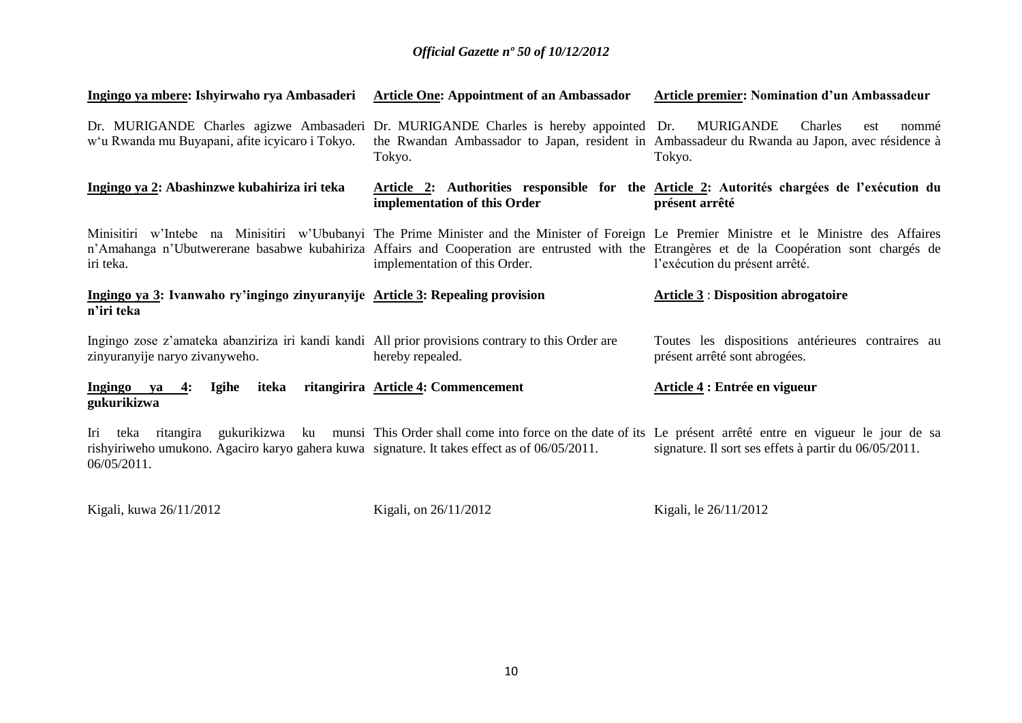| Ingingo ya mbere: Ishyirwaho rya Ambasaderi                                                                                              | <b>Article One: Appointment of an Ambassador</b> | Article premier: Nomination d'un Ambassadeur                                                                                                                                                                                                                                                                                 |
|------------------------------------------------------------------------------------------------------------------------------------------|--------------------------------------------------|------------------------------------------------------------------------------------------------------------------------------------------------------------------------------------------------------------------------------------------------------------------------------------------------------------------------------|
| Dr. MURIGANDE Charles agizwe Ambasaderi Dr. MURIGANDE Charles is hereby appointed Dr.<br>w'u Rwanda mu Buyapani, afite icyicaro i Tokyo. | Tokyo.                                           | MURIGANDE<br>Charles<br>nommé<br>est<br>the Rwandan Ambassador to Japan, resident in Ambassadeur du Rwanda au Japon, avec résidence à<br>Tokyo.                                                                                                                                                                              |
| Ingingo ya 2: Abashinzwe kubahiriza iri teka                                                                                             | implementation of this Order                     | Article 2: Authorities responsible for the Article 2: Autorités chargées de l'exécution du<br>présent arrêté                                                                                                                                                                                                                 |
| iri teka.                                                                                                                                | implementation of this Order.                    | Minisitiri w'Intebe na Minisitiri w'Ububanyi The Prime Minister and the Minister of Foreign Le Premier Ministre et le Ministre des Affaires<br>n'Amahanga n'Ubutwererane basabwe kubahiriza Affairs and Cooperation are entrusted with the Etrangères et de la Coopération sont chargés de<br>l'exécution du présent arrêté. |
| Ingingo ya 3: Ivanwaho ry'ingingo zinyuranyije Article 3: Repealing provision<br>n'iri teka                                              |                                                  | <b>Article 3: Disposition abrogatoire</b>                                                                                                                                                                                                                                                                                    |
| Ingingo zose z'amateka abanziriza iri kandi kandi All prior provisions contrary to this Order are<br>zinyuranyije naryo zivanyweho.      | hereby repealed.                                 | Toutes les dispositions antérieures contraires au<br>présent arrêté sont abrogées.                                                                                                                                                                                                                                           |
| Ingingo ya<br>iteka<br>Igihe<br>4:<br>gukurikizwa                                                                                        | ritangirira Article 4: Commencement              | Article 4 : Entrée en vigueur                                                                                                                                                                                                                                                                                                |
| Iri<br>teka ritangira                                                                                                                    |                                                  | gukurikizwa ku munsi This Order shall come into force on the date of its Le présent arrêté entre en vigueur le jour de sa                                                                                                                                                                                                    |

rishyiriweho umukono. Agaciro karyo gahera kuwa 06/05/2011. signature. It takes effect as of 06/05/2011. signature. Il sort ses effets à partir du 06/05/2011.

Kigali, kuwa 26/11/2012

Kigali, on 26/11/2012

Kigali, le 26/11/2012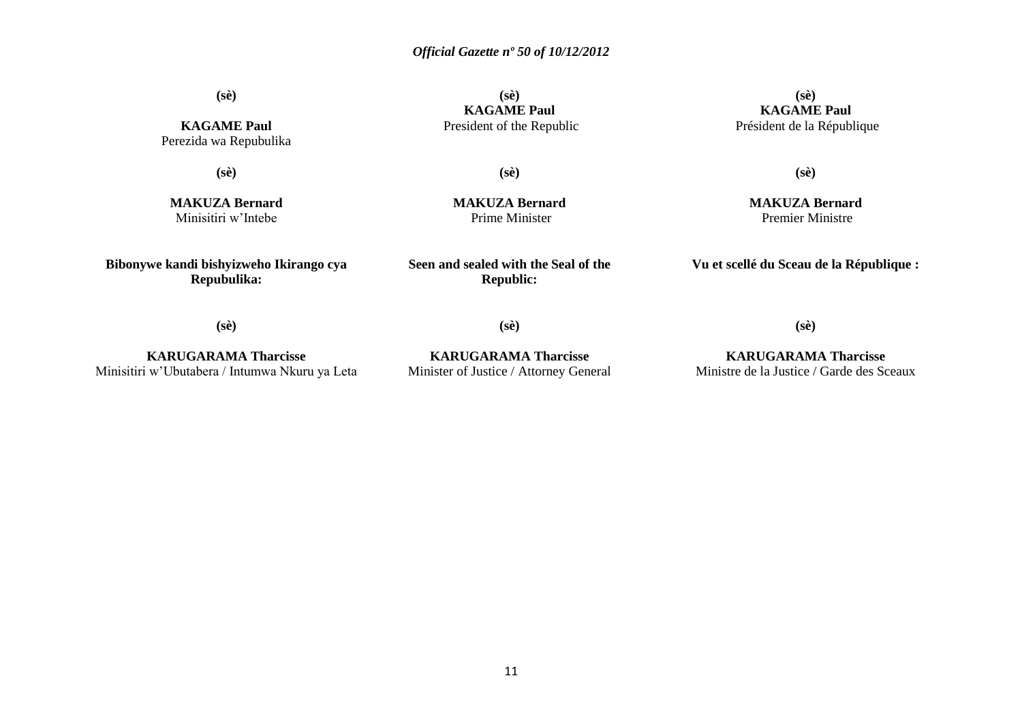**(sè)**

**KAGAME Paul** Perezida wa Repubulika

**(sè)**

**MAKUZA Bernard** Minisitiri w'Intebe

**Bibonywe kandi bishyizweho Ikirango cya Repubulika:**

**(sè) KAGAME Paul** President of the Republic

**(sè)**

**MAKUZA Bernard** Prime Minister

**Seen and sealed with the Seal of the Republic:**

**(sè) KAGAME Paul** Président de la République

**(sè)**

**MAKUZA Bernard** Premier Ministre

**Vu et scellé du Sceau de la République :**

**(sè)**

**KARUGARAMA Tharcisse** Minisitiri w'Ubutabera / Intumwa Nkuru ya Leta

**KARUGARAMA Tharcisse** Minister of Justice / Attorney General

**(sè)**

**KARUGARAMA Tharcisse** Ministre de la Justice / Garde des Sceaux

**(sè)**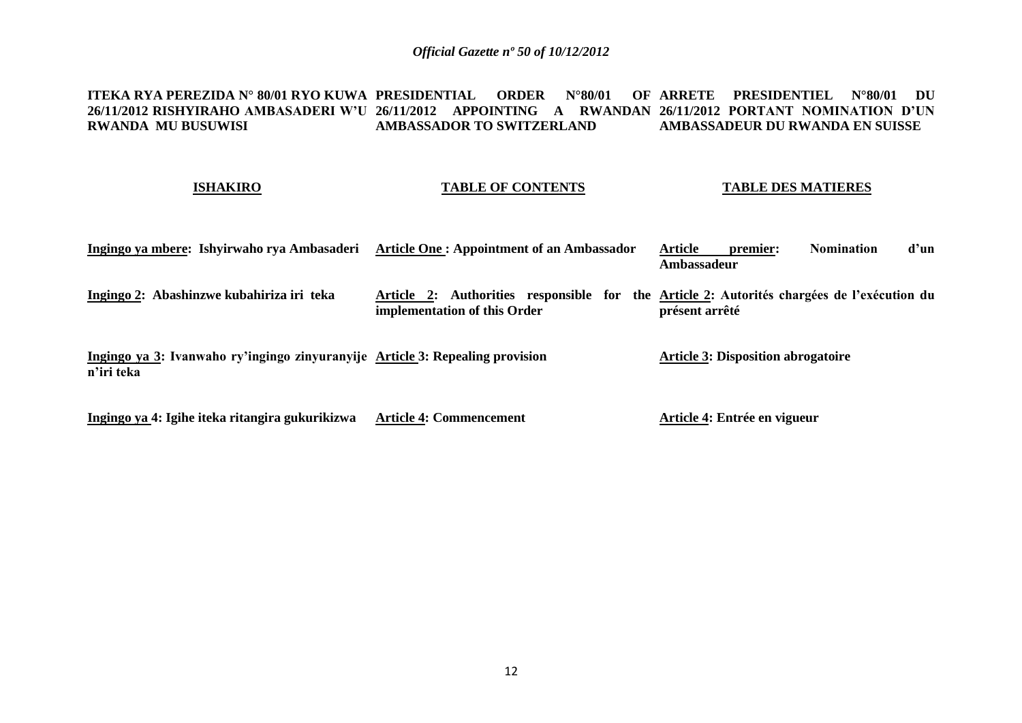#### <code>ITEKA RYA PEREZIDA N° 80/01 RYO KUWA PRESIDENTIAL ORDER N°80/01 OF ARRETE PRESIDENTIEL N°80/01 DU</code> **26/11/2012 RISHYIRAHO AMBASADERI W'U 26/11/2012 APPOINTING A RWANDAN 26/11/2012 PORTANT NOMINATION D'UN RWANDA MU BUSUWISI AMBASSADOR TO SWITZERLAND AMBASSADEUR DU RWANDA EN SUISSE**

### **ISHAKIRO**

### **TABLE OF CONTENTS**

### **TABLE DES MATIERES**

| Ingingo ya mbere: Ishyirwaho rya Ambasaderi                                                 | <b>Article One: Appointment of an Ambassador</b> | Article<br>d'un<br><b>Nomination</b><br>premier:<br>Ambassadeur                                              |
|---------------------------------------------------------------------------------------------|--------------------------------------------------|--------------------------------------------------------------------------------------------------------------|
| Ingingo 2: Abashinzwe kubahiriza iri teka                                                   | implementation of this Order                     | Article 2: Authorities responsible for the Article 2: Autorités chargées de l'exécution du<br>présent arrêté |
| Ingingo ya 3: Ivanwaho ry'ingingo zinyuranyije Article 3: Repealing provision<br>n'iri teka |                                                  | <b>Article 3: Disposition abrogatoire</b>                                                                    |
| Ingingo ya 4: Igihe iteka ritangira gukurikizwa                                             | <b>Article 4: Commencement</b>                   | Article 4: Entrée en vigueur                                                                                 |

**Ingingo ya 4: Igihe iteka ritangira gukurikizwa Article 4: Commencement**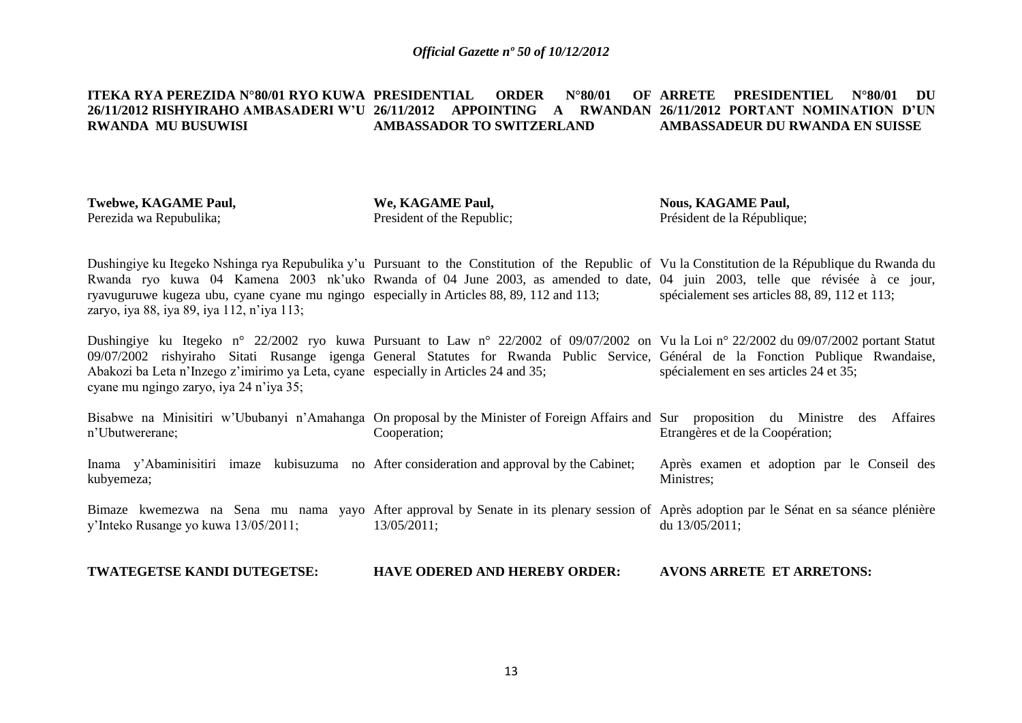#### **ITEKA RYA PEREZIDA N°80/01 RYO KUWA PRESIDENTIAL ORDER N°80/01 OF 26/11/2012 RISHYIRAHO AMBASADERI W'U 26/11/2012 APPOINTING A RWANDAN 26/11/2012 PORTANT NOMINATION D'UN RWANDA MU BUSUWISI AMBASSADOR TO SWITZERLAND ARRETE PRESIDENTIEL N°80/01 DU AMBASSADEUR DU RWANDA EN SUISSE**

| <b>Twebwe, KAGAME Paul,</b> |
|-----------------------------|
| Perezida wa Repubulika;     |

**We, KAGAME Paul,** President of the Republic; **Nous, KAGAME Paul,** Président de la République;

Dushingiye ku Itegeko Nshinga rya Repubulika y'u Pursuant to the Constitution of the Republic of Vu la Constitution de la République du Rwanda du Rwanda ryo kuwa 04 Kamena 2003 nk'uko Rwanda of 04 June 2003, as amended to date, 04 juin 2003, telle que révisée à ce jour, ryavuguruwe kugeza ubu, cyane cyane mu ngingo especially in Articles 88, 89, 112 and 113; zaryo, iya 88, iya 89, iya 112, n'iya 113; spécialement ses articles 88, 89, 112 et 113;

Dushingiye ku Itegeko n° 22/2002 ryo kuwa Pursuant to Law n° 22/2002 of 09/07/2002 on Vu la Loi n° 22/2002 du 09/07/2002 portant Statut 09/07/2002 rishyiraho Sitati Rusange igenga General Statutes for Rwanda Public Service, Général de la Fonction Publique Rwandaise, Abakozi ba Leta n'Inzego z'imirimo ya Leta, cyane especially in Articles 24 and 35; cyane mu ngingo zaryo, iya 24 n'iya 35; spécialement en ses articles 24 et 35;

| n'Ubutwererane;                                                                                          | Bisabwe na Minisitiri w'Ububanyi n'Amahanga On proposal by the Minister of Foreign Affairs and Sur<br>Cooperation;                                       | proposition du<br><b>Affaires</b><br>Ministre<br>des<br>Etrangères et de la Coopération; |
|----------------------------------------------------------------------------------------------------------|----------------------------------------------------------------------------------------------------------------------------------------------------------|------------------------------------------------------------------------------------------|
| Inama y'Abaminisitiri imaze kubisuzuma no After consideration and approval by the Cabinet;<br>kubyemeza; |                                                                                                                                                          | Après examen et adoption par le Conseil des<br>Ministres:                                |
| y'Inteko Rusange yo kuwa 13/05/2011;                                                                     | Bimaze kwemezwa na Sena mu nama yayo After approval by Senate in its plenary session of Après adoption par le Sénat en sa séance plénière<br>13/05/2011; | du $13/05/2011$ :                                                                        |

**TWATEGETSE KANDI DUTEGETSE: HAVE ODERED AND HEREBY ORDER: AVONS ARRETE ET ARRETONS:**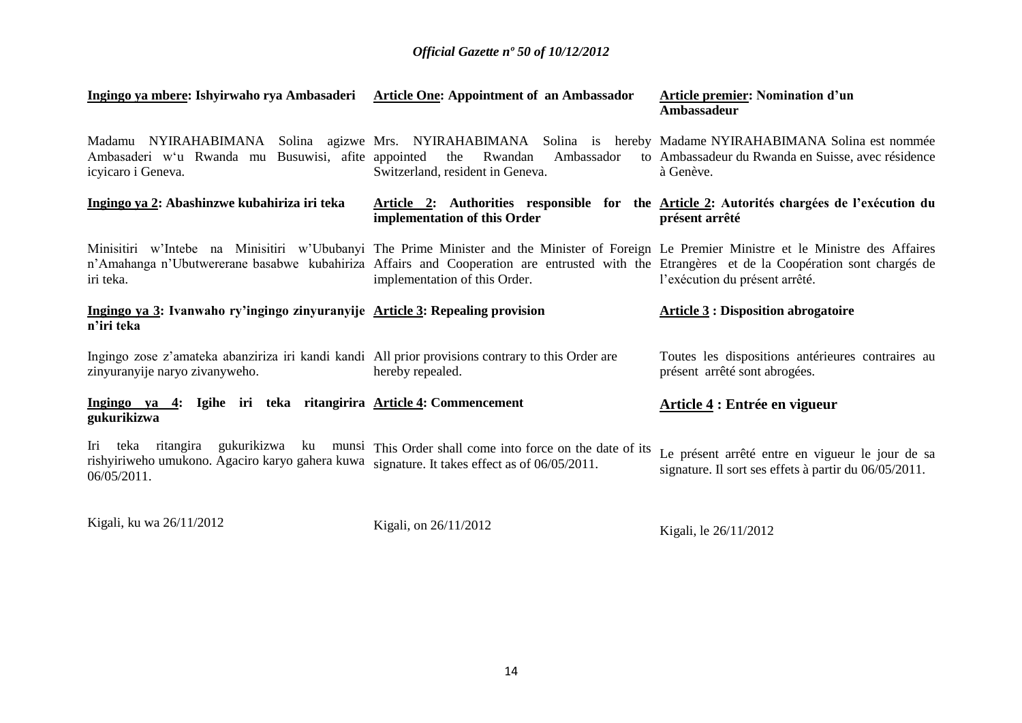| Ingingo ya mbere: Ishyirwaho rya Ambasaderi Article One: Appointment of an Ambassador                                               |                                                                                                                                                                                                                                                                                                                             | <b>Article premier: Nomination d'un</b><br>Ambassadeur                                                    |
|-------------------------------------------------------------------------------------------------------------------------------------|-----------------------------------------------------------------------------------------------------------------------------------------------------------------------------------------------------------------------------------------------------------------------------------------------------------------------------|-----------------------------------------------------------------------------------------------------------|
| Ambasaderi w'u Rwanda mu Busuwisi, afite appointed<br>icyicaro i Geneva.                                                            | Madamu NYIRAHABIMANA Solina agizwe Mrs. NYIRAHABIMANA Solina is hereby Madame NYIRAHABIMANA Solina est nommée<br>Rwandan<br>the<br>Ambassador<br>Switzerland, resident in Geneva.                                                                                                                                           | to Ambassadeur du Rwanda en Suisse, avec résidence<br>à Genève.                                           |
| Ingingo ya 2: Abashinzwe kubahiriza iri teka                                                                                        | Article 2: Authorities responsible for the Article 2: Autorités chargées de l'exécution du<br>implementation of this Order                                                                                                                                                                                                  | présent arrêté                                                                                            |
| iri teka.                                                                                                                           | Minisitiri w'Intebe na Minisitiri w'Ububanyi The Prime Minister and the Minister of Foreign Le Premier Ministre et le Ministre des Affaires<br>n'Amahanga n'Ubutwererane basabwe kubahiriza Affairs and Cooperation are entrusted with the Etrangères et de la Coopération sont chargés de<br>implementation of this Order. | l'exécution du présent arrêté.                                                                            |
| Ingingo ya 3: Ivanwaho ry'ingingo zinyuranyije Article 3: Repealing provision<br>n'iri teka                                         |                                                                                                                                                                                                                                                                                                                             | <b>Article 3 : Disposition abrogatoire</b>                                                                |
| Ingingo zose z'amateka abanziriza iri kandi kandi All prior provisions contrary to this Order are<br>zinyuranyije naryo zivanyweho. | hereby repealed.                                                                                                                                                                                                                                                                                                            | Toutes les dispositions antérieures contraires au<br>présent arrêté sont abrogées.                        |
| Ingingo ya 4: Igihe iri teka ritangirira Article 4: Commencement<br>gukurikizwa                                                     |                                                                                                                                                                                                                                                                                                                             | Article 4 : Entrée en vigueur                                                                             |
| Iri<br>rishyiriweho umukono. Agaciro karyo gahera kuwa signature. It takes effect as of 06/05/2011.<br>06/05/2011.                  | teka ritangira gukurikizwa ku munsi This Order shall come into force on the date of its                                                                                                                                                                                                                                     | Le présent arrêté entre en vigueur le jour de sa<br>signature. Il sort ses effets à partir du 06/05/2011. |

Kigali, ku wa 26/11/2012

Kigali, on 26/11/2012

Kigali, le 26/11/2012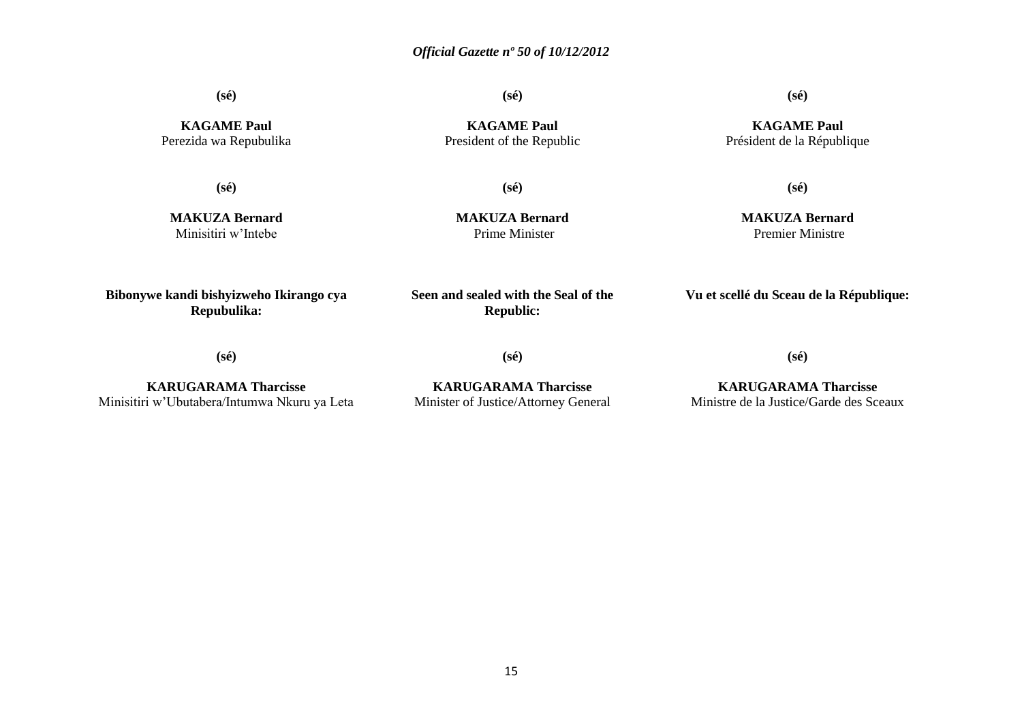**(sé)**

**(sé)**

**KAGAME Paul** Perezida wa Repubulika

**(sé)**

**MAKUZA Bernard** Minisitiri w'Intebe

**KAGAME Paul** President of the Republic

**(sé)**

**MAKUZA Bernard** Prime Minister

**(sé)**

**KAGAME Paul** Président de la République

**MAKUZA Bernard** Premier Ministre

**(sé)**

**Bibonywe kandi bishyizweho Ikirango cya Repubulika:**

**Seen and sealed with the Seal of the Republic:**

**Vu et scellé du Sceau de la République:**

**(sé)**

**KARUGARAMA Tharcisse** Minisitiri w'Ubutabera/Intumwa Nkuru ya Leta

**KARUGARAMA Tharcisse** Minister of Justice/Attorney General

**(sé)**

**KARUGARAMA Tharcisse** Ministre de la Justice/Garde des Sceaux

**(sé)**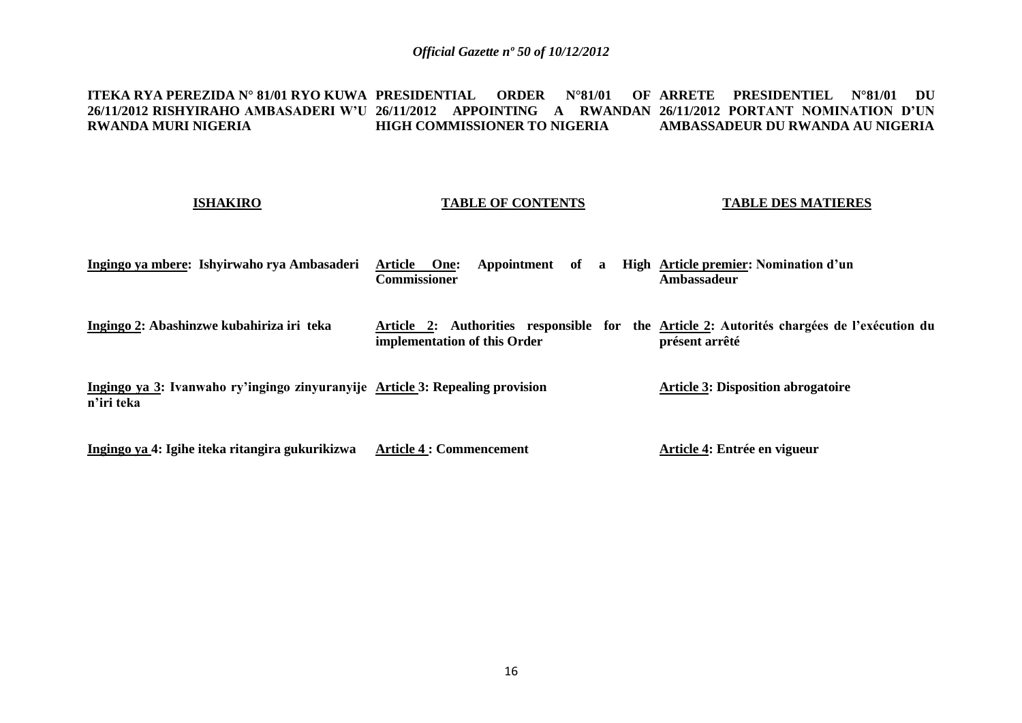#### <code>ITEKA RYA PEREZIDA N° 81/01 RYO KUWA PRESIDENTIAL ORDER N°81/01 OF ARRETE PRESIDENTIEL N°81/01 DU</code> **26/11/2012 RISHYIRAHO AMBASADERI W'U 26/11/2012 APPOINTING A RWANDAN 26/11/2012 PORTANT NOMINATION D'UN RWANDA MURI NIGERIA HIGH COMMISSIONER TO NIGERIA AMBASSADEUR DU RWANDA AU NIGERIA**

### **ISHAKIRO**

### **TABLE OF CONTENTS**

**TABLE DES MATIERES**

| Ingingo ya mbere: Ishyirwaho rya Ambasaderi                                                 | <b>Article</b><br>One:<br>Appointment<br>of<br>$\mathbf{a}$<br>Commissioner | High Article premier: Nomination d'un<br>Ambassadeur                                                         |
|---------------------------------------------------------------------------------------------|-----------------------------------------------------------------------------|--------------------------------------------------------------------------------------------------------------|
| Ingingo 2: Abashinzwe kubahiriza iri teka                                                   | implementation of this Order                                                | Article 2: Authorities responsible for the Article 2: Autorités chargées de l'exécution du<br>présent arrêté |
| Ingingo ya 3: Ivanwaho ry'ingingo zinyuranyije Article 3: Repealing provision<br>n'iri teka |                                                                             | <b>Article 3: Disposition abrogatoire</b>                                                                    |
| Ingingo ya 4: Igihe iteka ritangira gukurikizwa                                             | <b>Article 4 : Commencement</b>                                             | Article 4: Entrée en vigueur                                                                                 |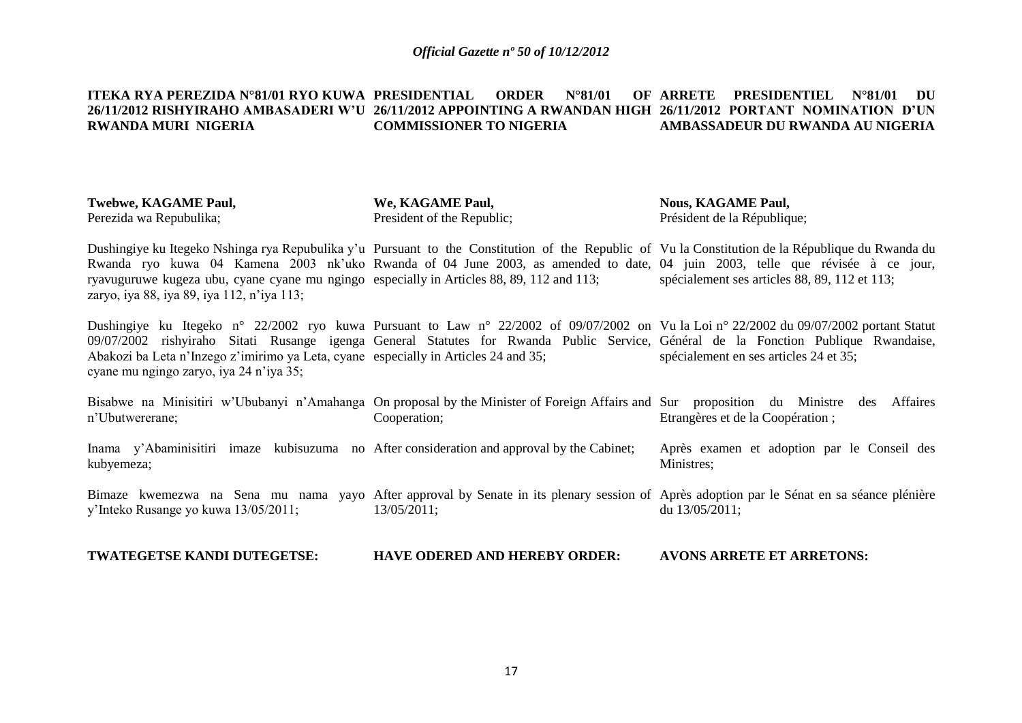#### **ITEKA RYA PEREZIDA N°81/01 RYO KUWA 26/11/2012 RISHYIRAHO AMBASADERI W'U 26/11/2012 APPOINTING A RWANDAN HIGH 26/11/2012 PORTANT NOMINATION D'UN RWANDA MURI NIGERIA PRDER N°81/01 COMMISSIONER TO NIGERIA ARRETE PRESIDENTIEL N°81/01 DU AMBASSADEUR DU RWANDA AU NIGERIA**

| <b>Twebwe, KAGAME Paul,</b> | We, KAGAME Paul,           | <b>Nous, KAGAME Paul,</b>   |
|-----------------------------|----------------------------|-----------------------------|
| Perezida wa Repubulika;     | President of the Republic; | Président de la République; |

Dushingiye ku Itegeko Nshinga rya Repubulika y'u Pursuant to the Constitution of the Republic of Vu la Constitution de la République du Rwanda du Rwanda ryo kuwa 04 Kamena 2003 nk'uko Rwanda of 04 June 2003, as amended to date, 04 juin 2003, telle que révisée à ce jour, ryavuguruwe kugeza ubu, cyane cyane mu ngingo especially in Articles 88, 89, 112 and 113; zaryo, iya 88, iya 89, iya 112, n'iya 113; spécialement ses articles 88, 89, 112 et 113;

Dushingiye ku Itegeko n° 22/2002 ryo kuwa Pursuant to Law n° 22/2002 of 09/07/2002 on Vu la Loi n° 22/2002 du 09/07/2002 portant Statut 09/07/2002 rishyiraho Sitati Rusange igenga General Statutes for Rwanda Public Service, Général de la Fonction Publique Rwandaise, Abakozi ba Leta n'Inzego z'imirimo ya Leta, cyane especially in Articles 24 and 35; cyane mu ngingo zaryo, iya 24 n'iya 35; spécialement en ses articles 24 et 35;

Bisabwe na Minisitiri w'Ububanyi n'Amahanga On proposal by the Minister of Foreign Affairs and Sur proposition du Ministre des Affaires n'Ubutwererane; Inama y'Abaminisitiri imaze kubisuzuma no After consideration and approval by the Cabinet; kubyemeza; Bimaze kwemezwa na Sena mu nama yayo After approval by Senate in its plenary session of Après adoption par le Sénat en sa séance plénière Cooperation; Etrangères et de la Coopération ; Après examen et adoption par le Conseil des Ministres;

y'Inteko Rusange yo kuwa 13/05/2011; 13/05/2011; du 13/05/2011;

**TWATEGETSE KANDI DUTEGETSE: HAVE ODERED AND HEREBY ORDER: AVONS ARRETE ET ARRETONS:**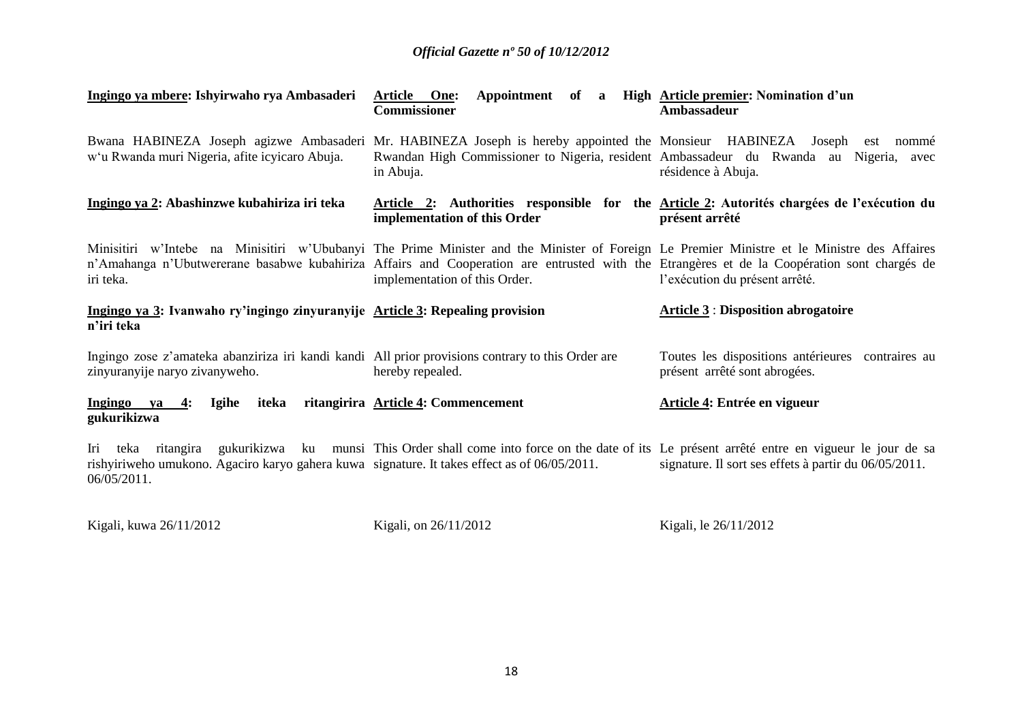| Ingingo ya mbere: Ishyirwaho rya Ambasaderi                                                                                         | Appointment of a<br>Article One:<br><b>Commissioner</b>                                                                                                                                                                                                                                                                     | High Article premier: Nomination d'un<br>Ambassadeur                                                                            |
|-------------------------------------------------------------------------------------------------------------------------------------|-----------------------------------------------------------------------------------------------------------------------------------------------------------------------------------------------------------------------------------------------------------------------------------------------------------------------------|---------------------------------------------------------------------------------------------------------------------------------|
| w'u Rwanda muri Nigeria, afite icyicaro Abuja.                                                                                      | Bwana HABINEZA Joseph agizwe Ambasaderi Mr. HABINEZA Joseph is hereby appointed the Monsieur HABINEZA<br>in Abuja.                                                                                                                                                                                                          | Joseph est nommé<br>Rwandan High Commissioner to Nigeria, resident Ambassadeur du Rwanda au Nigeria, avec<br>résidence à Abuja. |
| Ingingo ya 2: Abashinzwe kubahiriza iri teka                                                                                        | implementation of this Order                                                                                                                                                                                                                                                                                                | Article 2: Authorities responsible for the Article 2: Autorités chargées de l'exécution du<br>présent arrêté                    |
| iri teka.                                                                                                                           | Minisitiri w'Intebe na Minisitiri w'Ububanyi The Prime Minister and the Minister of Foreign Le Premier Ministre et le Ministre des Affaires<br>n'Amahanga n'Ubutwererane basabwe kubahiriza Affairs and Cooperation are entrusted with the Etrangères et de la Coopération sont chargés de<br>implementation of this Order. | l'exécution du présent arrêté.                                                                                                  |
| Ingingo ya 3: Ivanwaho ry'ingingo zinyuranyije Article 3: Repealing provision<br>n'iri teka                                         |                                                                                                                                                                                                                                                                                                                             | <b>Article 3: Disposition abrogatoire</b>                                                                                       |
| Ingingo zose z'amateka abanziriza iri kandi kandi All prior provisions contrary to this Order are<br>zinyuranyije naryo zivanyweho. | hereby repealed.                                                                                                                                                                                                                                                                                                            | Toutes les dispositions antérieures contraires au<br>présent arrêté sont abrogées.                                              |
| Ingingo ya<br>Igihe<br>iteka<br>4:<br>gukurikizwa                                                                                   | ritangirira Article 4: Commencement                                                                                                                                                                                                                                                                                         | Article 4: Entrée en vigueur                                                                                                    |
| rishyiriweho umukono. Agaciro karyo gahera kuwa signature. It takes effect as of 06/05/2011.<br>06/05/2011.                         | Iri teka ritangira gukurikizwa ku munsi This Order shall come into force on the date of its Le présent arrêté entre en vigueur le jour de sa                                                                                                                                                                                | signature. Il sort ses effets à partir du 06/05/2011.                                                                           |

Kigali, kuwa 26/11/2012

Kigali, on 26/11/2012

Kigali, le 26/11/2012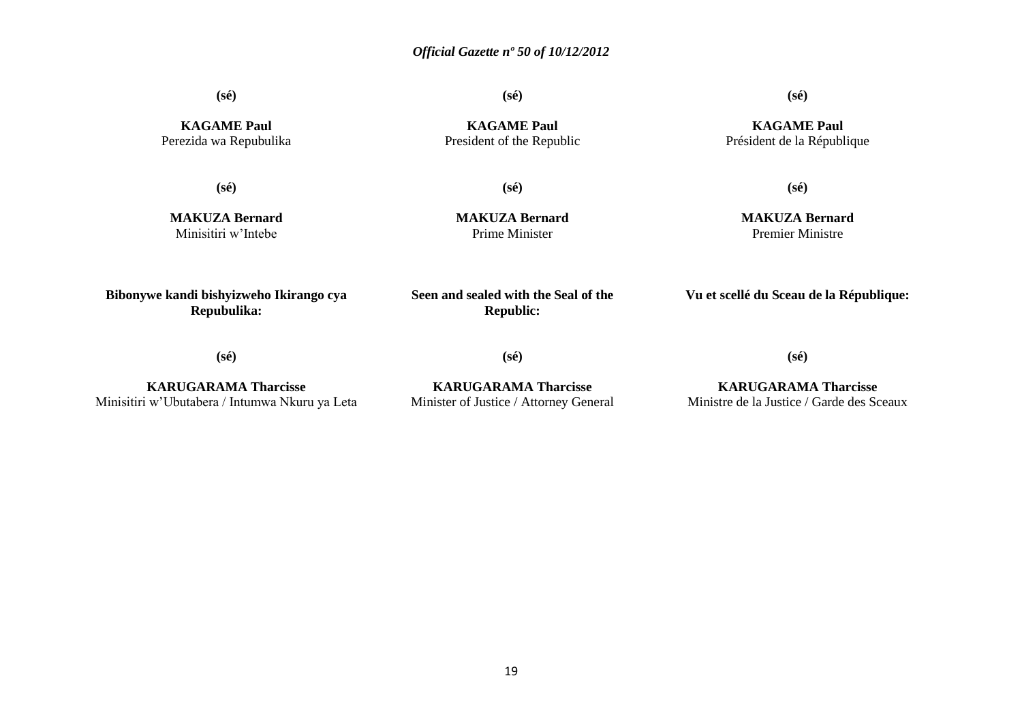**(sé)**

**(sé)**

**KAGAME Paul** Perezida wa Repubulika

**(sé)**

**MAKUZA Bernard** Minisitiri w'Intebe

**KAGAME Paul** President of the Republic

**(sé)**

**MAKUZA Bernard** Prime Minister

## **(sé)**

**KAGAME Paul** Président de la République

**(sé)**

**MAKUZA Bernard** Premier Ministre

**Bibonywe kandi bishyizweho Ikirango cya Repubulika:**

**Seen and sealed with the Seal of the Republic:**

**Vu et scellé du Sceau de la République:**

**(sé)**

**KARUGARAMA Tharcisse** Minisitiri w'Ubutabera / Intumwa Nkuru ya Leta

**KARUGARAMA Tharcisse** Minister of Justice / Attorney General

**(sé)**

**KARUGARAMA Tharcisse** Ministre de la Justice / Garde des Sceaux

**(sé)**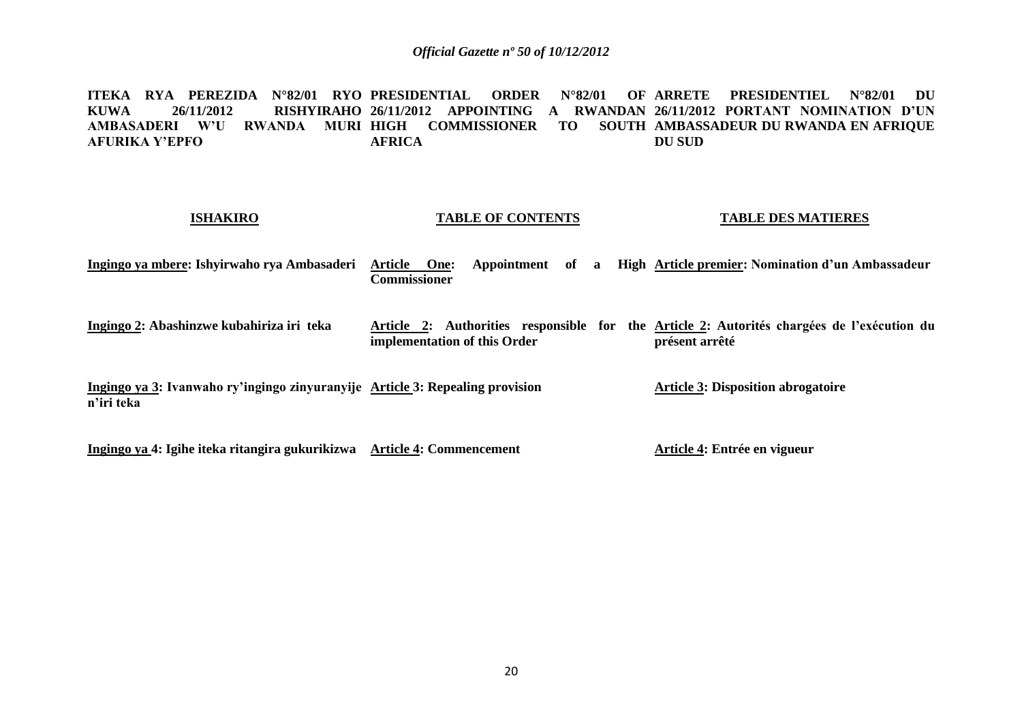**ITEKA RYA PEREZIDA N°82/01 RYO PRESIDENTIAL ORDER N°82/01 OF ARRETE PRESIDENTIEL N°82/01 DU KUWA 26/11/2012 RISHYIRAHO 26/11/2012 APPOINTING A RWANDAN 26/11/2012 PORTANT NOMINATION D'UN AMBASADERI W'U RWANDA MURI HIGH COMMISSIONER TO SOUTH AMBASSADEUR DU RWANDA EN AFRIQUE AFURIKA Y'EPFO AFRICA DU SUD**

| <b>ISHAKIRO</b>                                                                             | <b>TABLE OF CONTENTS</b>                                | <b>TABLE DES MATIERES</b>                                                                                    |
|---------------------------------------------------------------------------------------------|---------------------------------------------------------|--------------------------------------------------------------------------------------------------------------|
| Ingingo ya mbere: Ishyirwaho rya Ambasaderi                                                 | Appointment of a<br>Article One:<br><b>Commissioner</b> | High Article premier: Nomination d'un Ambassadeur                                                            |
| Ingingo 2: Abashinzwe kubahiriza iri teka                                                   | implementation of this Order                            | Article 2: Authorities responsible for the Article 2: Autorités chargées de l'exécution du<br>présent arrêté |
| Ingingo ya 3: Ivanwaho ry'ingingo zinyuranyije Article 3: Repealing provision<br>n'iri teka |                                                         | <b>Article 3: Disposition abrogatoire</b>                                                                    |
| Ingingo ya 4: Igihe iteka ritangira gukurikizwa Article 4: Commencement                     |                                                         | Article 4: Entrée en vigueur                                                                                 |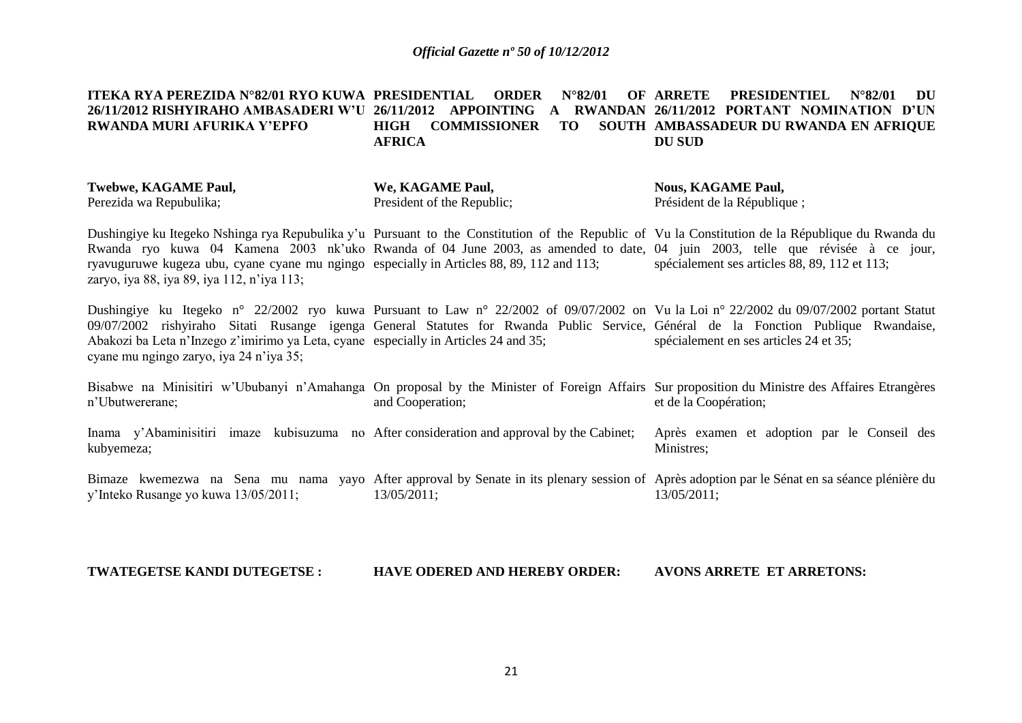#### **ITEKA RYA PEREZIDA N°82/01 RYO KUWA 26/11/2012 RISHYIRAHO AMBASADERI W'U 26/11/2012 APPOINTING A RWANDAN 26/11/2012 PORTANT NOMINATION D'UN RWANDA MURI AFURIKA Y'EPFO PRDER N°82/01 HIGH COMMISSIONER TO SOUTH AMBASSADEUR DU RWANDA EN AFRIQUE AFRICA ARRETE PRESIDENTIEL N°82/01 DU DU SUD**

| Twebwe, KAGAME Paul,    | We, KAGAME Paul,           | <b>Nous, KAGAME Paul,</b>   |
|-------------------------|----------------------------|-----------------------------|
| Perezida wa Repubulika; | President of the Republic; | Président de la République; |

Dushingiye ku Itegeko Nshinga rya Repubulika y'u Pursuant to the Constitution of the Republic of Vu la Constitution de la République du Rwanda du Rwanda ryo kuwa 04 Kamena 2003 nk'uko Rwanda of 04 June 2003, as amended to date, 04 juin 2003, telle que révisée à ce jour, ryavuguruwe kugeza ubu, cyane cyane mu ngingo especially in Articles 88, 89, 112 and 113; zaryo, iya 88, iya 89, iya 112, n'iya 113; spécialement ses articles 88, 89, 112 et 113;

Dushingiye ku Itegeko n° 22/2002 ryo kuwa Pursuant to Law n° 22/2002 of 09/07/2002 on Vu la Loi n° 22/2002 du 09/07/2002 portant Statut 09/07/2002 rishyiraho Sitati Rusange igenga General Statutes for Rwanda Public Service, Général de la Fonction Publique Rwandaise, Abakozi ba Leta n'Inzego z'imirimo ya Leta, cyane especially in Articles 24 and 35; cyane mu ngingo zaryo, iya 24 n'iya 35; spécialement en ses articles 24 et 35;

Bisabwe na Minisitiri w'Ububanyi n'Amahanga On proposal by the Minister of Foreign Affairs Sur proposition du Ministre des Affaires Etrangères n'Ubutwererane; and Cooperation; et de la Coopération;

Inama y'Abaminisitiri imaze kubisuzuma no After consideration and approval by the Cabinet; kubyemeza; Après examen et adoption par le Conseil des Ministres;

Bimaze kwemezwa na Sena mu nama yayo After approval by Senate in its plenary session of Après adoption par le Sénat en sa séance plénière du y'Inteko Rusange yo kuwa 13/05/2011; 13/05/2011; 13/05/2011;

**TWATEGETSE KANDI DUTEGETSE : HAVE ODERED AND HEREBY ORDER: AVONS ARRETE ET ARRETONS:**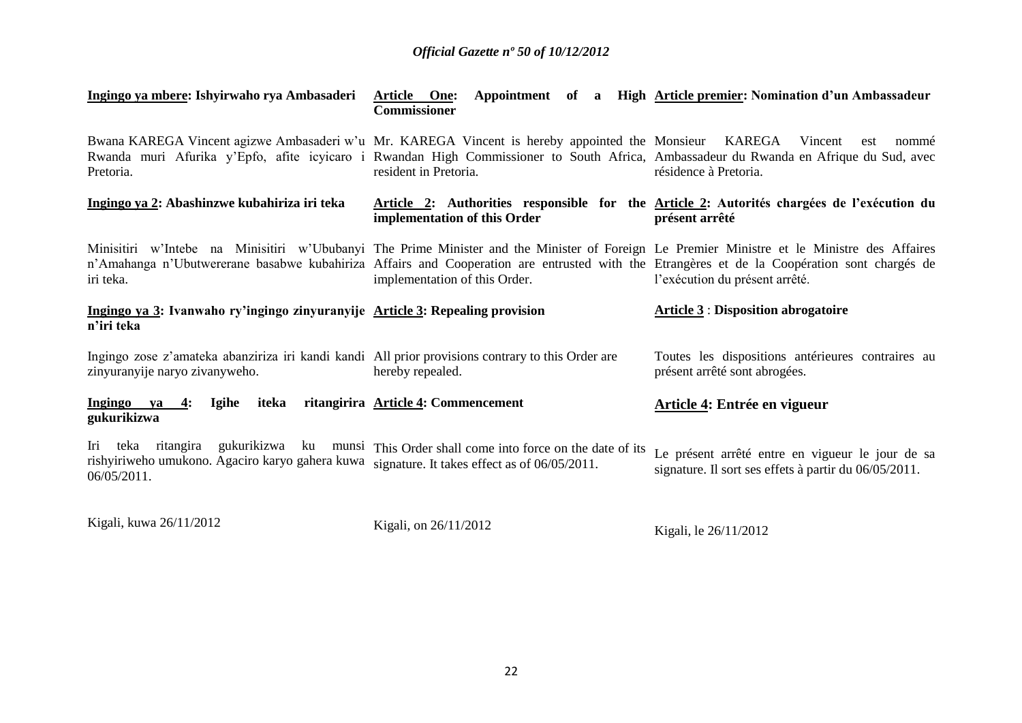| Ingingo ya mbere: Ishyirwaho rya Ambasaderi                                                                                         | Article One:<br>Commissioner              | Appointment of a High Article premier: Nomination d'un Ambassadeur                                                                                                                                                                                                                                                           |
|-------------------------------------------------------------------------------------------------------------------------------------|-------------------------------------------|------------------------------------------------------------------------------------------------------------------------------------------------------------------------------------------------------------------------------------------------------------------------------------------------------------------------------|
| Bwana KAREGA Vincent agizwe Ambasaderi w'u Mr. KAREGA Vincent is hereby appointed the Monsieur KAREGA Vincent<br>Pretoria.          | resident in Pretoria.                     | nommé<br>est<br>Rwanda muri Afurika y'Epfo, afite icyicaro i Rwandan High Commissioner to South Africa, Ambassadeur du Rwanda en Afrique du Sud, avec<br>résidence à Pretoria.                                                                                                                                               |
| Ingingo ya 2: Abashinzwe kubahiriza iri teka                                                                                        | implementation of this Order              | Article 2: Authorities responsible for the Article 2: Autorités chargées de l'exécution du<br>présent arrêté                                                                                                                                                                                                                 |
| iri teka.                                                                                                                           | implementation of this Order.             | Minisitiri w'Intebe na Minisitiri w'Ububanyi The Prime Minister and the Minister of Foreign Le Premier Ministre et le Ministre des Affaires<br>n'Amahanga n'Ubutwererane basabwe kubahiriza Affairs and Cooperation are entrusted with the Etrangères et de la Coopération sont chargés de<br>l'exécution du présent arrêté. |
| Ingingo ya 3: Ivanwaho ry'ingingo zinyuranyije Article 3: Repealing provision                                                       |                                           | <b>Article 3: Disposition abrogatoire</b>                                                                                                                                                                                                                                                                                    |
| n'iri teka                                                                                                                          |                                           |                                                                                                                                                                                                                                                                                                                              |
| Ingingo zose z'amateka abanziriza iri kandi kandi All prior provisions contrary to this Order are<br>zinyuranyije naryo zivanyweho. | hereby repealed.                          | Toutes les dispositions antérieures contraires au<br>présent arrêté sont abrogées.                                                                                                                                                                                                                                           |
| Ingingo ya 4:<br>Igihe<br>gukurikizwa                                                                                               | iteka ritangirira Article 4: Commencement | Article 4: Entrée en vigueur                                                                                                                                                                                                                                                                                                 |

Kigali, kuwa 26/11/2012

Kigali, on 26/11/2012

Kigali, le 26/11/2012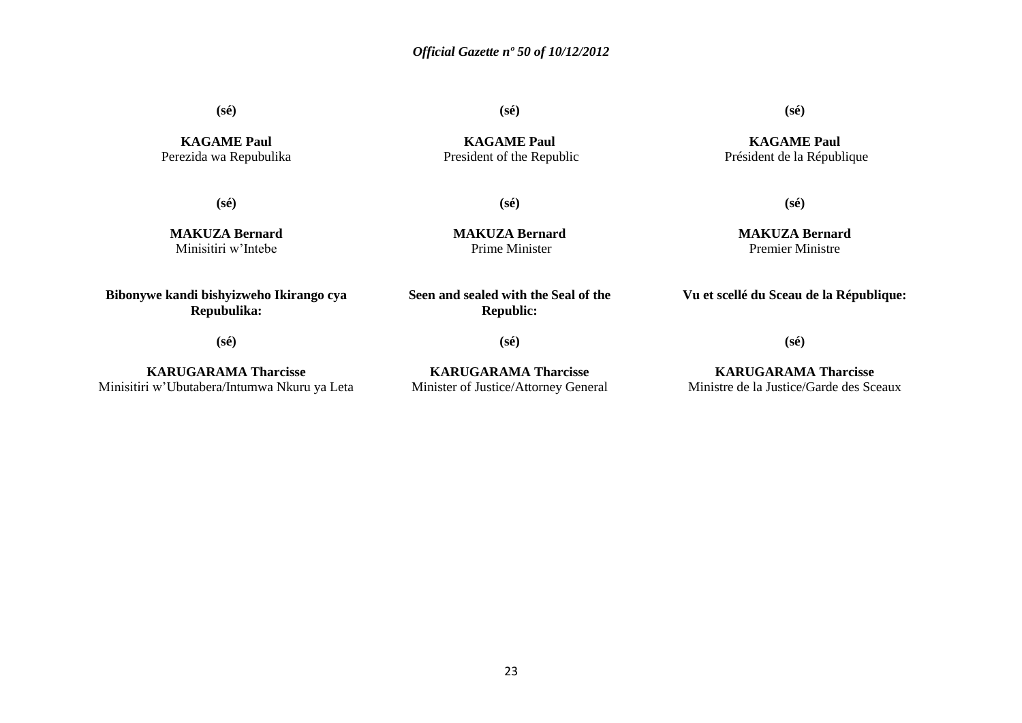**(sé)**

**KAGAME Paul** Perezida wa Repubulika **KAGAME Paul**

**(sé)**

**(sé)**

President of the Republic

**(sé)**

**MAKUZA Bernard** Minisitiri w'Intebe

**MAKUZA Bernard** Prime Minister

**MAKUZA Bernard** Premier Ministre

**Vu et scellé du Sceau de la République:**

**(sé)**

**(sé)**

**Seen and sealed with the Seal of the Republic:**

**KARUGARAMA Tharcisse** Minister of Justice/Attorney General

# **KARUGARAMA Tharcisse**

Ministre de la Justice/Garde des Sceaux

**(sé)**

**Bibonywe kandi bishyizweho Ikirango cya Repubulika:**

**KARUGARAMA Tharcisse** Minisitiri w'Ubutabera/Intumwa Nkuru ya Leta **(sé)**

**(sé)**

**KAGAME Paul** Président de la République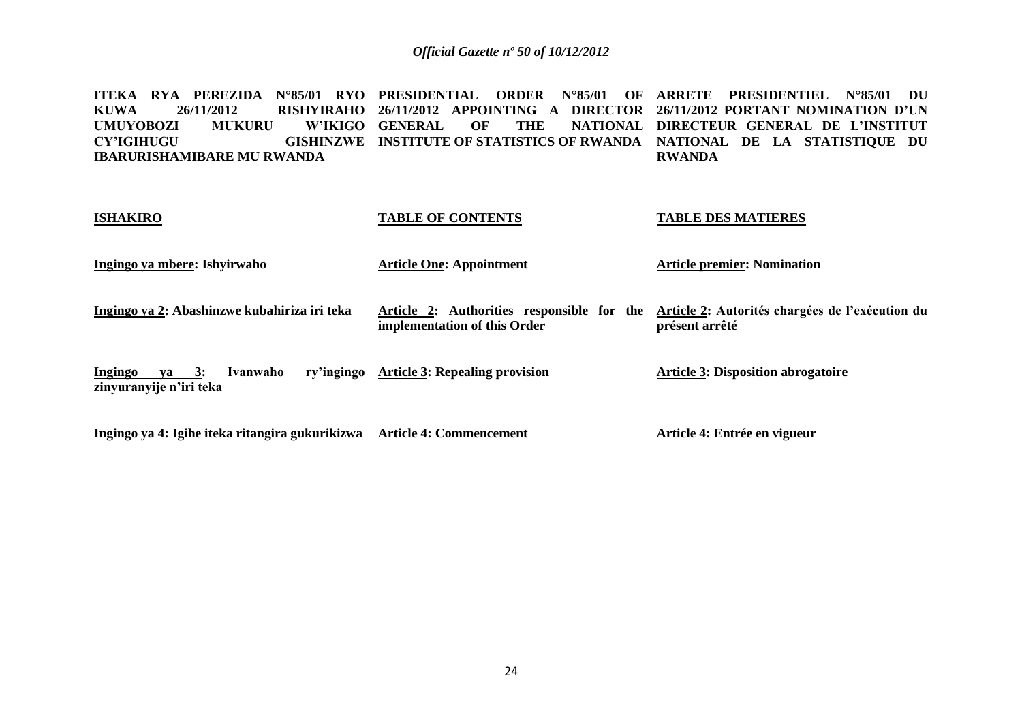**ITEKA RYA PEREZIDA N°85/01 RYO PRESIDENTIAL ORDER N°85/01 OF ARRETE PRESIDENTIEL N°85/01 DU KUWA 26/11/2012 RISHYIRAHO 26/11/2012 APPOINTING A DIRECTOR 26/11/2012 PORTANT NOMINATION D'UN**  UMUYOBOZI MUKURU<br>CY'IGIHUGU **CY'IGIHUGU GISHINZWE INSTITUTE OF STATISTICS OF RWANDA NATIONAL DE LA STATISTIQUE DU IBARURISHAMIBARE MU RWANDA W'IKIGO GENERAL OF THE DIRECTEUR GENERAL DE L'INSTITUT RWANDA**

| <b>ISHAKIRO</b>                                                           | <b>TABLE OF CONTENTS</b>                                                   | <b>TABLE DES MATIERES</b>                                         |
|---------------------------------------------------------------------------|----------------------------------------------------------------------------|-------------------------------------------------------------------|
| Ingingo ya mbere: Ishyirwaho                                              | <b>Article One: Appointment</b>                                            | <b>Article premier: Nomination</b>                                |
| Ingingo ya 2: Abashinzwe kubahiriza iri teka                              | Article 2: Authorities responsible for the<br>implementation of this Order | Article 2: Autorités chargées de l'exécution du<br>présent arrêté |
| Ingingo<br>Ivanwaho<br>ry'ingingo<br>$va = 3:$<br>zinyuranyije n'iri teka | <b>Article 3: Repealing provision</b>                                      | <b>Article 3: Disposition abrogatoire</b>                         |
| Ingingo ya 4: Igihe iteka ritangira gukurikizwa                           | <b>Article 4: Commencement</b>                                             | Article 4: Entrée en vigueur                                      |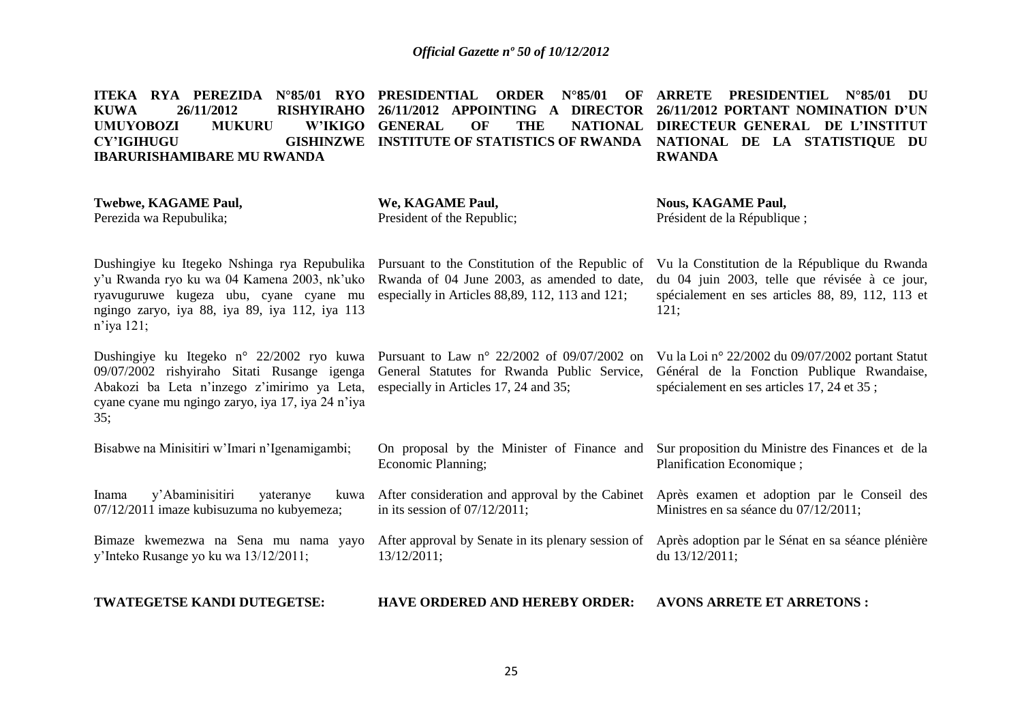|             | ITEKA RYA PEREZIDA N°85/01 RYO PRESIDENTIAL ORDER N°85/01 OF ARRETE PRESIDENTIEL N°85/01 DU |  |                                                                                |  |  |               |  |  |
|-------------|---------------------------------------------------------------------------------------------|--|--------------------------------------------------------------------------------|--|--|---------------|--|--|
| <b>KUWA</b> | 26/11/2012                                                                                  |  | RISHYIRAHO 26/11/2012 APPOINTING A DIRECTOR 26/11/2012 PORTANT NOMINATION D'UN |  |  |               |  |  |
|             | UMUYOBOZI MUKURU W'IKIGO GENERAL OF THE NATIONAL DIRECTEUR GENERAL DE L'INSTITUT            |  |                                                                                |  |  |               |  |  |
| CY'IGIHUGU  |                                                                                             |  | GISHINZWE INSTITUTE OF STATISTICS OF RWANDA NATIONAL DE LA STATISTIQUE DU      |  |  |               |  |  |
|             | <b>IBARURISHAMIBARE MU RWANDA</b>                                                           |  |                                                                                |  |  | <b>RWANDA</b> |  |  |

| Twebwe, KAGAME Paul,<br>Perezida wa Repubulika;                                                                                                                                                                                                 | We, KAGAME Paul,<br>President of the Republic;                                                                                                    | <b>Nous, KAGAME Paul,</b><br>Président de la République;                                                                                                   |
|-------------------------------------------------------------------------------------------------------------------------------------------------------------------------------------------------------------------------------------------------|---------------------------------------------------------------------------------------------------------------------------------------------------|------------------------------------------------------------------------------------------------------------------------------------------------------------|
| Dushingiye ku Itegeko Nshinga rya Repubulika<br>y'u Rwanda ryo ku wa 04 Kamena 2003, nk'uko<br>ryavuguruwe kugeza ubu, cyane cyane mu<br>ngingo zaryo, iya 88, iya 89, iya 112, iya 113<br>$n$ 'iya 121;                                        | Pursuant to the Constitution of the Republic of<br>Rwanda of 04 June 2003, as amended to date,<br>especially in Articles 88,89, 112, 113 and 121; | Vu la Constitution de la République du Rwanda<br>du 04 juin 2003, telle que révisée à ce jour,<br>spécialement en ses articles 88, 89, 112, 113 et<br>121; |
| Dushingiye ku Itegeko n° 22/2002 ryo kuwa Pursuant to Law n° 22/2002 of 09/07/2002 on<br>09/07/2002 rishyiraho Sitati Rusange igenga<br>Abakozi ba Leta n'inzego z'imirimo ya Leta,<br>cyane cyane mu ngingo zaryo, iya 17, iya 24 n'iya<br>35; | General Statutes for Rwanda Public Service,<br>especially in Articles 17, 24 and 35;                                                              | Vu la Loi nº 22/2002 du 09/07/2002 portant Statut<br>Général de la Fonction Publique Rwandaise,<br>spécialement en ses articles 17, 24 et 35 ;             |
| Bisabwe na Minisitiri w'Imari n'Igenamigambi;                                                                                                                                                                                                   | On proposal by the Minister of Finance and<br>Economic Planning;                                                                                  | Sur proposition du Ministre des Finances et de la<br>Planification Economique;                                                                             |
| y'Abaminisitiri<br>yateranye<br>Inama<br>kuwa<br>07/12/2011 imaze kubisuzuma no kubyemeza;                                                                                                                                                      | After consideration and approval by the Cabinet<br>in its session of $07/12/2011$ ;                                                               | Après examen et adoption par le Conseil des<br>Ministres en sa séance du 07/12/2011;                                                                       |
| Bimaze kwemezwa na Sena mu nama yayo<br>y'Inteko Rusange yo ku wa 13/12/2011;                                                                                                                                                                   | 13/12/2011;                                                                                                                                       | After approval by Senate in its plenary session of Après adoption par le Sénat en sa séance plénière<br>du 13/12/2011;                                     |
| TWATEGETSE KANDI DUTEGETSE:                                                                                                                                                                                                                     | HAVE ORDERED AND HEREBY ORDER:                                                                                                                    | <b>AVONS ARRETE ET ARRETONS:</b>                                                                                                                           |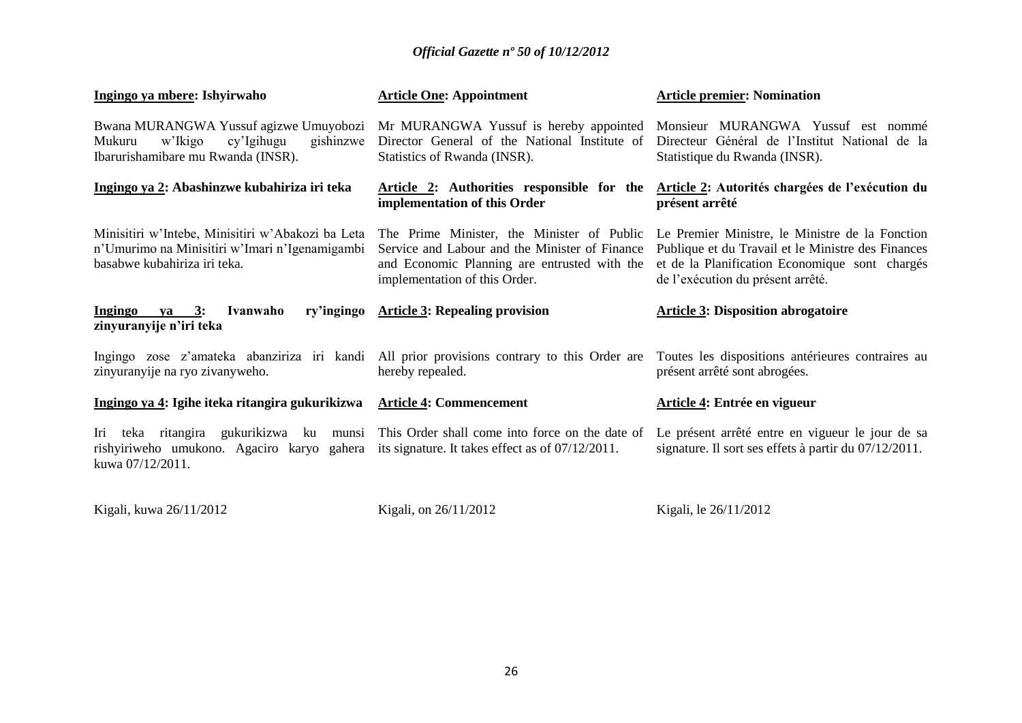| Ingingo ya mbere: Ishyirwaho                                                                                                                                                                                  | <b>Article One: Appointment</b>                                                                                                                                               | <b>Article premier: Nomination</b>                                                                                                                                                           |
|---------------------------------------------------------------------------------------------------------------------------------------------------------------------------------------------------------------|-------------------------------------------------------------------------------------------------------------------------------------------------------------------------------|----------------------------------------------------------------------------------------------------------------------------------------------------------------------------------------------|
| Bwana MURANGWA Yussuf agizwe Umuyobozi Mr MURANGWA Yussuf is hereby appointed<br>gishinzwe<br>w'Ikigo<br>cy'Igihugu<br>Mukuru<br>Ibarurishamibare mu Rwanda (INSR).                                           | Director General of the National Institute of<br>Statistics of Rwanda (INSR).                                                                                                 | Monsieur MURANGWA Yussuf est nommé<br>Directeur Général de l'Institut National de la<br>Statistique du Rwanda (INSR).                                                                        |
| Ingingo ya 2: Abashinzwe kubahiriza iri teka                                                                                                                                                                  | Article 2: Authorities responsible for the<br>implementation of this Order                                                                                                    | Article 2: Autorités chargées de l'exécution du<br>présent arrêté                                                                                                                            |
| Minisitiri w'Intebe, Minisitiri w'Abakozi ba Leta<br>n'Umurimo na Minisitiri w'Imari n'Igenamigambi<br>basabwe kubahiriza iri teka.                                                                           | The Prime Minister, the Minister of Public<br>Service and Labour and the Minister of Finance<br>and Economic Planning are entrusted with the<br>implementation of this Order. | Le Premier Ministre, le Ministre de la Fonction<br>Publique et du Travail et le Ministre des Finances<br>et de la Planification Economique sont chargés<br>de l'exécution du présent arrêté. |
| Ingingo ya $3$ :<br>Ivanwaho<br>ry'ingingo<br>zinyuranyije n'iri teka                                                                                                                                         | <b>Article 3: Repealing provision</b>                                                                                                                                         | <b>Article 3: Disposition abrogatoire</b>                                                                                                                                                    |
|                                                                                                                                                                                                               |                                                                                                                                                                               |                                                                                                                                                                                              |
| zinyuranyije na ryo zivanyweho.                                                                                                                                                                               | Ingingo zose z'amateka abanziriza iri kandi All prior provisions contrary to this Order are<br>hereby repealed.                                                               | Toutes les dispositions antérieures contraires au<br>présent arrêté sont abrogées.                                                                                                           |
| Ingingo ya 4: Igihe iteka ritangira gukurikizwa Article 4: Commencement                                                                                                                                       |                                                                                                                                                                               | Article 4: Entrée en vigueur                                                                                                                                                                 |
| Iri teka ritangira gukurikizwa ku munsi This Order shall come into force on the date of<br>rishyiriweho umukono. Agaciro karyo gahera its signature. It takes effect as of $07/12/2011$ .<br>kuwa 07/12/2011. |                                                                                                                                                                               | Le présent arrêté entre en vigueur le jour de sa<br>signature. Il sort ses effets à partir du 07/12/2011.                                                                                    |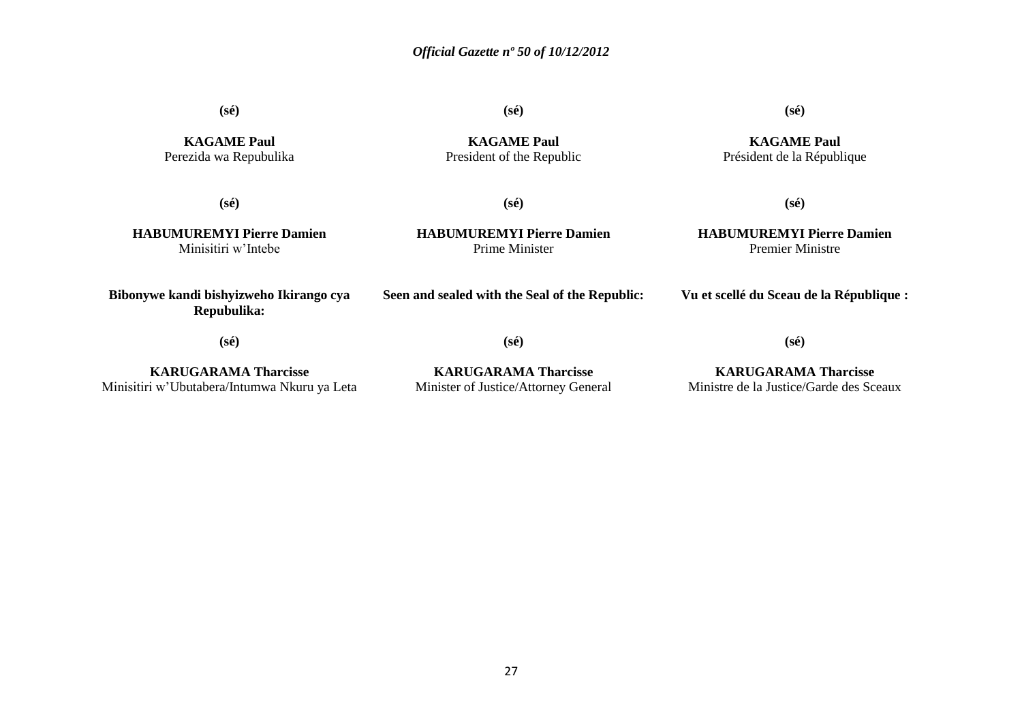**(sé)**

**KAGAME Paul** Perezida wa Repubulika **(sé)**

**KAGAME Paul** President of the Republic **(sé)**

**KAGAME Paul** Président de la République

**(sé)**

**HABUMUREMYI Pierre Damien** Minisitiri w'Intebe

**(sé) HABUMUREMYI Pierre Damien**

Prime Minister

**(sé)**

**HABUMUREMYI Pierre Damien** Premier Ministre

**Vu et scellé du Sceau de la République :**

**Bibonywe kandi bishyizweho Ikirango cya Repubulika:**

**(sé)**

**(sé)**

**Seen and sealed with the Seal of the Republic:**

**(sé)**

**KARUGARAMA Tharcisse** Minisitiri w'Ubutabera/Intumwa Nkuru ya Leta

**KARUGARAMA Tharcisse** Minister of Justice/Attorney General

**KARUGARAMA Tharcisse** Ministre de la Justice/Garde des Sceaux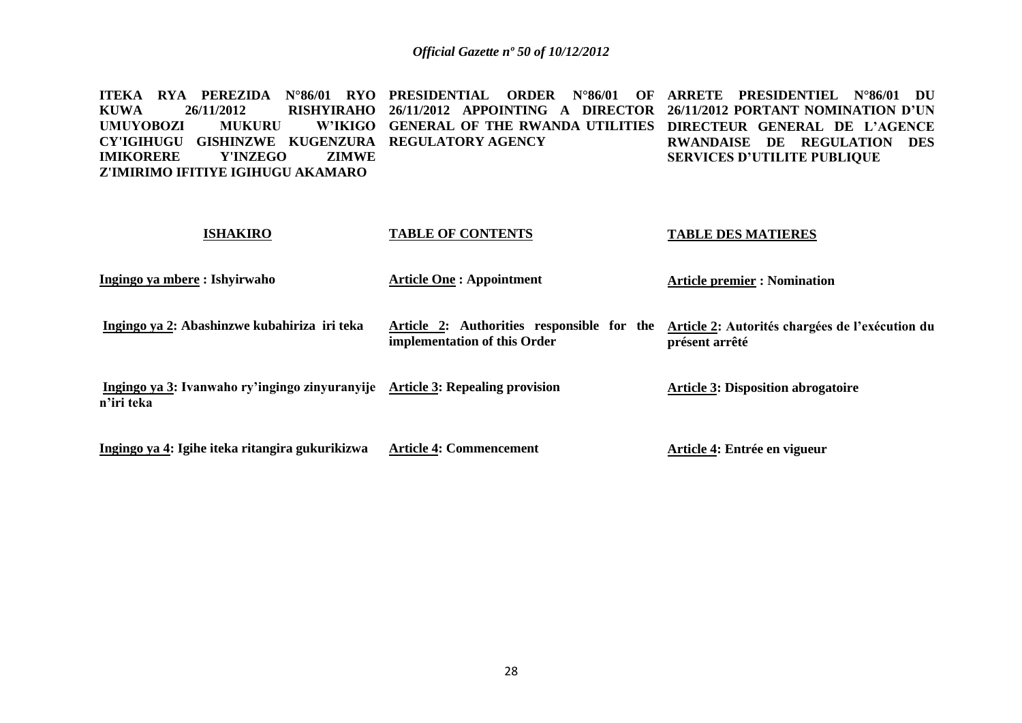**ITEKA RYA PEREZIDA N°86/01 RYO PRESIDENTIAL ORDER N°86/01 OF ARRETE PRESIDENTIEL N°86/01 DU KUWA 26/11/2012 RISHYIRAHO 26/11/2012 APPOINTING A DIRECTOR 26/11/2012 PORTANT NOMINATION D'UN UMUYOBOZI MUKURU CY'IGIHUGU GISHINZWE KUGENZURA REGULATORY AGENCY IMIKORERE Y'INZEGO ZIMWE Z'IMIRIMO IFITIYE IGIHUGU AKAMARO GENERAL OF THE RWANDA UTILITIES DIRECTEUR GENERAL DE L'AGENCE RWANDAISE DE REGULATION DES SERVICES D'UTILITE PUBLIQUE** 

### **ISHAKIRO Ingingo ya mbere : Ishyirwaho Ingingo ya 2: Abashinzwe kubahiriza iri teka Ingingo ya 3: Ivanwaho ry'ingingo zinyuranyije Article 3: Repealing provision n'iri teka Ingingo ya 4: Igihe iteka ritangira gukurikizwa TABLE OF CONTENTS Article One : Appointment Article 2: Authorities responsible for the implementation of this Order Article 4: Commencement TABLE DES MATIERES Article premier : Nomination Article 2: Autorités chargées de l'exécution du présent arrêté Article 3: Disposition abrogatoire Article 4: Entrée en vigueur**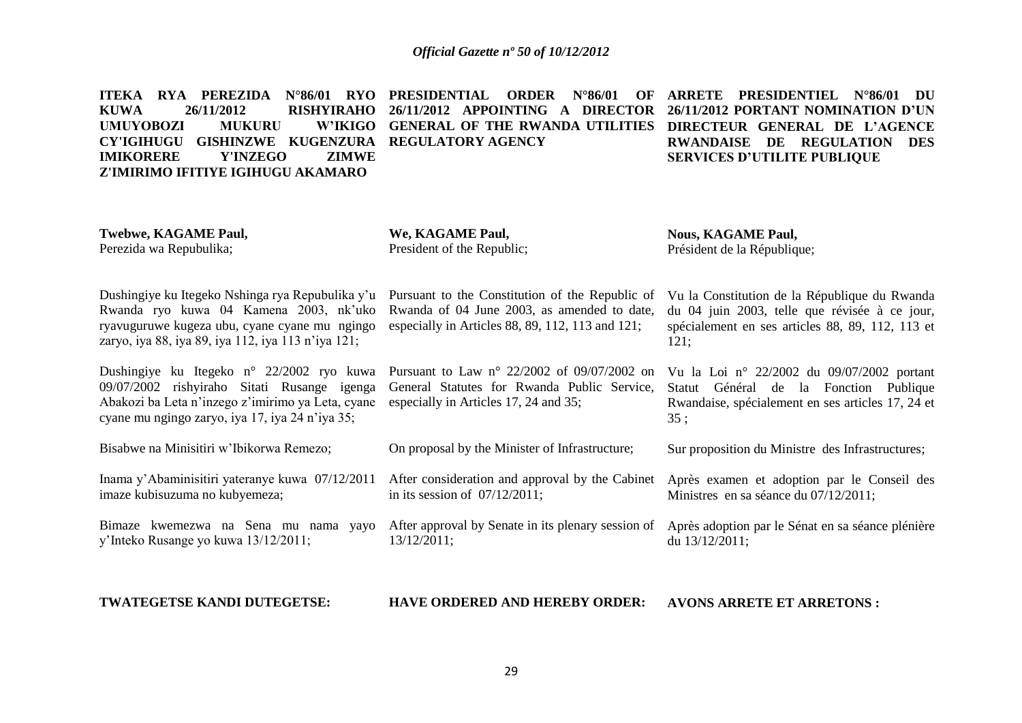**ITEKA RYA PEREZIDA N°86/01 RYO PRESIDENTIAL ORDER N°86/01 OF ARRETE PRESIDENTIEL N°86/01 DU KUWA 26/11/2012 RISHYIRAHO 26/11/2012 APPOINTING A DIRECTOR UMUYOBOZI MUKURU CY'IGIHUGU GISHINZWE KUGENZURA REGULATORY AGENCY IMIKORERE Y'INZEGO ZIMWE Z'IMIRIMO IFITIYE IGIHUGU AKAMARO GENERAL OF THE RWANDA UTILITIES DIRECTEUR GENERAL DE L'AGENCE 26/11/2012 PORTANT NOMINATION D'UN RWANDAISE DE REGULATION DES SERVICES D'UTILITE PUBLIQUE** 

**Twebwe, KAGAME Paul,** Perezida wa Repubulika;

**We, KAGAME Paul,** President of the Republic; **Nous, KAGAME Paul,** Président de la République;

121;

35 ;

Dushingiye ku Itegeko Nshinga rya Repubulika y'u Rwanda ryo kuwa 04 Kamena 2003, nk'uko ryavuguruwe kugeza ubu, cyane cyane mu ngingo zaryo, iya 88, iya 89, iya 112, iya 113 n'iya 121;

Dushingiye ku Itegeko n° 22/2002 ryo kuwa 09/07/2002 rishyiraho Sitati Rusange igenga Abakozi ba Leta n'inzego z'imirimo ya Leta, cyane especially in Articles 17, 24 and 35; cyane mu ngingo zaryo, iya 17, iya 24 n'iya 35;

Bisabwe na Minisitiri w'Ibikorwa Remezo;

Inama y'Abaminisitiri yateranye kuwa 07/12/2011 imaze kubisuzuma no kubyemeza;

Bimaze kwemezwa na Sena mu nama yayo y'Inteko Rusange yo kuwa 13/12/2011;

Pursuant to Law n° 22/2002 of 09/07/2002 on

Pursuant to the Constitution of the Republic of Rwanda of 04 June 2003, as amended to date, especially in Articles 88, 89, 112, 113 and 121;

General Statutes for Rwanda Public Service, Vu la Loi n° 22/2002 du 09/07/2002 portant Statut Général de la Fonction Publique

On proposal by the Minister of Infrastructure;

After consideration and approval by the Cabinet in its session of 07/12/2011;

> After approval by Senate in its plenary session of 13/12/2011;

Sur proposition du Ministre des Infrastructures;

Après examen et adoption par le Conseil des Ministres en sa séance du 07/12/2011;

Rwandaise, spécialement en ses articles 17, 24 et

Vu la Constitution de la République du Rwanda du 04 juin 2003, telle que révisée à ce jour, spécialement en ses articles 88, 89, 112, 113 et

Après adoption par le Sénat en sa séance plénière du 13/12/2011;

**TWATEGETSE KANDI DUTEGETSE:**

**HAVE ORDERED AND HEREBY ORDER: AVONS ARRETE ET ARRETONS :**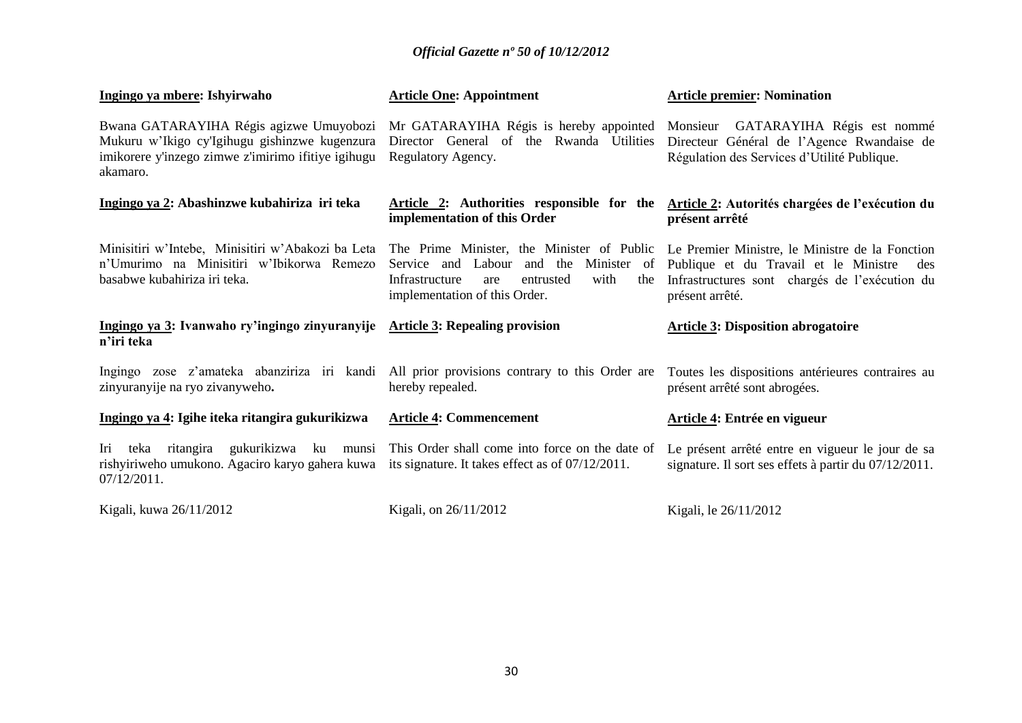| Ingingo ya mbere: Ishyirwaho                                                                                                                                              | <b>Article One: Appointment</b>                                                                                                               | <b>Article premier: Nomination</b>                                                                                                                                   |
|---------------------------------------------------------------------------------------------------------------------------------------------------------------------------|-----------------------------------------------------------------------------------------------------------------------------------------------|----------------------------------------------------------------------------------------------------------------------------------------------------------------------|
| Bwana GATARAYIHA Régis agizwe Umuyobozi<br>Mukuru w'Ikigo cy'Igihugu gishinzwe kugenzura<br>imikorere y'inzego zimwe z'imirimo ifitiye igihugu<br>akamaro.                | Mr GATARAYIHA Régis is hereby appointed Monsieur GATARAYIHA Régis est nommé<br>Director General of the Rwanda Utilities<br>Regulatory Agency. | Directeur Général de l'Agence Rwandaise de<br>Régulation des Services d'Utilité Publique.                                                                            |
| Ingingo ya 2: Abashinzwe kubahiriza iri teka                                                                                                                              | Article 2: Authorities responsible for the<br>implementation of this Order                                                                    | Article 2: Autorités chargées de l'exécution du<br>présent arrêté                                                                                                    |
| Minisitiri w'Intebe, Minisitiri w'Abakozi ba Leta The Prime Minister, the Minister of Public<br>n'Umurimo na Minisitiri w'Ibikorwa Remezo<br>basabwe kubahiriza iri teka. | Minister of<br>Service and Labour<br>and the<br>with<br>Infrastructure<br>the<br>entrusted<br>are<br>implementation of this Order.            | Le Premier Ministre, le Ministre de la Fonction<br>Publique et du Travail et le Ministre<br>des<br>Infrastructures sont chargés de l'exécution du<br>présent arrêté. |
|                                                                                                                                                                           |                                                                                                                                               |                                                                                                                                                                      |
| Ingingo ya 3: Ivanwaho ry'ingingo zinyuranyije Article 3: Repealing provision<br>n'iri teka                                                                               |                                                                                                                                               | <b>Article 3: Disposition abrogatoire</b>                                                                                                                            |
| Ingingo zose z'amateka abanziriza iri kandi All prior provisions contrary to this Order are<br>zinyuranyije na ryo zivanyweho.                                            | hereby repealed.                                                                                                                              | Toutes les dispositions antérieures contraires au<br>présent arrêté sont abrogées.                                                                                   |
| Ingingo ya 4: Igihe iteka ritangira gukurikizwa                                                                                                                           | <b>Article 4: Commencement</b>                                                                                                                | Article 4: Entrée en vigueur                                                                                                                                         |
| Iri teka ritangira gukurikizwa ku munsi<br>rishyiriweho umukono. Agaciro karyo gahera kuwa<br>$07/12/2011$ .                                                              | This Order shall come into force on the date of<br>its signature. It takes effect as of 07/12/2011.                                           | Le présent arrêté entre en vigueur le jour de sa<br>signature. Il sort ses effets à partir du 07/12/2011.                                                            |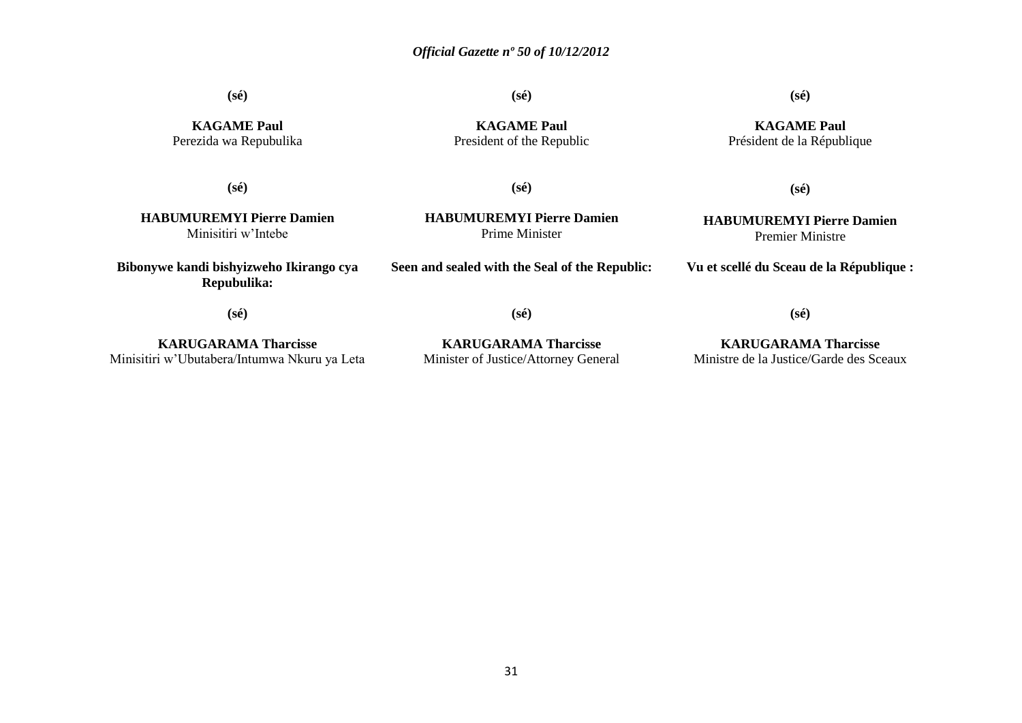**(sé)**

**(sé)**

**KAGAME Paul**

### **(sé)**

**KAGAME Paul** Président de la République

**KAGAME Paul** Perezida wa Repubulika

**(sé)**

President of the Republic

**HABUMUREMYI Pierre Damien** Minisitiri w'Intebe

**HABUMUREMYI Pierre Damien** Prime Minister

**(sé)**

**Bibonywe kandi bishyizweho Ikirango cya Repubulika:**

**Seen and sealed with the Seal of the Republic:**

**Vu et scellé du Sceau de la République :**

**(sé)**

**KARUGARAMA Tharcisse** Minisitiri w'Ubutabera/Intumwa Nkuru ya Leta

**KARUGARAMA Tharcisse** Minister of Justice/Attorney General

**(sé)**

**KARUGARAMA Tharcisse** Ministre de la Justice/Garde des Sceaux

**(sé)**

**(sé)**

**HABUMUREMYI Pierre Damien** Premier Ministre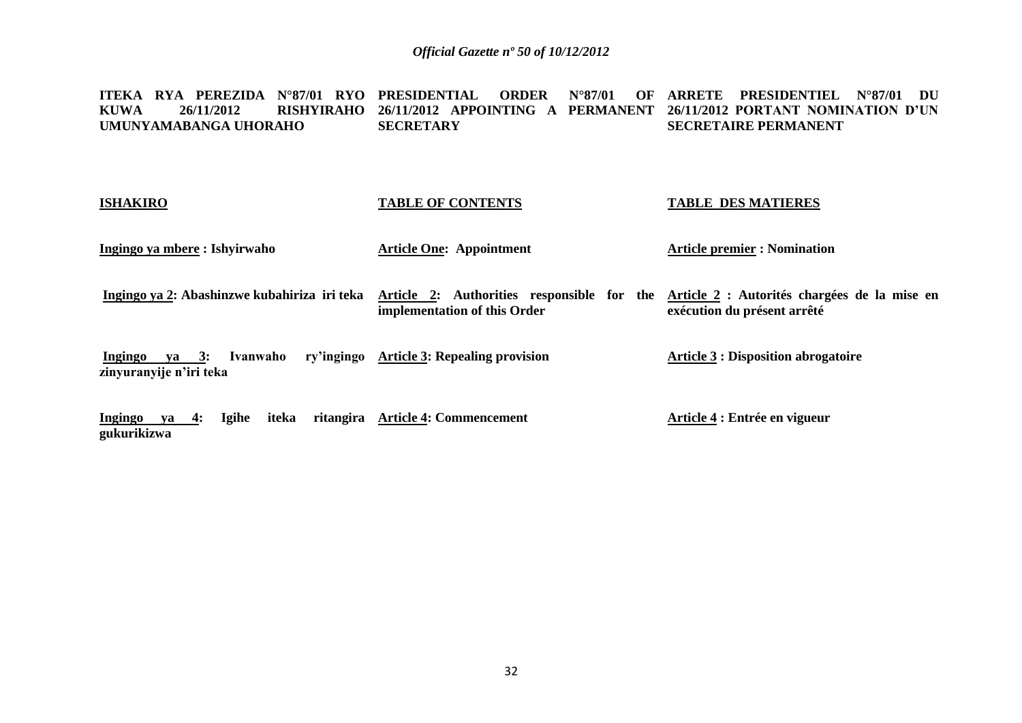**ITEKA RYA PEREZIDA N°87/01 RYO PRESIDENTIAL ORDER N°87/01 OF ARRETE PRESIDENTIEL N°87/01 DU KUWA 26/11/2012 RISHYIRAHO 26/11/2012 APPOINTING A PERMANENT 26/11/2012 PORTANT NOMINATION D'UN UMUNYAMABANGA UHORAHO SECRETARY SECRETAIRE PERMANENT**

| <b>ISHAKIRO</b>                                         | <b>TABLE OF CONTENTS</b>                                                   | <b>TABLE DES MATIERES</b>                                                   |
|---------------------------------------------------------|----------------------------------------------------------------------------|-----------------------------------------------------------------------------|
| Ingingo ya mbere : Ishyirwaho                           | <b>Article One: Appointment</b>                                            | <b>Article premier : Nomination</b>                                         |
| Ingingo ya 2: Abashinzwe kubahiriza iri teka            | Article 2: Authorities responsible for the<br>implementation of this Order | Article 2 : Autorités chargées de la mise en<br>exécution du présent arrêté |
| Ivanwaho<br>Ingingo<br>ya 3:<br>zinyuranyije n'iri teka | ry'ingingo Article 3: Repealing provision                                  | <b>Article 3 : Disposition abrogatoire</b>                                  |
| Ingingo<br><b>Igihe</b><br>$ya = 4$ :                   | iteka ritangira Article 4: Commencement                                    | Article 4 : Entrée en vigueur                                               |

**gukurikizwa**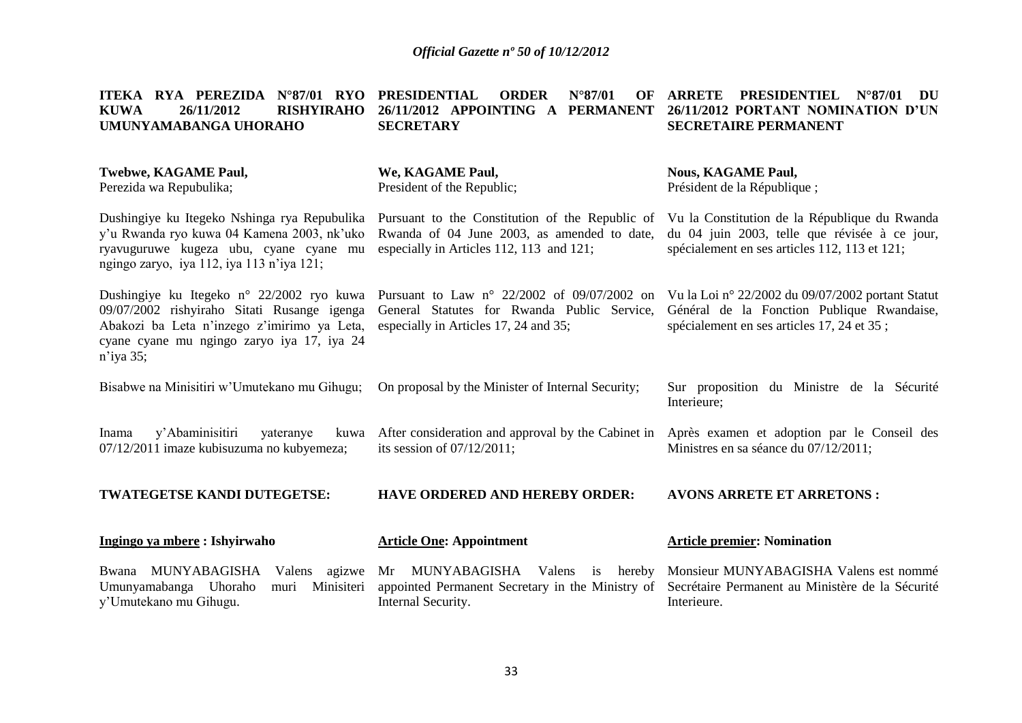| ITEKA RYA PEREZIDA<br>$N^{\circ}87/01$ RYO<br>26/11/2012<br><b>RISHYIRAHO</b><br><b>KUWA</b><br>UMUNYAMABANGA UHORAHO                                                                              | <b>PRESIDENTIAL</b><br><b>ORDER</b><br>$N^{\circ}87/01$<br>OF<br>26/11/2012 APPOINTING A<br><b>PERMANENT</b><br><b>SECRETARY</b>             | <b>ARRETE</b><br><b>PRESIDENTIEL</b><br>$N^{\circ}87/01$<br>DU<br>26/11/2012 PORTANT NOMINATION D'UN<br><b>SECRETAIRE PERMANENT</b>             |
|----------------------------------------------------------------------------------------------------------------------------------------------------------------------------------------------------|----------------------------------------------------------------------------------------------------------------------------------------------|-------------------------------------------------------------------------------------------------------------------------------------------------|
| <b>Twebwe, KAGAME Paul,</b><br>Perezida wa Repubulika;                                                                                                                                             | We, KAGAME Paul,<br>President of the Republic;                                                                                               | <b>Nous, KAGAME Paul,</b><br>Président de la République;                                                                                        |
| Dushingiye ku Itegeko Nshinga rya Repubulika<br>y'u Rwanda ryo kuwa 04 Kamena 2003, nk'uko<br>ryavuguruwe kugeza ubu, cyane cyane mu<br>ngingo zaryo, iya 112, iya 113 n'iya 121;                  | Pursuant to the Constitution of the Republic of<br>Rwanda of 04 June 2003, as amended to date,<br>especially in Articles 112, 113 and 121;   | Vu la Constitution de la République du Rwanda<br>du 04 juin 2003, telle que révisée à ce jour,<br>spécialement en ses articles 112, 113 et 121; |
| Dushingiye ku Itegeko n° 22/2002 ryo kuwa<br>09/07/2002 rishyiraho Sitati Rusange igenga<br>Abakozi ba Leta n'inzego z'imirimo ya Leta,<br>cyane cyane mu ngingo zaryo iya 17, iya 24<br>n'iya 35; | Pursuant to Law $n^{\circ}$ 22/2002 of 09/07/2002 on<br>General Statutes for Rwanda Public Service,<br>especially in Articles 17, 24 and 35; | Vu la Loi nº 22/2002 du 09/07/2002 portant Statut<br>Général de la Fonction Publique Rwandaise,<br>spécialement en ses articles 17, 24 et 35;   |
| Bisabwe na Minisitiri w'Umutekano mu Gihugu;                                                                                                                                                       | On proposal by the Minister of Internal Security;                                                                                            | Sur proposition du Ministre de<br>la Sécurité<br>Interieure;                                                                                    |
| y'Abaminisitiri<br>yateranye<br>Inama<br>kuwa<br>07/12/2011 imaze kubisuzuma no kubyemeza;                                                                                                         | After consideration and approval by the Cabinet in<br>its session of $07/12/2011$ ;                                                          | Après examen et adoption par le Conseil des<br>Ministres en sa séance du 07/12/2011;                                                            |
| TWATEGETSE KANDI DUTEGETSE:                                                                                                                                                                        | <b>HAVE ORDERED AND HEREBY ORDER:</b>                                                                                                        | <b>AVONS ARRETE ET ARRETONS:</b>                                                                                                                |
| Ingingo ya mbere: Ishyirwaho                                                                                                                                                                       | <b>Article One: Appointment</b>                                                                                                              | <b>Article premier: Nomination</b>                                                                                                              |

y'Umutekano mu Gihugu.

Bwana MUNYABAGISHA Valens agizwe Mr MUNYABAGISHA Valens is hereby Monsieur MUNYABAGISHA Valens est nommé Umunyamabanga Uhoraho muri Minisiteri appointed Permanent Secretary in the Ministry of Secrétaire Permanent au Ministère de la Sécurité Internal Security.

Interieure.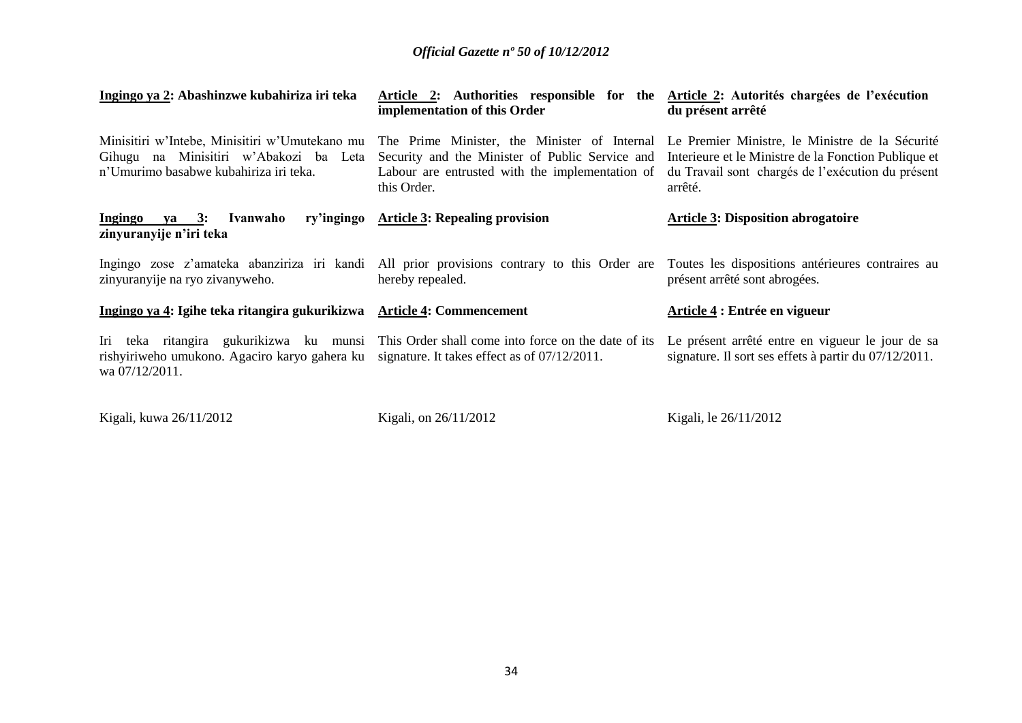| Ingingo ya 2: Abashinzwe kubahiriza iri teka                                                                                       | Article 2: Authorities responsible for the Article 2: Autorités chargées de l'exécution<br>implementation of this Order                                                                                           | du présent arrêté                                                                                                    |
|------------------------------------------------------------------------------------------------------------------------------------|-------------------------------------------------------------------------------------------------------------------------------------------------------------------------------------------------------------------|----------------------------------------------------------------------------------------------------------------------|
| Minisitiri w'Intebe, Minisitiri w'Umutekano mu<br>Gihugu na Minisitiri w'Abakozi ba Leta<br>n'Umurimo basabwe kubahiriza iri teka. | The Prime Minister, the Minister of Internal Le Premier Ministre, le Ministre de la Sécurité<br>Security and the Minister of Public Service and<br>Labour are entrusted with the implementation of<br>this Order. | Interieure et le Ministre de la Fonction Publique et<br>du Travail sont chargés de l'exécution du présent<br>arrêté. |
| Ivanwaho<br>ry'ingingo<br>Ingingo ya 3:<br>zinyuranyije n'iri teka                                                                 | <b>Article 3: Repealing provision</b>                                                                                                                                                                             | <b>Article 3: Disposition abrogatoire</b>                                                                            |
| zinyuranyije na ryo zivanyweho.                                                                                                    | Ingingo zose z'amateka abanziriza iri kandi All prior provisions contrary to this Order are Toutes les dispositions antérieures contraires au<br>hereby repealed.                                                 | présent arrêté sont abrogées.                                                                                        |
| Ingingo ya 4: Igihe teka ritangira gukurikizwa                                                                                     | <b>Article 4: Commencement</b>                                                                                                                                                                                    | Article 4 : Entrée en vigueur                                                                                        |
| rishyiriweho umukono. Agaciro karyo gahera ku signature. It takes effect as of 07/12/2011.<br>wa 07/12/2011.                       | Iri teka ritangira gukurikizwa ku munsi This Order shall come into force on the date of its                                                                                                                       | Le présent arrêté entre en vigueur le jour de sa<br>signature. Il sort ses effets à partir du 07/12/2011.            |

Kigali, kuwa 26/11/2012

Kigali, on 26/11/2012

Kigali, le 26/11/2012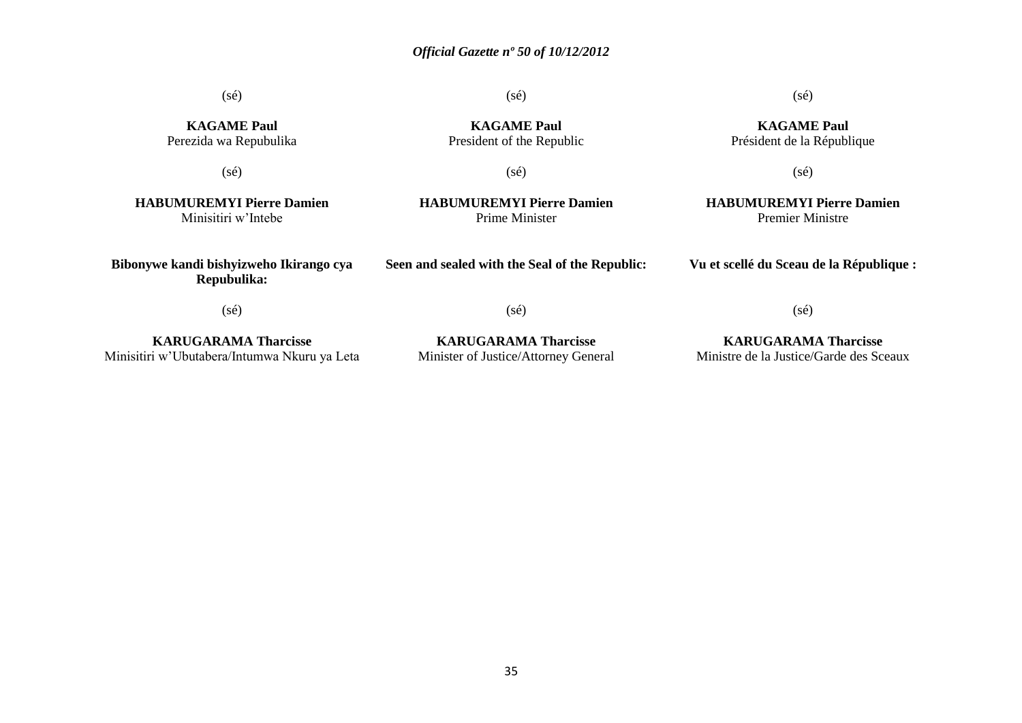(sé)

(sé)

### (sé)

**KAGAME Paul** Président de la République

**KAGAME Paul** Perezida wa Repubulika

(sé)

**KAGAME Paul** President of the Republic

(sé)

(sé)

**HABUMUREMYI Pierre Damien** Premier Ministre

**HABUMUREMYI Pierre Damien** Minisitiri w'Intebe

**Bibonywe kandi bishyizweho Ikirango cya Repubulika:**

**HABUMUREMYI Pierre Damien** Prime Minister

**Seen and sealed with the Seal of the Republic:**

**Vu et scellé du Sceau de la République :**

(sé)

**KARUGARAMA Tharcisse** Minisitiri w'Ubutabera/Intumwa Nkuru ya Leta

**KARUGARAMA Tharcisse** Minister of Justice/Attorney General

(sé)

**KARUGARAMA Tharcisse** Ministre de la Justice/Garde des Sceaux

(sé)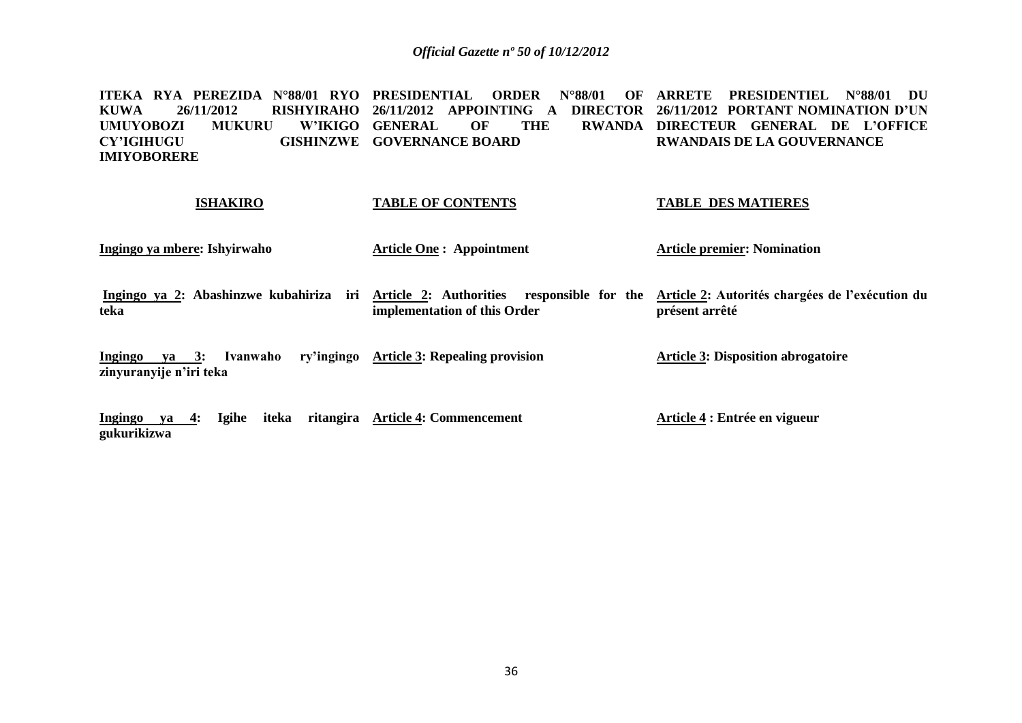**ITEKA RYA PEREZIDA N°88/01 RYO PRESIDENTIAL ORDER N°88/01 OF ARRETE PRESIDENTIEL N°88/01 DU KUWA 26/11/2012 RISHYIRAHO 26/11/2012 APPOINTING A DIRECTOR 26/11/2012 PORTANT NOMINATION D'UN UMUYOBOZI MUKURU CY'IGIHUGU IMIYOBORERE W'IKIGO GENERAL OF THE GISHINZWE GOVERNANCE BOARD DIRECTEUR GENERAL DE L'OFFICE RWANDAIS DE LA GOUVERNANCE** 

## **ISHAKIRO Ingingo ya mbere: Ishyirwaho**  Ingingo ya 2: Abashinzwe kubahiriza iri Article 2: Authorities responsible for the Article 2: Autorités chargées de l'exécution du **teka Ingingo ya 3: Ivanwaho ry'ingingo Article 3: Repealing provision zinyuranyije n'iri teka TABLE OF CONTENTS Article One : Appointment implementation of this Order TABLE DES MATIERES Article premier: Nomination présent arrêté Article 3: Disposition abrogatoire**

**Ingingo ya 4: Igihe iteka ritangira Article 4: Commencement gukurikizwa Article 4 : Entrée en vigueur**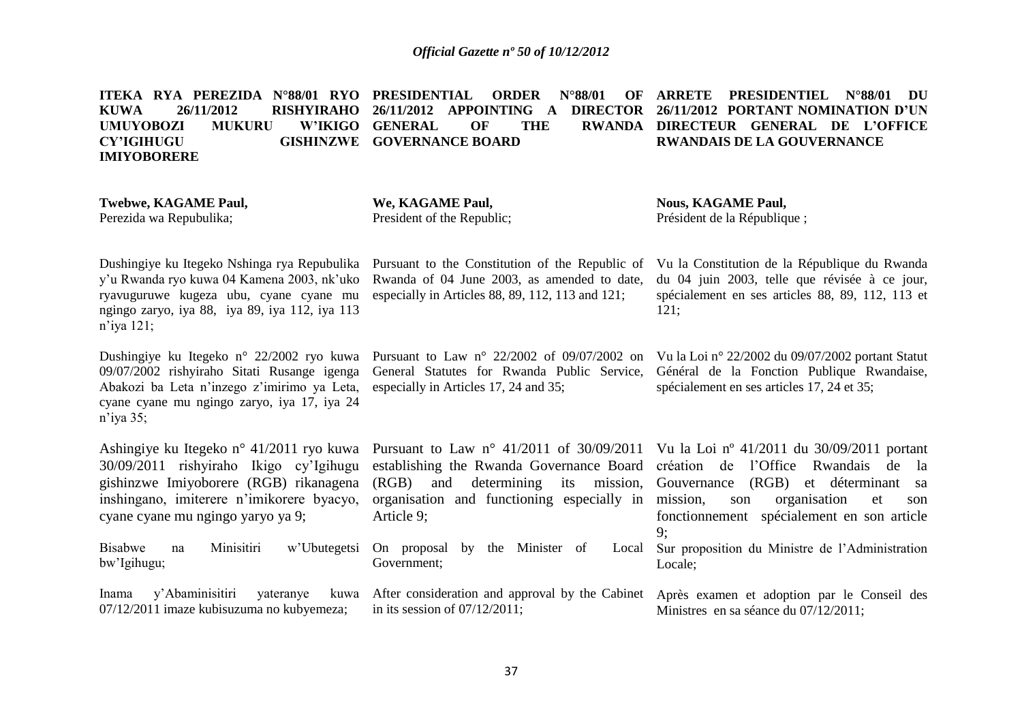|                    |  |  | ITEKA RYA PEREZIDA N°88/01 RYO PRESIDENTIAL ORDER N°88/01 OF ARRETE PRESIDENTIEL N°88/01 DU             |            |  |                                      |  |  |
|--------------------|--|--|---------------------------------------------------------------------------------------------------------|------------|--|--------------------------------------|--|--|
| KUWA               |  |  | 26/11/2012       RISHYIRAHO  26/11/2012  APPOINTING   A   DIRECTOR  26/11/2012  PORTANT NOMINATION D'UN |            |  |                                      |  |  |
|                    |  |  | UMUYOBOZI MUKURU W'IKIGO GENERAL OF                                                                     | <b>THE</b> |  | RWANDA DIRECTEUR GENERAL DE L'OFFICE |  |  |
| CY'IGHUGU          |  |  | <b>GISHINZWE GOVERNANCE BOARD</b>                                                                       |            |  | <b>RWANDAIS DE LA GOUVERNANCE</b>    |  |  |
| <b>IMIYOBORERE</b> |  |  |                                                                                                         |            |  |                                      |  |  |
|                    |  |  |                                                                                                         |            |  |                                      |  |  |

| <b>Twebwe, KAGAME Paul,</b><br>Perezida wa Repubulika;                                                                                                                                                         | We, KAGAME Paul,<br>President of the Republic;                                                                                                          | <b>Nous, KAGAME Paul,</b><br>Président de la République;                                                                                                                                                                                                                                           |
|----------------------------------------------------------------------------------------------------------------------------------------------------------------------------------------------------------------|---------------------------------------------------------------------------------------------------------------------------------------------------------|----------------------------------------------------------------------------------------------------------------------------------------------------------------------------------------------------------------------------------------------------------------------------------------------------|
| Dushingiye ku Itegeko Nshinga rya Repubulika<br>y'u Rwanda ryo kuwa 04 Kamena 2003, nk'uko<br>ryavuguruwe kugeza ubu, cyane cyane mu<br>ngingo zaryo, iya 88, iya 89, iya 112, iya 113<br>$n$ 'iya 121;        | Pursuant to the Constitution of the Republic of<br>Rwanda of 04 June 2003, as amended to date,<br>especially in Articles $88, 89, 112, 113$ and $121$ ; | Vu la Constitution de la République du Rwanda<br>du 04 juin 2003, telle que révisée à ce jour,<br>spécialement en ses articles 88, 89, 112, 113 et<br>121;                                                                                                                                         |
| Dushingiye ku Itegeko n° 22/2002 ryo kuwa<br>09/07/2002 rishyiraho Sitati Rusange igenga<br>Abakozi ba Leta n'inzego z'imirimo ya Leta,<br>cyane cyane mu ngingo zaryo, iya 17, iya 24<br>$n$ 'iya 35;         | Pursuant to Law $n^{\circ}$ 22/2002 of 09/07/2002 on<br>General Statutes for Rwanda Public Service,<br>especially in Articles 17, 24 and 35;            | Vu la Loi nº 22/2002 du 09/07/2002 portant Statut<br>Général de la Fonction Publique Rwandaise,<br>spécialement en ses articles 17, 24 et 35;                                                                                                                                                      |
| Ashingiye ku Itegeko n° 41/2011 ryo kuwa<br>30/09/2011 rishyiraho Ikigo cy'lgihugu<br>gishinzwe Imiyoborere (RGB) rikanagena<br>inshingano, imiterere n'imikorere byacyo,<br>cyane cyane mu ngingo yaryo ya 9; | establishing the Rwanda Governance Board<br>determining<br>(RGB)<br>and<br>its<br>organisation and functioning especially in<br>Article 9;              | Pursuant to Law n° 41/2011 of 30/09/2011 Vu la Loi n° 41/2011 du 30/09/2011 portant<br>l'Office<br>création de<br>Rwandais de<br>- la<br>(RGB)<br>et déterminant<br>mission, Gouvernance<br>sa<br>mission,<br>organisation<br>son<br>et<br>son<br>fonctionnement spécialement en son article<br>9; |
| Minisitiri<br><b>Bisabwe</b><br>w'Ubutegetsi<br>na<br>bw'Igihugu;                                                                                                                                              | On proposal<br>by the Minister of<br>Local<br>Government;                                                                                               | Sur proposition du Ministre de l'Administration<br>Locale;                                                                                                                                                                                                                                         |
| y'Abaminisitiri<br>Inama<br>yateranye<br>kuwa<br>07/12/2011 imaze kubisuzuma no kubyemeza;                                                                                                                     | After consideration and approval by the Cabinet<br>in its session of $07/12/2011$ ;                                                                     | Après examen et adoption par le Conseil des<br>Ministres en sa séance du 07/12/2011;                                                                                                                                                                                                               |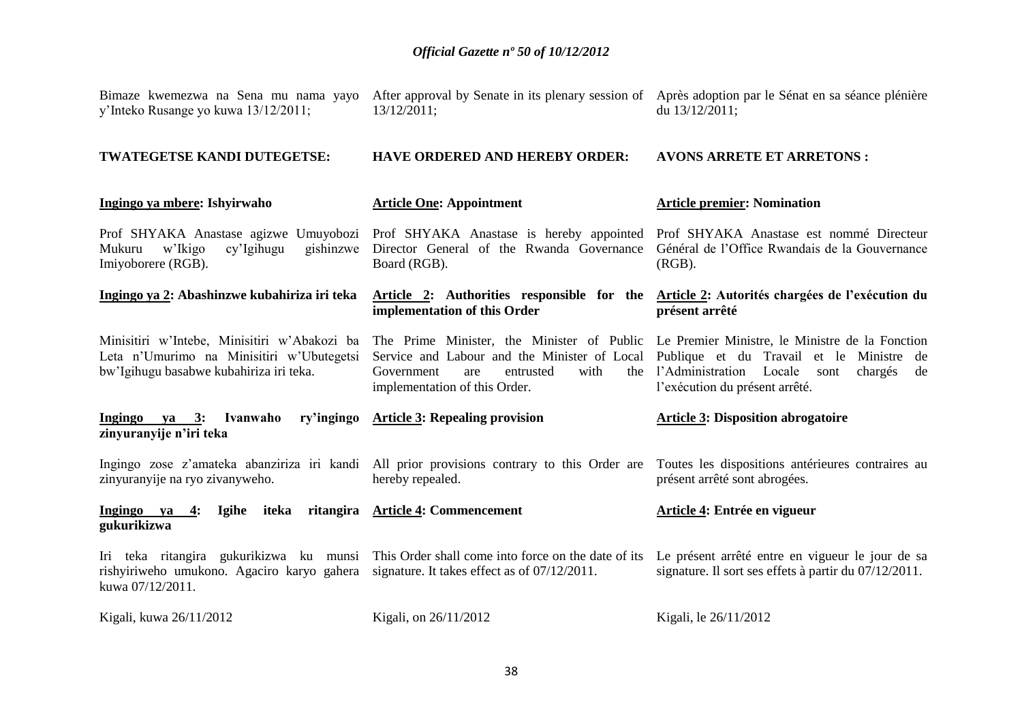| y'Inteko Rusange yo kuwa 13/12/2011;                                                                                                 | Bimaze kwemezwa na Sena mu nama yayo After approval by Senate in its plenary session of Après adoption par le Sénat en sa séance plénière<br>13/12/2011;                                                              | du 13/12/2011;                                                                                                                     |
|--------------------------------------------------------------------------------------------------------------------------------------|-----------------------------------------------------------------------------------------------------------------------------------------------------------------------------------------------------------------------|------------------------------------------------------------------------------------------------------------------------------------|
| TWATEGETSE KANDI DUTEGETSE:                                                                                                          | <b>HAVE ORDERED AND HEREBY ORDER:</b>                                                                                                                                                                                 | <b>AVONS ARRETE ET ARRETONS:</b>                                                                                                   |
| Ingingo ya mbere: Ishyirwaho                                                                                                         | <b>Article One: Appointment</b>                                                                                                                                                                                       | <b>Article premier: Nomination</b>                                                                                                 |
| w'Ikigo<br>cy'Igihugu<br>gishinzwe<br>Mukuru<br>Imiyoborere (RGB).                                                                   | Prof SHYAKA Anastase agizwe Umuyobozi Prof SHYAKA Anastase is hereby appointed<br>Director General of the Rwanda Governance<br>Board (RGB).                                                                           | Prof SHYAKA Anastase est nommé Directeur<br>Général de l'Office Rwandais de la Gouvernance<br>$(RGB)$ .                            |
| Ingingo ya 2: Abashinzwe kubahiriza iri teka                                                                                         | Article 2: Authorities responsible for the Article 2: Autorités chargées de l'exécution du<br>implementation of this Order                                                                                            | présent arrêté                                                                                                                     |
| Minisitiri w'Intebe, Minisitiri w'Abakozi ba<br>Leta n'Umurimo na Minisitiri w'Ubutegetsi<br>bw'Igihugu basabwe kubahiriza iri teka. | The Prime Minister, the Minister of Public Le Premier Ministre, le Ministre de la Fonction<br>Service and Labour and the Minister of Local<br>with<br>Government<br>entrusted<br>are<br>implementation of this Order. | Publique et du Travail et le Ministre de<br>the l'Administration Locale<br>chargés<br>sont<br>de<br>l'exécution du présent arrêté. |
| ry'ingingo<br>Ingingo ya 3: Ivanwaho<br>zinyuranyije n'iri teka                                                                      | <b>Article 3: Repealing provision</b>                                                                                                                                                                                 | <b>Article 3: Disposition abrogatoire</b>                                                                                          |
| zinyuranyije na ryo zivanyweho.                                                                                                      | Ingingo zose z'amateka abanziriza iri kandi All prior provisions contrary to this Order are<br>hereby repealed.                                                                                                       | Toutes les dispositions antérieures contraires au<br>présent arrêté sont abrogées.                                                 |
| Ingingo ya 4:<br><b>Igihe</b><br>iteka<br>ritangira<br>gukurikizwa                                                                   | <b>Article 4: Commencement</b>                                                                                                                                                                                        | Article 4: Entrée en vigueur                                                                                                       |
| rishyiriweho umukono. Agaciro karyo gahera<br>kuwa 07/12/2011.                                                                       | Iri teka ritangira gukurikizwa ku munsi This Order shall come into force on the date of its<br>signature. It takes effect as of 07/12/2011.                                                                           | Le présent arrêté entre en vigueur le jour de sa<br>signature. Il sort ses effets à partir du 07/12/2011.                          |
| Kigali, kuwa 26/11/2012                                                                                                              | Kigali, on 26/11/2012                                                                                                                                                                                                 | Kigali, le 26/11/2012                                                                                                              |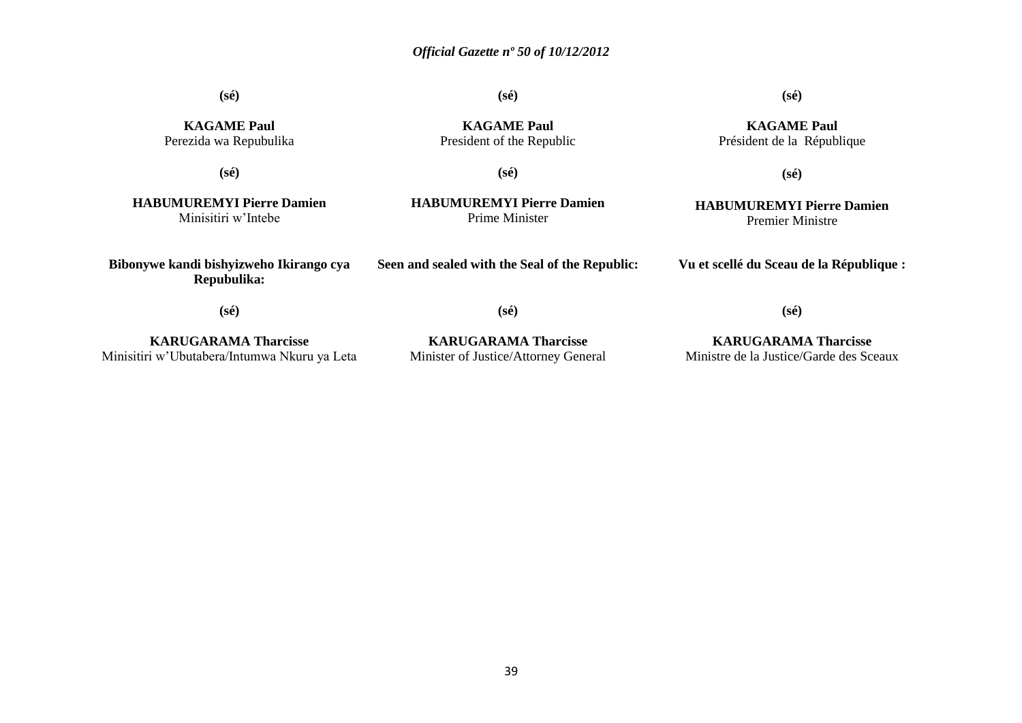**(sé)**

**(sé)**

**(sé)**

**KAGAME Paul** Président de la République

**(sé)**

**HABUMUREMYI Pierre Damien**

**KAGAME Paul** Perezida wa Repubulika

**(sé)**

**KAGAME Paul** President of the Republic

**(sé)**

**HABUMUREMYI Pierre Damien** Minisitiri w'Intebe

**Bibonywe kandi bishyizweho Ikirango cya Repubulika:**

**HABUMUREMYI Pierre Damien** Prime Minister

**Seen and sealed with the Seal of the Republic:**

Premier Ministre

**Vu et scellé du Sceau de la République :**

**(sé)**

**(sé)**

**KARUGARAMA Tharcisse** Minisitiri w'Ubutabera/Intumwa Nkuru ya Leta

**KARUGARAMA Tharcisse** Minister of Justice/Attorney General

**(sé)**

**KARUGARAMA Tharcisse** Ministre de la Justice/Garde des Sceaux

39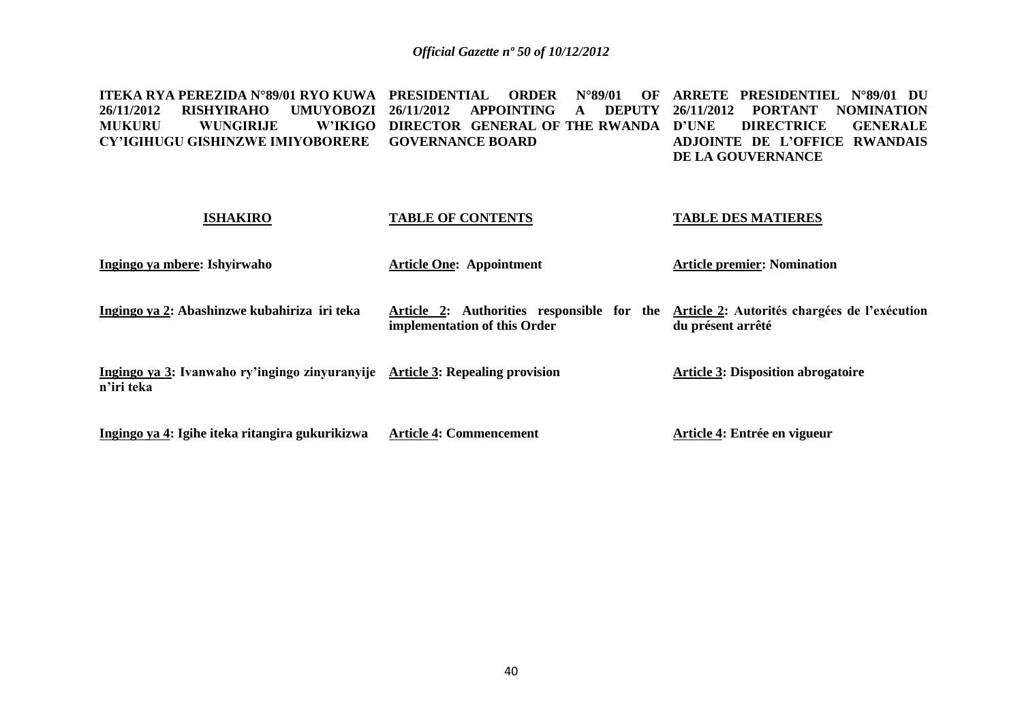**ITEKA RYA PEREZIDA N°89/01 RYO KUWA PRESIDENTIAL ORDER N°89/01 OF ARRETE PRESIDENTIEL N°89/01 DU 26/11/2012 RISHYIRAHO UMUYOBOZI 26/11/2012 APPOINTING A DEPUTY 26/11/2012 PORTANT NOMINATION MUKURU WUNGIRIJE CY'IGIHUGU GISHINZWE IMIYOBORERE GOVERNANCE BOARD DIRECTOR GENERAL OF THE RWANDA D'UNE DIRECTRICE GENERALE ADJOINTE DE L'OFFICE RWANDAIS DE LA GOUVERNANCE** 

| <b>ISHAKIRO</b>                                              | <b>TABLE OF CONTENTS</b>                                                   | <b>TABLE DES MATIERES</b>                                         |
|--------------------------------------------------------------|----------------------------------------------------------------------------|-------------------------------------------------------------------|
| Ingingo ya mbere: Ishyirwaho                                 | <b>Article One: Appointment</b>                                            | <b>Article premier: Nomination</b>                                |
| Ingingo ya 2: Abashinzwe kubahiriza iri teka                 | Article 2: Authorities responsible for the<br>implementation of this Order | Article 2: Autorités chargées de l'exécution<br>du présent arrêté |
| Ingingo ya 3: Ivanwaho ry'ingingo zinyuranyije<br>n'iri teka | <b>Article 3: Repealing provision</b>                                      | <b>Article 3: Disposition abrogatoire</b>                         |
| Ingingo ya 4: Igihe iteka ritangira gukurikizwa              | <b>Article 4: Commencement</b>                                             | Article 4: Entrée en vigueur                                      |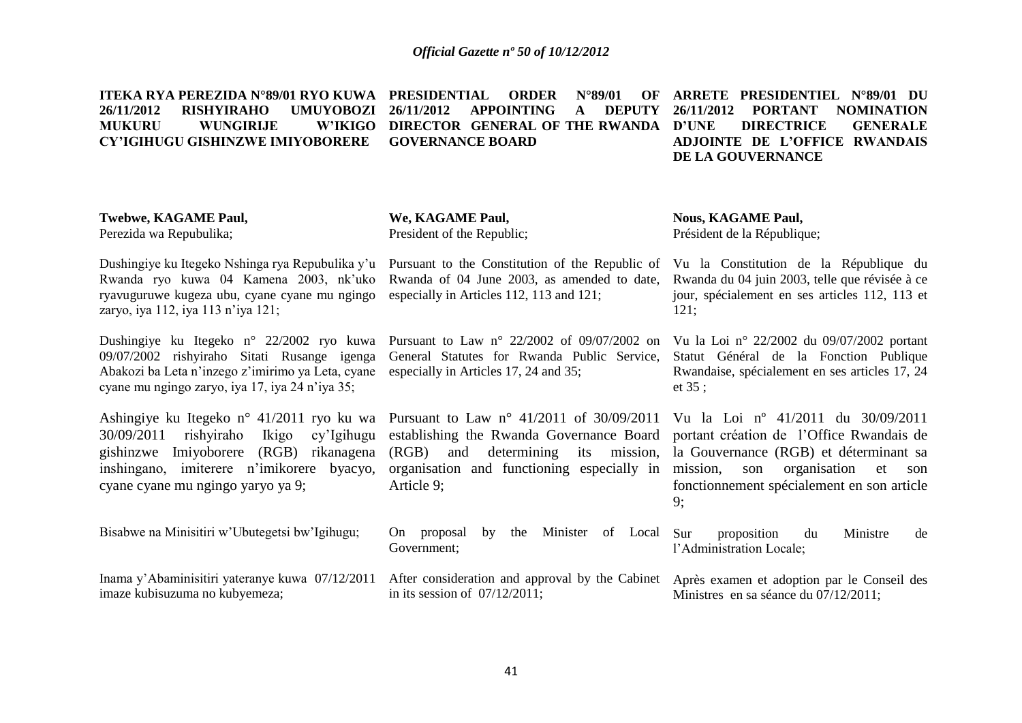**ITEKA RYA PEREZIDA N°89/01 RYO KUWA PRESIDENTIAL ORDER N°89/01 OF 26/11/2012 RISHYIRAHO UMUYOBOZI MUKURU WUNGIRLIE CY'IGIHUGU GISHINZWE IMIYOBORERE 26/11/2012 APPOINTING A DEPUTY W'IKIGO DIRECTOR GENERAL OF THE RWANDA D'UNE GOVERNANCE BOARD ARRETE PRESIDENTIEL N°89/01 DU 26/11/2012 PORTANT NOMINATION DIRECTRICE GENERALE ADJOINTE DE L'OFFICE RWANDAIS DE LA GOUVERNANCE** 

### **Twebwe, KAGAME Paul,**

Perezida wa Repubulika;

**We, KAGAME Paul,** President of the Republic;

Dushingiye ku Itegeko Nshinga rya Repubulika y'u Pursuant to the Constitution of the Republic of Vu la Constitution de la République du Rwanda ryo kuwa 04 Kamena 2003, nk'uko Rwanda of 04 June 2003, as amended to date, Rwanda du 04 juin 2003, telle que révisée à ce ryavuguruwe kugeza ubu, cyane cyane mu ngingo especially in Articles 112, 113 and 121; zaryo, iya 112, iya 113 n'iya 121;

Dushingiye ku Itegeko n° 22/2002 ryo kuwa Pursuant to Law n° 22/2002 of 09/07/2002 on Vu la Loi n° 22/2002 du 09/07/2002 portant Abakozi ba Leta n'inzego z'imirimo ya Leta, cyane cyane mu ngingo zaryo, iya 17, iya 24 n'iya 35;

inshingano, imiterere n'imikorere byacyo, cyane cyane mu ngingo yaryo ya 9;

Bisabwe na Minisitiri w'Ubutegetsi bw'Igihugu;

Inama y'Abaminisitiri yateranye kuwa 07/12/2011 After consideration and approval by the Cabinet Après examen et adoption par le Conseil des imaze kubisuzuma no kubyemeza;

09/07/2002 rishyiraho Sitati Rusange igenga General Statutes for Rwanda Public Service, Statut Général de la Fonction Publique especially in Articles 17, 24 and 35;

Ashingiye ku Itegeko n° 41/2011 ryo ku wa Pursuant to Law n° 41/2011 of 30/09/2011 Vu la Loi nº 41/2011 du 30/09/2011 30/09/2011 rishyiraho Ikigo cy'Igihugu establishing the Rwanda Governance Board portant création de l'Office Rwandais de gishinzwe Imiyoborere (RGB) rikanagena (RGB) and determining its mission, la Gouvernance (RGB) et déterminant sa organisation and functioning especially in mission, son organisation et son Article 9;

> On proposal by the Minister of Local Sur Government;

in its session of 07/12/2011;

**Nous, KAGAME Paul,** Président de la République;

jour, spécialement en ses articles 112, 113 et 121;

Rwandaise, spécialement en ses articles 17, 24 et 35 ;

fonctionnement spécialement en son article 9;

proposition du Ministre de l'Administration Locale;

Ministres en sa séance du 07/12/2011;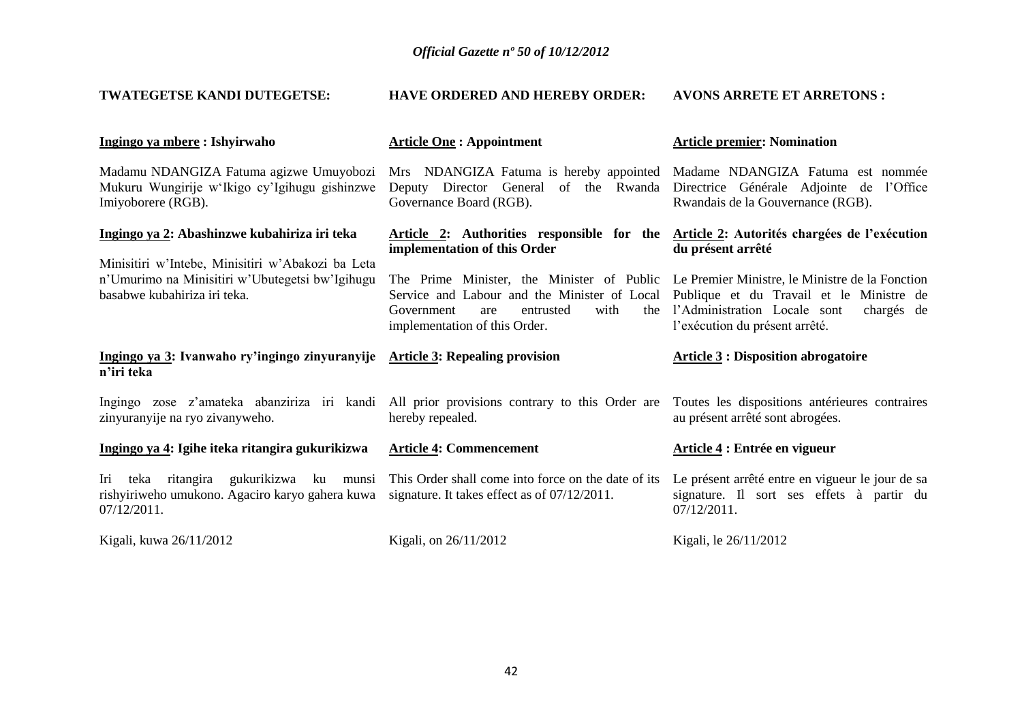| TWATEGETSE KANDI DUTEGETSE:                                                                                    | <b>HAVE ORDERED AND HEREBY ORDER:</b>                                                                                                                                                                                                                                 | <b>AVONS ARRETE ET ARRETONS:</b>                                                              |  |  |
|----------------------------------------------------------------------------------------------------------------|-----------------------------------------------------------------------------------------------------------------------------------------------------------------------------------------------------------------------------------------------------------------------|-----------------------------------------------------------------------------------------------|--|--|
| Ingingo ya mbere : Ishyirwaho                                                                                  | <b>Article One: Appointment</b>                                                                                                                                                                                                                                       | <b>Article premier: Nomination</b>                                                            |  |  |
| Madamu NDANGIZA Fatuma agizwe Umuyobozi<br>Mukuru Wungirije w'Ikigo cy'Igihugu gishinzwe<br>Imiyoborere (RGB). | Mrs NDANGIZA Fatuma is hereby appointed Madame NDANGIZA Fatuma est nommée<br>Deputy Director General of the Rwanda<br>Governance Board (RGB).                                                                                                                         | Directrice Générale Adjointe de l'Office<br>Rwandais de la Gouvernance (RGB).                 |  |  |
| Ingingo ya 2: Abashinzwe kubahiriza iri teka<br>Minisitiri w'Intebe, Minisitiri w'Abakozi ba Leta              | Article 2: Authorities responsible for the Article 2: Autorités chargées de l'exécution<br>implementation of this Order                                                                                                                                               | du présent arrêté                                                                             |  |  |
| n'Umurimo na Minisitiri w'Ubutegetsi bw'Igihugu<br>basabwe kubahiriza iri teka.                                | The Prime Minister, the Minister of Public Le Premier Ministre, le Ministre de la Fonction<br>Service and Labour and the Minister of Local Publique et du Travail et le Ministre de<br>with<br>the<br>Government<br>entrusted<br>are<br>implementation of this Order. | l'Administration Locale sont<br>chargés de<br>l'exécution du présent arrêté.                  |  |  |
| Ingingo ya 3: Ivanwaho ry'ingingo zinyuranyije Article 3: Repealing provision<br>n'iri teka                    |                                                                                                                                                                                                                                                                       | <b>Article 3 : Disposition abrogatoire</b>                                                    |  |  |
| zinyuranyije na ryo zivanyweho.                                                                                | Ingingo zose z'amateka abanziriza iri kandi All prior provisions contrary to this Order are Toutes les dispositions antérieures contraires<br>hereby repealed.                                                                                                        | au présent arrêté sont abrogées.                                                              |  |  |
| Ingingo ya 4: Igihe iteka ritangira gukurikizwa                                                                | <b>Article 4: Commencement</b>                                                                                                                                                                                                                                        | Article 4 : Entrée en vigueur                                                                 |  |  |
| teka ritangira gukurikizwa ku munsi<br>Iri<br>rishyiriweho umukono. Agaciro karyo gahera kuwa<br>07/12/2011.   | This Order shall come into force on the date of its<br>signature. It takes effect as of $07/12/2011$ .                                                                                                                                                                | Le présent arrêté entre en vigueur le jour de sa<br>signature. Il sort ses effets à partir du |  |  |
|                                                                                                                |                                                                                                                                                                                                                                                                       | 07/12/2011.                                                                                   |  |  |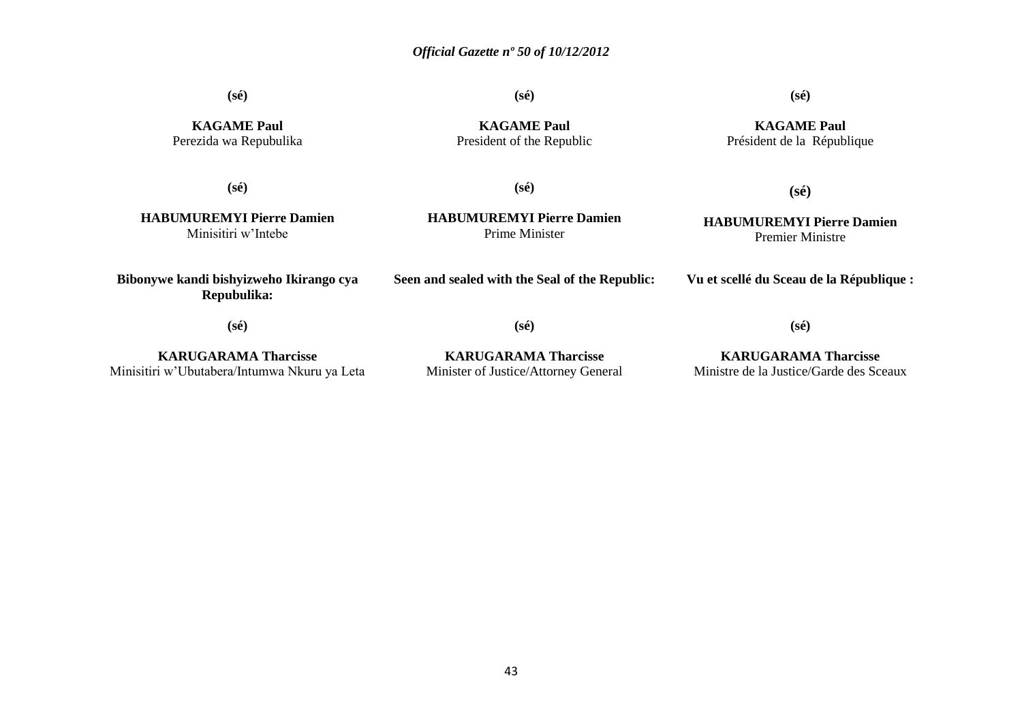**(sé)**

**(sé)**

**KAGAME Paul**

### **(sé)**

**KAGAME Paul** Président de la République

**KAGAME Paul** Perezida wa Repubulika

President of the Republic

**(sé)**

**(sé)**

**HABUMUREMYI Pierre Damien** Minisitiri w'Intebe

**HABUMUREMYI Pierre Damien** Prime Minister

### **HABUMUREMYI Pierre Damien** Premier Ministre

**(sé)**

**Vu et scellé du Sceau de la République :**

**(sé)**

**Bibonywe kandi bishyizweho Ikirango cya Repubulika:**

**KARUGARAMA Tharcisse** Minisitiri w'Ubutabera/Intumwa Nkuru ya Leta **(sé)**

**Seen and sealed with the Seal of the Republic:**

**KARUGARAMA Tharcisse** Minister of Justice/Attorney General

**KARUGARAMA Tharcisse** Ministre de la Justice/Garde des Sceaux

**(sé)**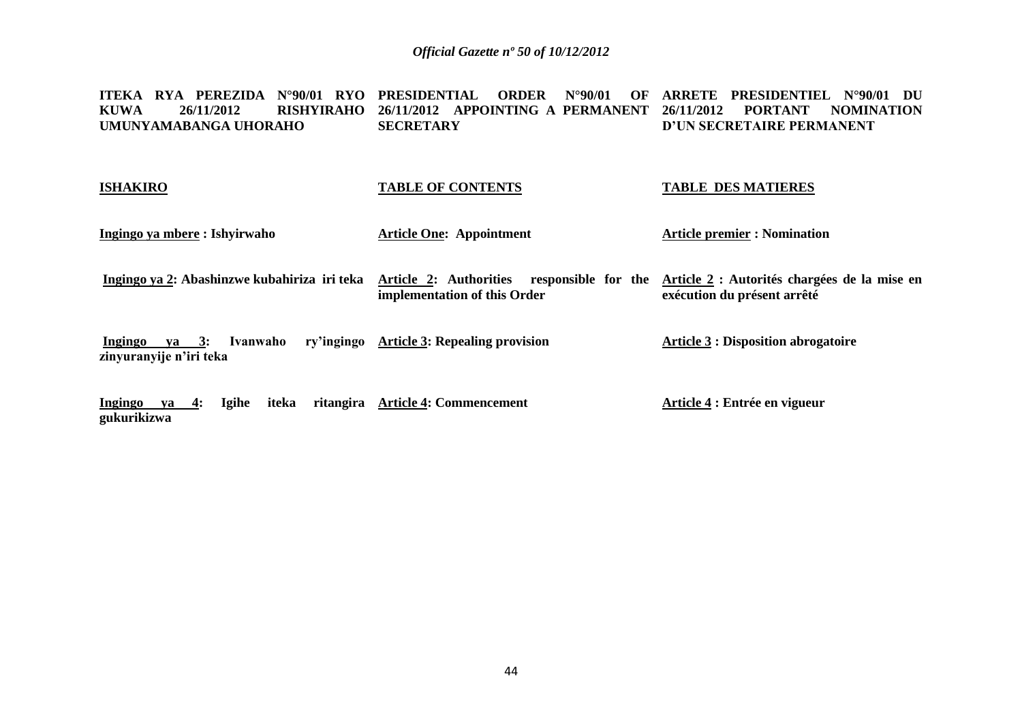**ITEKA RYA PEREZIDA N°90/01 RYO PRESIDENTIAL ORDER N°90/01 OF ARRETE PRESIDENTIEL N°90/01 DU KUWA 26/11/2012 RISHYIRAHO 26/11/2012 APPOINTING A PERMANENT 26/11/2012 PORTANT NOMINATION UMUNYAMABANGA UHORAHO SECRETARY D'UN SECRETAIRE PERMANENT**

| <b>ISHAKIRO</b>                                                    | <b>TABLE OF CONTENTS</b>                                                   | <b>TABLE DES MATIERES</b>                                                   |
|--------------------------------------------------------------------|----------------------------------------------------------------------------|-----------------------------------------------------------------------------|
| Ingingo ya mbere : Ishyirwaho                                      | <b>Article One: Appointment</b>                                            | <b>Article premier : Nomination</b>                                         |
| Ingingo ya 2: Abashinzwe kubahiriza iri teka                       | Article 2: Authorities responsible for the<br>implementation of this Order | Article 2 : Autorités chargées de la mise en<br>exécution du présent arrêté |
| $va = 3:$<br>Ivanwaho<br><b>Ingingo</b><br>zinyuranyije n'iri teka | ry'ingingo Article 3: Repealing provision                                  | <b>Article 3 : Disposition abrogatoire</b>                                  |
| Igihe<br>iteka<br>Ingingo<br>4:<br>va                              | ritangira Article 4: Commencement                                          | Article 4 : Entrée en vigueur                                               |

**gukurikizwa**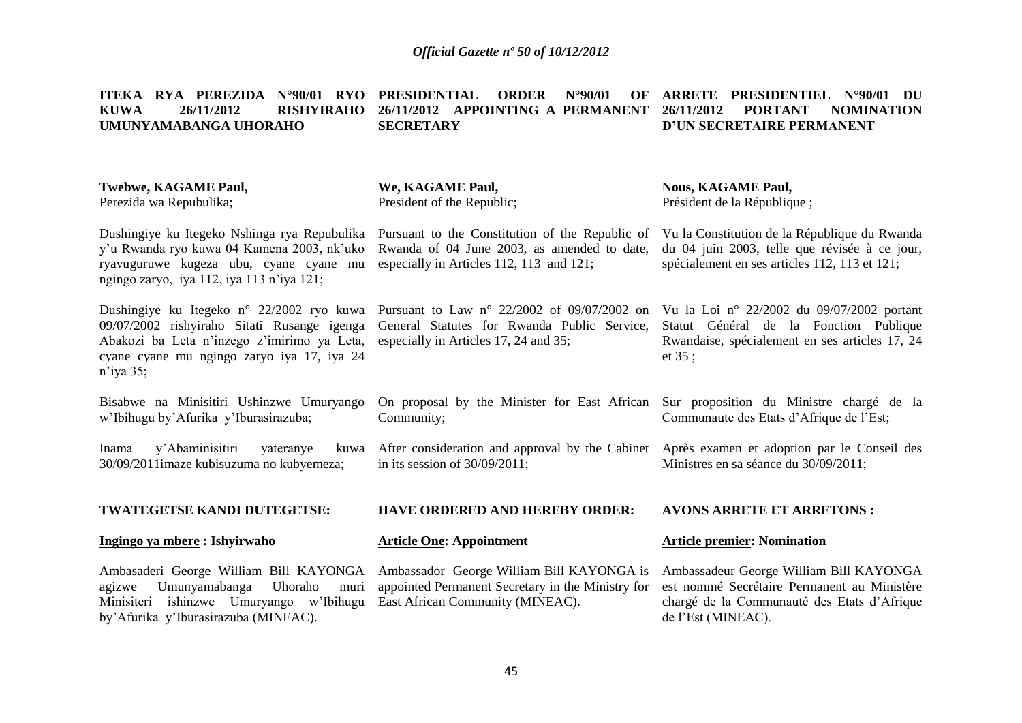|             |                       |  |           |  |  | ITEKA RYA PEREZIDA N°90/01 RYO PRESIDENTIAL ORDER N°90/01 OF ARRETE PRESIDENTIEL N°90/01 DU |  |
|-------------|-----------------------|--|-----------|--|--|---------------------------------------------------------------------------------------------|--|
| <b>KUWA</b> | 26/11/2012            |  |           |  |  | RISHYIRAHO 26/11/2012 APPOINTING A PERMANENT 26/11/2012 PORTANT NOMINATION                  |  |
|             | UMUNYAMABANGA UHORAHO |  | SECRETARY |  |  | D'UN SECRETAIRE PERMANENT                                                                   |  |
|             |                       |  |           |  |  |                                                                                             |  |

| Twebwe, KAGAME Paul,<br>Perezida wa Repubulika;                                                                                                                                                       | We, KAGAME Paul,<br>President of the Republic;                                                                                               | <b>Nous, KAGAME Paul,</b><br>Président de la République;                                                                                                    |
|-------------------------------------------------------------------------------------------------------------------------------------------------------------------------------------------------------|----------------------------------------------------------------------------------------------------------------------------------------------|-------------------------------------------------------------------------------------------------------------------------------------------------------------|
| Dushingiye ku Itegeko Nshinga rya Repubulika<br>y'u Rwanda ryo kuwa 04 Kamena 2003, nk'uko<br>ryavuguruwe kugeza ubu, cyane cyane mu<br>ngingo zaryo, iya 112, iya 113 n'iya 121;                     | Pursuant to the Constitution of the Republic of<br>Rwanda of 04 June 2003, as amended to date,<br>especially in Articles 112, 113 and 121;   | Vu la Constitution de la République du Rwanda<br>du 04 juin 2003, telle que révisée à ce jour,<br>spécialement en ses articles 112, 113 et 121;             |
| Dushingiye ku Itegeko n° 22/2002 ryo kuwa<br>09/07/2002 rishyiraho Sitati Rusange igenga<br>Abakozi ba Leta n'inzego z'imirimo ya Leta,<br>cyane cyane mu ngingo zaryo iya 17, iya 24<br>$n$ 'iya 35; | Pursuant to Law $n^{\circ}$ 22/2002 of 09/07/2002 on<br>General Statutes for Rwanda Public Service,<br>especially in Articles 17, 24 and 35; | Vu la Loi nº 22/2002 du 09/07/2002 portant<br>Statut Général de la Fonction Publique<br>Rwandaise, spécialement en ses articles 17, 24<br>et $35$ ;         |
| Bisabwe na Minisitiri Ushinzwe Umuryango<br>w'Ibihugu by'Afurika y'Iburasirazuba;                                                                                                                     | On proposal by the Minister for East African<br>Community;                                                                                   | Sur proposition du Ministre chargé de la<br>Communaute des Etats d'Afrique de l'Est;                                                                        |
| y'Abaminisitiri<br>yateranye<br>Inama<br>kuwa<br>30/09/2011imaze kubisuzuma no kubyemeza;                                                                                                             | After consideration and approval by the Cabinet Après examen et adoption par le Conseil des<br>in its session of $30/09/2011$ ;              | Ministres en sa séance du 30/09/2011;                                                                                                                       |
| TWATEGETSE KANDI DUTEGETSE:                                                                                                                                                                           | HAVE ORDERED AND HEREBY ORDER:                                                                                                               | <b>AVONS ARRETE ET ARRETONS:</b>                                                                                                                            |
| Ingingo ya mbere : Ishyirwaho                                                                                                                                                                         | <b>Article One: Appointment</b>                                                                                                              | <b>Article premier: Nomination</b>                                                                                                                          |
| Ambasaderi George William Bill KAYONGA<br>Uhoraho<br>Umunyamabanga<br>agizwe<br>muri<br>ishinzwe Umuryango w'Ibihugu<br>Minisiteri<br>by'Afurika y'Iburasirazuba (MINEAC).                            | Ambassador George William Bill KAYONGA is<br>appointed Permanent Secretary in the Ministry for<br>East African Community (MINEAC).           | Ambassadeur George William Bill KAYONGA<br>est nommé Secrétaire Permanent au Ministère<br>chargé de la Communauté des Etats d'Afrique<br>de l'Est (MINEAC). |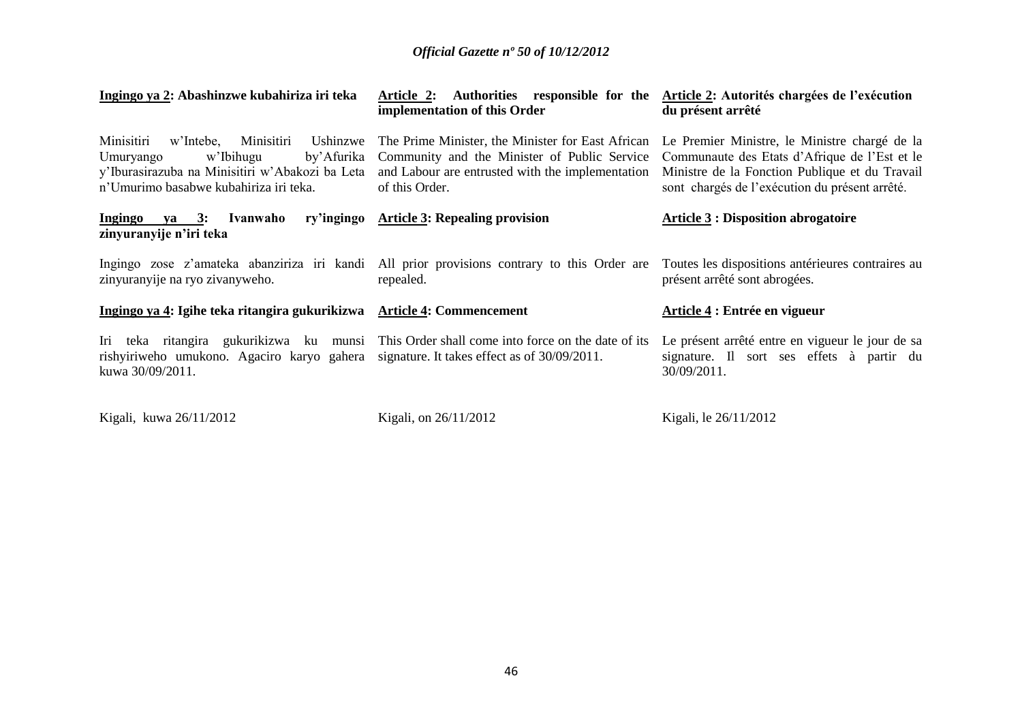| Ingingo ya 2: Abashinzwe kubahiriza iri teka                                                                                        | Article 2: Authorities responsible for the Article 2: Autorités chargées de l'exécution<br>implementation of this Order                                                                                                 | du présent arrêté                                                                                                                                                                                  |  |
|-------------------------------------------------------------------------------------------------------------------------------------|-------------------------------------------------------------------------------------------------------------------------------------------------------------------------------------------------------------------------|----------------------------------------------------------------------------------------------------------------------------------------------------------------------------------------------------|--|
| Minisitiri<br>Minisitiri<br>Ushinzwe<br>w'Intebe,<br>w'Ibihugu<br>by'Afurika<br>Umuryango<br>n'Umurimo basabwe kubahiriza iri teka. | The Prime Minister, the Minister for East African<br>Community and the Minister of Public Service<br>y'Iburasirazuba na Minisitiri w'Abakozi ba Leta and Labour are entrusted with the implementation<br>of this Order. | Le Premier Ministre, le Ministre chargé de la<br>Communaute des Etats d'Afrique de l'Est et le<br>Ministre de la Fonction Publique et du Travail<br>sont chargés de l'exécution du présent arrêté. |  |
| Ivanwaho<br>Ingingo ya 3:<br>zinyuranyije n'iri teka                                                                                | ry'ingingo Article 3: Repealing provision                                                                                                                                                                               | <b>Article 3 : Disposition abrogatoire</b>                                                                                                                                                         |  |
| zinyuranyije na ryo zivanyweho.                                                                                                     | Ingingo zose z'amateka abanziriza iri kandi All prior provisions contrary to this Order are<br>repealed.                                                                                                                | Toutes les dispositions antérieures contraires au<br>présent arrêté sont abrogées.                                                                                                                 |  |
| Ingingo ya 4: Igihe teka ritangira gukurikizwa Article 4: Commencement                                                              |                                                                                                                                                                                                                         | Article 4 : Entrée en vigueur                                                                                                                                                                      |  |
| rishyiriweho umukono. Agaciro karyo gahera<br>kuwa 30/09/2011.                                                                      | Iri teka ritangira gukurikizwa ku munsi This Order shall come into force on the date of its<br>signature. It takes effect as of 30/09/2011.                                                                             | Le présent arrêté entre en vigueur le jour de sa<br>signature. Il sort ses effets à partir du<br>30/09/2011.                                                                                       |  |
| Kigali, kuwa 26/11/2012                                                                                                             | Kigali, on 26/11/2012                                                                                                                                                                                                   | Kigali, le 26/11/2012                                                                                                                                                                              |  |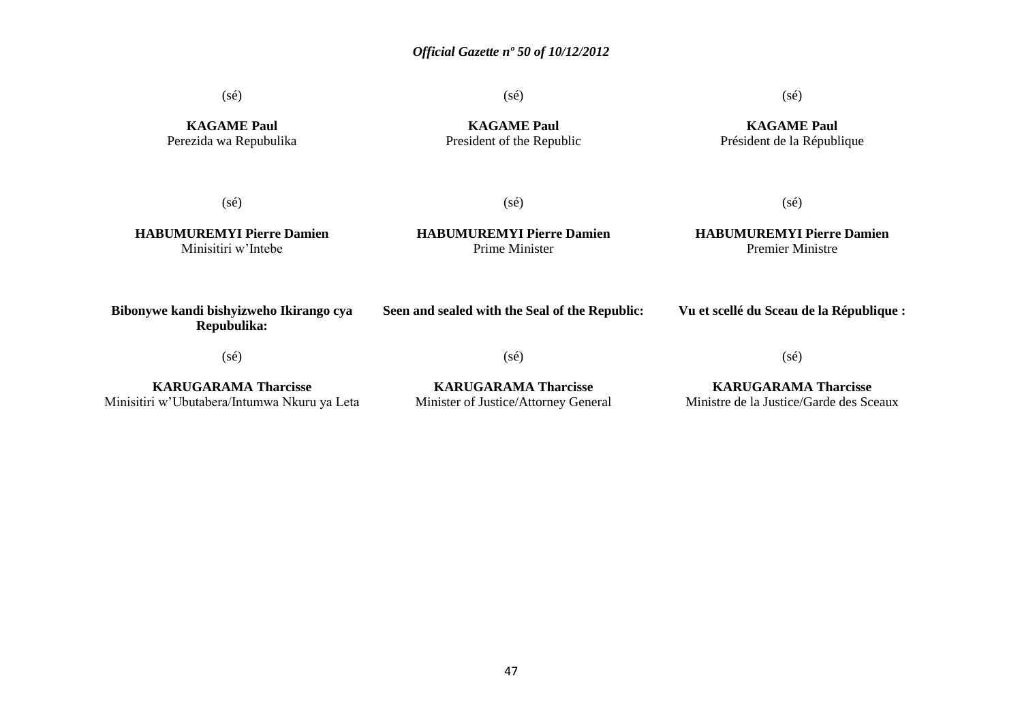(sé)

(sé)

(sé)

**KAGAME Paul** Perezida wa Repubulika

**KAGAME Paul** President of the Republic

# **KAGAME Paul**

Président de la République

(sé)

(sé)

**HABUMUREMYI Pierre Damien** Minisitiri w'Intebe

**HABUMUREMYI Pierre Damien** Prime Minister

### **HABUMUREMYI Pierre Damien** Premier Ministre

(sé)

| Bibonywe kandi bishyizweho Ikirango cya<br>Repubulika:                                               | Seen and sealed with the Seal of the Republic:                                                                                                                                                                                                                                                                                             | Vu et scellé du Sceau de la République :        |  |  |
|------------------------------------------------------------------------------------------------------|--------------------------------------------------------------------------------------------------------------------------------------------------------------------------------------------------------------------------------------------------------------------------------------------------------------------------------------------|-------------------------------------------------|--|--|
| (sé)                                                                                                 | (sé)                                                                                                                                                                                                                                                                                                                                       | (sé)                                            |  |  |
| <b>KARUGARAMA Tharcisse</b><br>$\mathbf{r}$ , and $\mathbf{r}$ , and $\mathbf{r}$ , and $\mathbf{r}$ | <b>KARUGARAMA Tharcisse</b><br>$\mathbf{v}$ , $\mathbf{v}$ , $\mathbf{v}$ , $\mathbf{v}$ , $\mathbf{v}$ , $\mathbf{v}$ , $\mathbf{v}$ , $\mathbf{v}$ , $\mathbf{v}$ , $\mathbf{v}$ , $\mathbf{v}$ , $\mathbf{v}$ , $\mathbf{v}$ , $\mathbf{v}$ , $\mathbf{v}$ , $\mathbf{v}$ , $\mathbf{v}$ , $\mathbf{v}$ , $\mathbf{v}$ , $\mathbf{v}$ , | <b>KARUGARAMA Tharcisse</b><br>**************** |  |  |

Minisitiri w'Ubutabera/Intumwa Nkuru ya Leta

Minister of Justice/Attorney General

Ministre de la Justice/Garde des Sceaux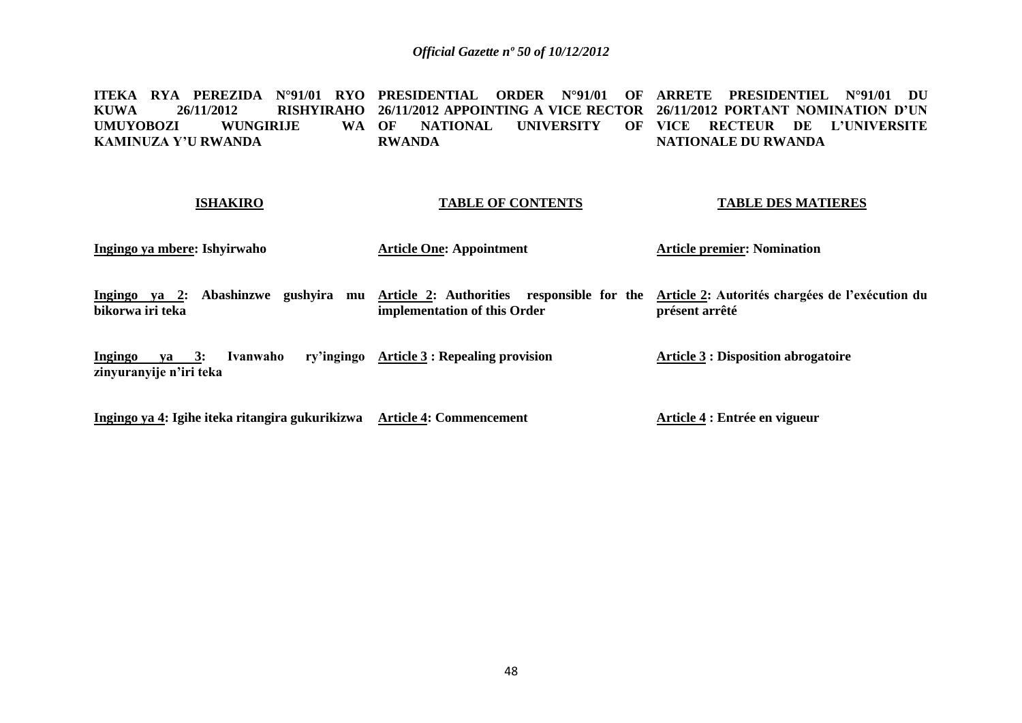**ITEKA RYA PEREZIDA N°91/01 RYO PRESIDENTIAL ORDER N°91/01 OF ARRETE PRESIDENTIEL N°91/01 DU KUWA 26/11/2012 RISHYIRAHO 26/11/2012 APPOINTING A VICE RECTOR 26/11/2012 PORTANT NOMINATION D'UN UMUYOBOZI WUNGIRLIE WA OF KAMINUZA Y'U RWANDA NATIONAL UNIVERSITY RWANDA VICE RECTEUR DE L'UNIVERSITE NATIONALE DU RWANDA**

### **ISHAKIRO Ingingo ya mbere: Ishyirwaho**  Ingingo ya 2: Abashinzwe gushyira mu <u>Article 2</u>: Authorities responsible for the <u>Article 2</u>: Autorités chargées de l'exécution du **bikorwa iri teka Ingingo ya 3: Ivanwaho zinyuranyije n'iri teka Ingingo ya 4: Igihe iteka ritangira gukurikizwa Article 4: Commencement TABLE OF CONTENTS Article One: Appointment implementation of this Order Article 3 : Repealing provision TABLE DES MATIERES Article premier: Nomination présent arrêté Article 3 : Disposition abrogatoire Article 4 : Entrée en vigueur**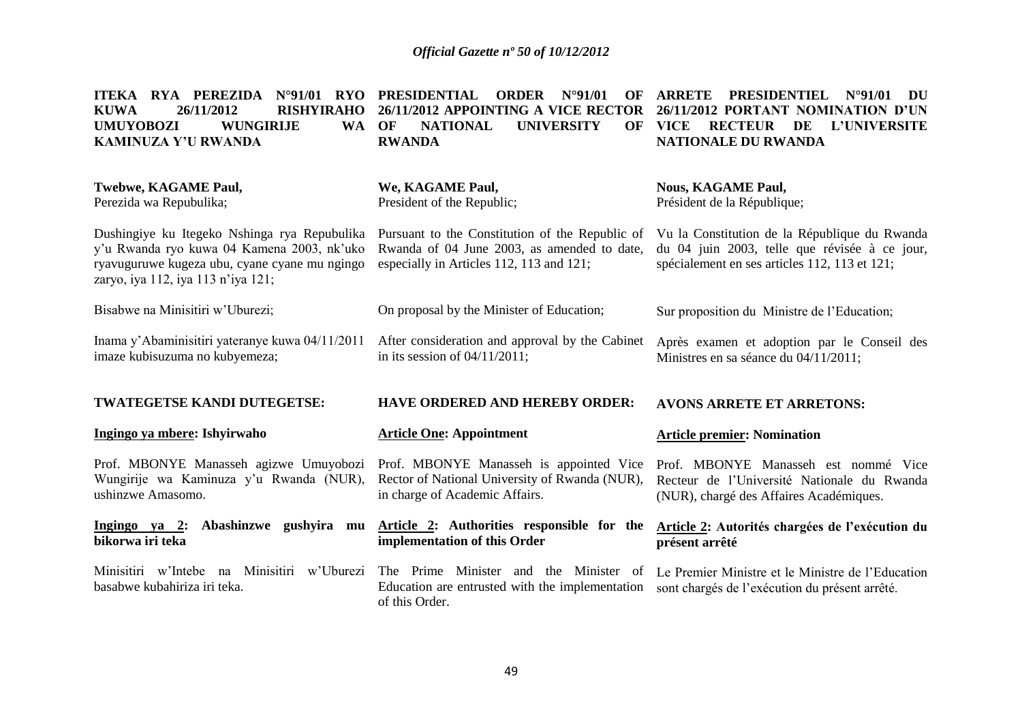| $N°91/01$ RYO<br>ITEKA RYA PEREZIDA<br><b>KUWA</b><br>26/11/2012<br><b>RISHYIRAHO</b><br><b>UMUYOBOZI</b><br><b>WUNGIRIJE</b><br>WA OF<br><b>KAMINUZA Y'U RWANDA</b>              | <b>PRESIDENTIAL</b><br><b>ORDER</b><br>$N^{\circ}91/01$<br>OF<br>26/11/2012 APPOINTING A VICE RECTOR<br><b>NATIONAL</b><br><b>UNIVERSITY</b><br>OF<br><b>RWANDA</b> | <b>ARRETE</b><br><b>PRESIDENTIEL</b><br>$N^{\circ}91/01$<br>DU<br>26/11/2012 PORTANT NOMINATION D'UN<br><b>VICE</b><br><b>RECTEUR</b><br>DE<br>L'UNIVERSITE<br>NATIONALE DU RWANDA |  |
|-----------------------------------------------------------------------------------------------------------------------------------------------------------------------------------|---------------------------------------------------------------------------------------------------------------------------------------------------------------------|------------------------------------------------------------------------------------------------------------------------------------------------------------------------------------|--|
| <b>Twebwe, KAGAME Paul,</b><br>Perezida wa Repubulika;                                                                                                                            | We, KAGAME Paul,<br>President of the Republic;                                                                                                                      | <b>Nous, KAGAME Paul,</b><br>Président de la République;                                                                                                                           |  |
| Dushingiye ku Itegeko Nshinga rya Repubulika<br>y'u Rwanda ryo kuwa 04 Kamena 2003, nk'uko<br>ryavuguruwe kugeza ubu, cyane cyane mu ngingo<br>zaryo, iya 112, iya 113 n'iya 121; | Pursuant to the Constitution of the Republic of<br>Rwanda of 04 June 2003, as amended to date,<br>especially in Articles 112, 113 and 121;                          | Vu la Constitution de la République du Rwanda<br>du 04 juin 2003, telle que révisée à ce jour,<br>spécialement en ses articles 112, 113 et 121;                                    |  |
| Bisabwe na Minisitiri w'Uburezi;                                                                                                                                                  | On proposal by the Minister of Education;                                                                                                                           | Sur proposition du Ministre de l'Education;                                                                                                                                        |  |
| Inama y'Abaminisitiri yateranye kuwa 04/11/2011<br>imaze kubisuzuma no kubyemeza;                                                                                                 | After consideration and approval by the Cabinet<br>in its session of $04/11/2011$ ;                                                                                 | Après examen et adoption par le Conseil des<br>Ministres en sa séance du 04/11/2011;                                                                                               |  |
| TWATEGETSE KANDI DUTEGETSE:                                                                                                                                                       | <b>HAVE ORDERED AND HEREBY ORDER:</b>                                                                                                                               | <b>AVONS ARRETE ET ARRETONS:</b>                                                                                                                                                   |  |
| Ingingo ya mbere: Ishyirwaho                                                                                                                                                      | <b>Article One: Appointment</b>                                                                                                                                     | <b>Article premier: Nomination</b>                                                                                                                                                 |  |
| Prof. MBONYE Manasseh agizwe Umuyobozi<br>Wungirije wa Kaminuza y'u Rwanda (NUR),<br>ushinzwe Amasomo.                                                                            | Prof. MBONYE Manasseh is appointed Vice<br>Rector of National University of Rwanda (NUR),<br>in charge of Academic Affairs.                                         | Prof. MBONYE Manasseh est nommé Vice<br>Recteur de l'Université Nationale du Rwanda<br>(NUR), chargé des Affaires Académiques.                                                     |  |
| Ingingo ya 2: Abashinzwe gushyira mu<br>bikorwa iri teka                                                                                                                          | Article 2: Authorities responsible for the<br>implementation of this Order                                                                                          | Article 2: Autorités chargées de l'exécution du<br>présent arrêté                                                                                                                  |  |
| Minisitiri w'Intebe na Minisitiri w'Uburezi<br>basabwe kubahiriza iri teka.                                                                                                       | The Prime Minister and the Minister of<br>Education are entrusted with the implementation<br>of this Order.                                                         | Le Premier Ministre et le Ministre de l'Education<br>sont chargés de l'exécution du présent arrêté.                                                                                |  |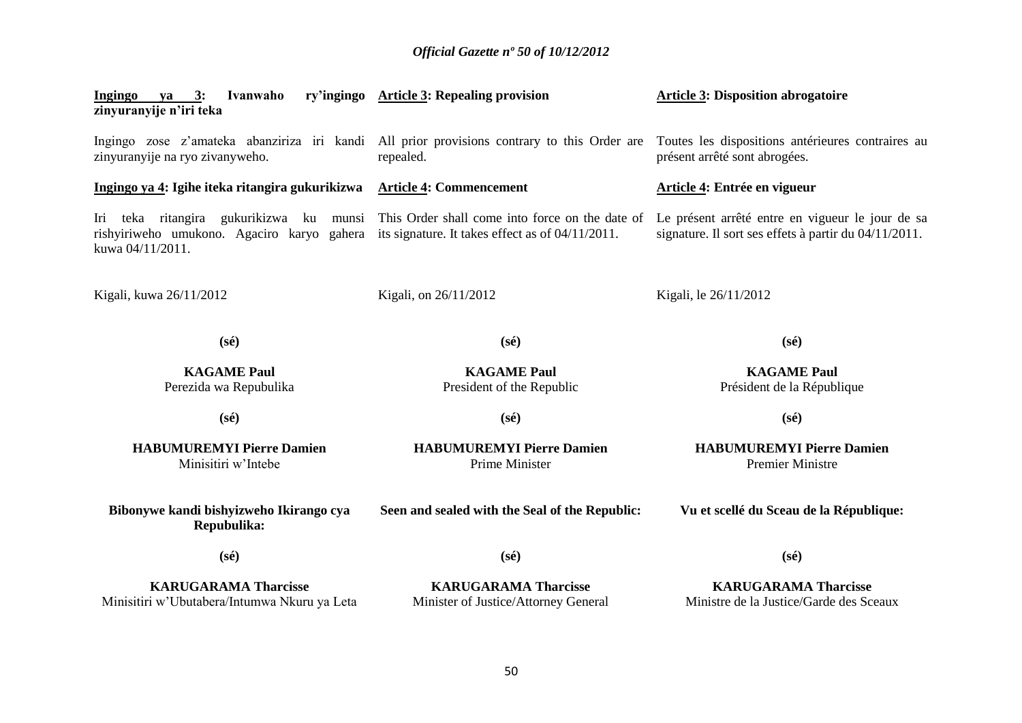| Ivanwaho<br>Ingingo ya 3:<br>zinyuranyije n'iri teka                                                                                                          | ry'ingingo Article 3: Repealing provision                           | <b>Article 3: Disposition abrogatoire</b>                                                                 |  |  |
|---------------------------------------------------------------------------------------------------------------------------------------------------------------|---------------------------------------------------------------------|-----------------------------------------------------------------------------------------------------------|--|--|
| Ingingo zose z'amateka abanziriza iri kandi All prior provisions contrary to this Order are<br>zinyuranyije na ryo zivanyweho.                                | repealed.                                                           | Toutes les dispositions antérieures contraires au<br>présent arrêté sont abrogées.                        |  |  |
| Ingingo ya 4: Igihe iteka ritangira gukurikizwa                                                                                                               | <b>Article 4: Commencement</b>                                      | Article 4: Entrée en vigueur                                                                              |  |  |
| teka ritangira gukurikizwa ku munsi<br>Iri<br>rishyiriweho umukono. Agaciro karyo gahera its signature. It takes effect as of 04/11/2011.<br>kuwa 04/11/2011. | This Order shall come into force on the date of                     | Le présent arrêté entre en vigueur le jour de sa<br>signature. Il sort ses effets à partir du 04/11/2011. |  |  |
| Kigali, kuwa 26/11/2012                                                                                                                                       | Kigali, on 26/11/2012                                               | Kigali, le 26/11/2012                                                                                     |  |  |
| $(s\acute{e})$                                                                                                                                                | $(s\acute{e})$                                                      | $(s\acute{e})$                                                                                            |  |  |
| <b>KAGAME Paul</b><br>Perezida wa Repubulika                                                                                                                  | <b>KAGAME Paul</b><br>President of the Republic                     | <b>KAGAME Paul</b><br>Président de la République                                                          |  |  |
| $(s\acute{e})$                                                                                                                                                | $(s\acute{e})$                                                      | $(s\acute{e})$                                                                                            |  |  |
| <b>HABUMUREMYI Pierre Damien</b><br>Minisitiri w'Intebe                                                                                                       | <b>HABUMUREMYI Pierre Damien</b><br>Prime Minister                  | <b>HABUMUREMYI Pierre Damien</b><br><b>Premier Ministre</b>                                               |  |  |
| Bibonywe kandi bishyizweho Ikirango cya<br>Repubulika:                                                                                                        | Seen and sealed with the Seal of the Republic:                      | Vu et scellé du Sceau de la République:                                                                   |  |  |
| $(s\acute{e})$                                                                                                                                                | $(s\acute{e})$                                                      | $(s\acute{e})$                                                                                            |  |  |
| <b>KARUGARAMA Tharcisse</b><br>Minisitiri w'Ubutabera/Intumwa Nkuru ya Leta                                                                                   | <b>KARUGARAMA Tharcisse</b><br>Minister of Justice/Attorney General | <b>KARUGARAMA Tharcisse</b><br>Ministre de la Justice/Garde des Sceaux                                    |  |  |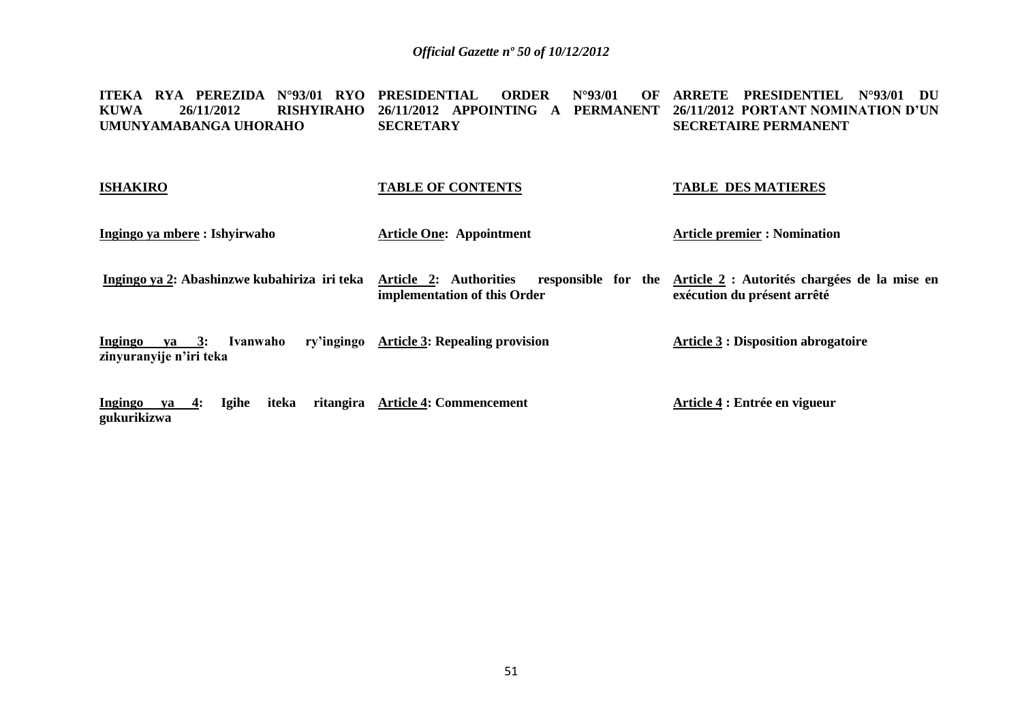#### **ITEKA RYA PEREZIDA N°93/01 RYO PRESIDENTIAL ORDER N°93/01 OF ARRETE PRESIDENTIEL N°93/01 DU KUWA 26/11/2012 RISHYIRAHO 26/11/2012 APPOINTING A PERMANENT 26/11/2012 PORTANT NOMINATION D'UN UMUNYAMABANGA UHORAHO SECRETARY SECRETAIRE PERMANENT**

| <b>ISHAKIRO</b>                                                 | <b>TABLE OF CONTENTS</b>                               | <b>TABLE DES MATIERES</b>                                                                       |  |
|-----------------------------------------------------------------|--------------------------------------------------------|-------------------------------------------------------------------------------------------------|--|
| Ingingo ya mbere : Ishyirwaho                                   | <b>Article One: Appointment</b>                        | <b>Article premier : Nomination</b>                                                             |  |
| Ingingo ya 2: Abashinzwe kubahiriza iri teka                    | Article 2: Authorities<br>implementation of this Order | responsible for the Article 2 : Autorités chargées de la mise en<br>exécution du présent arrêté |  |
| Ivanwaho<br>Ingingo<br>$ya \quad 3:$<br>zinyuranyije n'iri teka | ry'ingingo Article 3: Repealing provision              | <b>Article 3 : Disposition abrogatoire</b>                                                      |  |
| Igihe<br>iteka<br>Ingingo<br>ya 4:<br>gukurikizwa               | ritangira Article 4: Commencement                      | Article 4 : Entrée en vigueur                                                                   |  |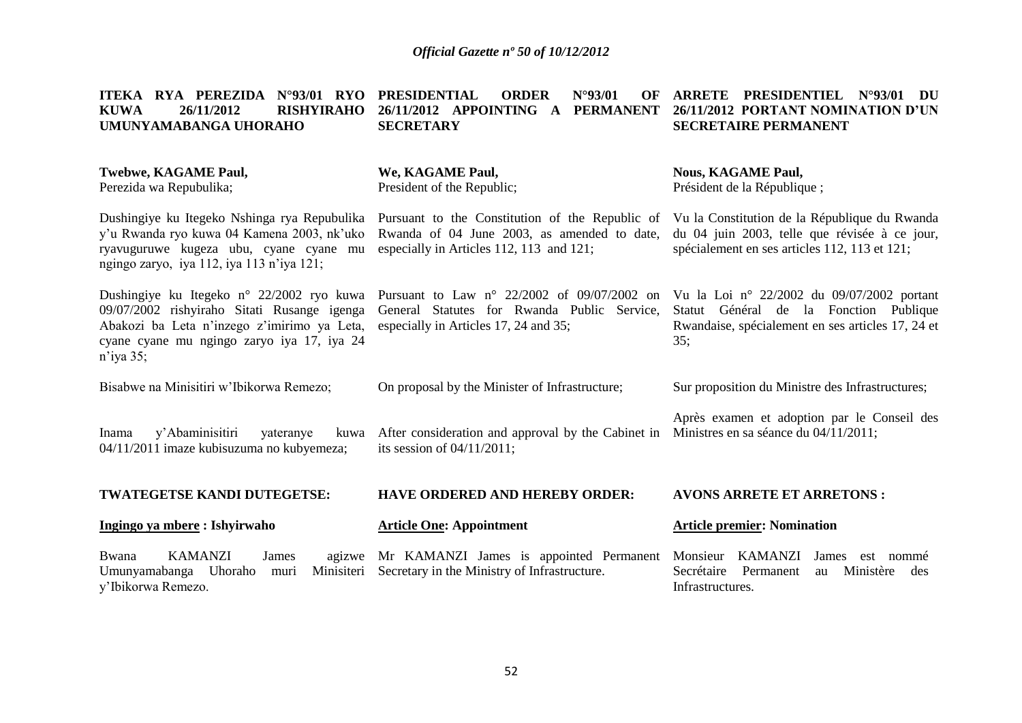| ITEKA RYA PEREZIDA<br>$N^{\circ}93/01$ RYO<br><b>RISHYIRAHO</b><br><b>KUWA</b><br>26/11/2012<br>UMUNYAMABANGA UHORAHO                                                                                 | <b>PRESIDENTIAL</b><br><b>ORDER</b><br>N°93/01<br>OF<br>26/11/2012 APPOINTING A PERMANENT<br><b>SECRETARY</b>                                | <b>ARRETE PRESIDENTIEL</b><br>$N^{\circ}$ 93/01<br>DU<br>26/11/2012 PORTANT NOMINATION D'UN<br><b>SECRETAIRE PERMANENT</b>                       |  |
|-------------------------------------------------------------------------------------------------------------------------------------------------------------------------------------------------------|----------------------------------------------------------------------------------------------------------------------------------------------|--------------------------------------------------------------------------------------------------------------------------------------------------|--|
| <b>Twebwe, KAGAME Paul,</b><br>Perezida wa Repubulika;                                                                                                                                                | We, KAGAME Paul,<br>President of the Republic;                                                                                               | <b>Nous, KAGAME Paul,</b><br>Président de la République;                                                                                         |  |
| Dushingiye ku Itegeko Nshinga rya Repubulika<br>y'u Rwanda ryo kuwa 04 Kamena 2003, nk'uko<br>ryavuguruwe kugeza ubu, cyane cyane mu<br>ngingo zaryo, iya 112, iya 113 n'iya 121;                     | Pursuant to the Constitution of the Republic of<br>Rwanda of 04 June 2003, as amended to date,<br>especially in Articles 112, 113 and 121;   | Vu la Constitution de la République du Rwanda<br>du 04 juin 2003, telle que révisée à ce jour,<br>spécialement en ses articles 112, 113 et 121;  |  |
| Dushingiye ku Itegeko n° 22/2002 ryo kuwa<br>09/07/2002 rishyiraho Sitati Rusange igenga<br>Abakozi ba Leta n'inzego z'imirimo ya Leta,<br>cyane cyane mu ngingo zaryo iya 17, iya 24<br>$n$ 'iya 35; | Pursuant to Law $n^{\circ}$ 22/2002 of 09/07/2002 on<br>General Statutes for Rwanda Public Service,<br>especially in Articles 17, 24 and 35; | Vu la Loi nº 22/2002 du 09/07/2002 portant<br>Statut Général de la Fonction Publique<br>Rwandaise, spécialement en ses articles 17, 24 et<br>35: |  |
| Bisabwe na Minisitiri w'Ibikorwa Remezo;                                                                                                                                                              | On proposal by the Minister of Infrastructure;                                                                                               | Sur proposition du Ministre des Infrastructures;                                                                                                 |  |
| y'Abaminisitiri<br>Inama<br>yateranye<br>kuwa<br>04/11/2011 imaze kubisuzuma no kubyemeza;                                                                                                            | After consideration and approval by the Cabinet in<br>its session of $04/11/2011$ ;                                                          | Après examen et adoption par le Conseil des<br>Ministres en sa séance du 04/11/2011;                                                             |  |
| TWATEGETSE KANDI DUTEGETSE:                                                                                                                                                                           | <b>HAVE ORDERED AND HEREBY ORDER:</b>                                                                                                        | <b>AVONS ARRETE ET ARRETONS:</b>                                                                                                                 |  |
| Ingingo ya mbere: Ishyirwaho                                                                                                                                                                          | <b>Article One: Appointment</b>                                                                                                              | <b>Article premier: Nomination</b>                                                                                                               |  |
| <b>KAMANZI</b><br>Bwana<br>James<br>agizwe<br>Umunyamabanga Uhoraho<br>Minisiteri<br>muri<br>y'Ibikorwa Remezo.                                                                                       | Mr KAMANZI James is appointed Permanent<br>Secretary in the Ministry of Infrastructure.                                                      | <b>KAMANZI</b><br>Monsieur<br>James<br>est nommé<br>Secrétaire<br>Permanent<br>Ministère<br>des<br>au<br>Infrastructures.                        |  |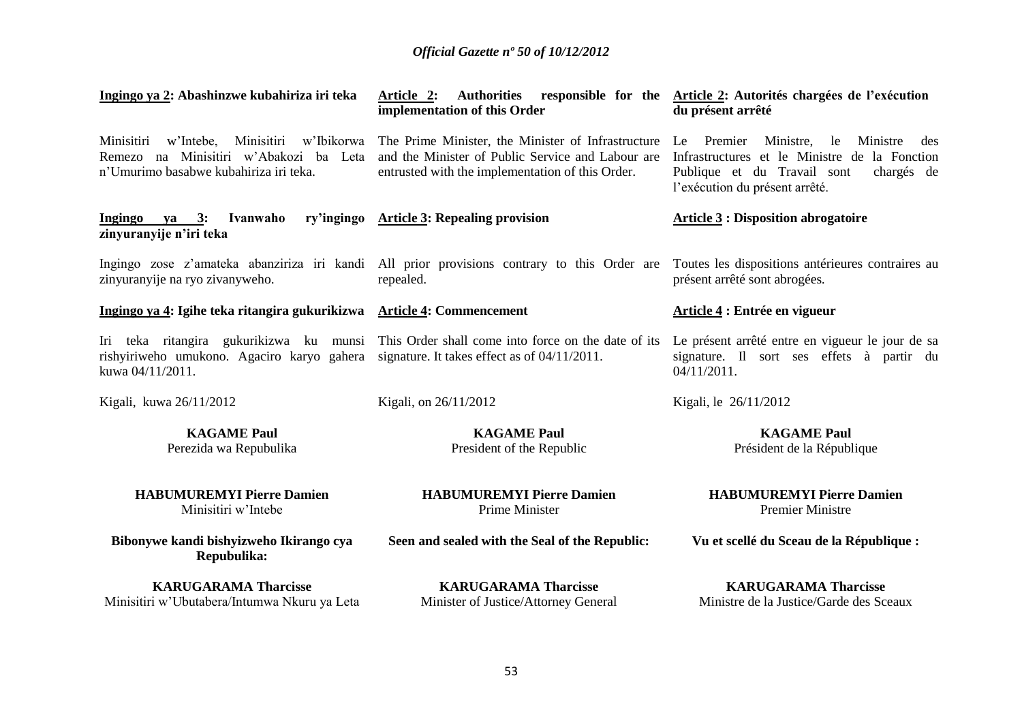| Ingingo ya 2: Abashinzwe kubahiriza iri teka                                                                                         | Article 2:<br>implementation of this Order                                                                                                                  | Authorities responsible for the Article 2: Autorités chargées de l'exécution<br>du présent arrêté                                                                                   |
|--------------------------------------------------------------------------------------------------------------------------------------|-------------------------------------------------------------------------------------------------------------------------------------------------------------|-------------------------------------------------------------------------------------------------------------------------------------------------------------------------------------|
| w'Intebe, Minisitiri<br>w'Ibikorwa<br>Minisitiri<br>Remezo na Minisitiri w'Abakozi ba Leta<br>n'Umurimo basabwe kubahiriza iri teka. | The Prime Minister, the Minister of Infrastructure<br>and the Minister of Public Service and Labour are<br>entrusted with the implementation of this Order. | Premier<br>Ministre,<br>Ministre<br>Le<br>le<br>des<br>Infrastructures et le Ministre de la Fonction<br>Publique et du Travail sont<br>chargés de<br>l'exécution du présent arrêté. |
| ry'ingingo<br>Ingingo<br>3:<br>Ivanwaho<br>ya<br>zinyuranyije n'iri teka                                                             | <b>Article 3: Repealing provision</b>                                                                                                                       | <b>Article 3: Disposition abrogatoire</b>                                                                                                                                           |
| zinyuranyije na ryo zivanyweho.                                                                                                      | Ingingo zose z'amateka abanziriza iri kandi All prior provisions contrary to this Order are<br>repealed.                                                    | Toutes les dispositions antérieures contraires au<br>présent arrêté sont abrogées.                                                                                                  |
| Ingingo ya 4: Igihe teka ritangira gukurikizwa Article 4: Commencement                                                               |                                                                                                                                                             | Article 4 : Entrée en vigueur                                                                                                                                                       |
| Iri teka ritangira gukurikizwa ku munsi<br>rishyiriweho umukono. Agaciro karyo gahera<br>kuwa 04/11/2011.                            | This Order shall come into force on the date of its<br>signature. It takes effect as of 04/11/2011.                                                         | Le présent arrêté entre en vigueur le jour de sa<br>signature. Il sort ses effets à partir du<br>$04/11/2011$ .                                                                     |
| Kigali, kuwa 26/11/2012                                                                                                              | Kigali, on 26/11/2012                                                                                                                                       | Kigali, le 26/11/2012                                                                                                                                                               |
| <b>KAGAME Paul</b><br>Perezida wa Repubulika                                                                                         | <b>KAGAME Paul</b><br>President of the Republic                                                                                                             | <b>KAGAME Paul</b><br>Président de la République                                                                                                                                    |
| <b>HABUMUREMYI Pierre Damien</b><br>Minisitiri w'Intebe                                                                              | <b>HABUMUREMYI Pierre Damien</b><br>Prime Minister                                                                                                          | <b>HABUMUREMYI Pierre Damien</b><br><b>Premier Ministre</b>                                                                                                                         |
| Bibonywe kandi bishyizweho Ikirango cya<br>Repubulika:                                                                               | Seen and sealed with the Seal of the Republic:                                                                                                              | Vu et scellé du Sceau de la République :                                                                                                                                            |
| <b>KARUGARAMA Tharcisse</b><br>Minisitiri w'Ubutabera/Intumwa Nkuru ya Leta                                                          | <b>KARUGARAMA Tharcisse</b><br>Minister of Justice/Attorney General                                                                                         | <b>KARUGARAMA Tharcisse</b><br>Ministre de la Justice/Garde des Sceaux                                                                                                              |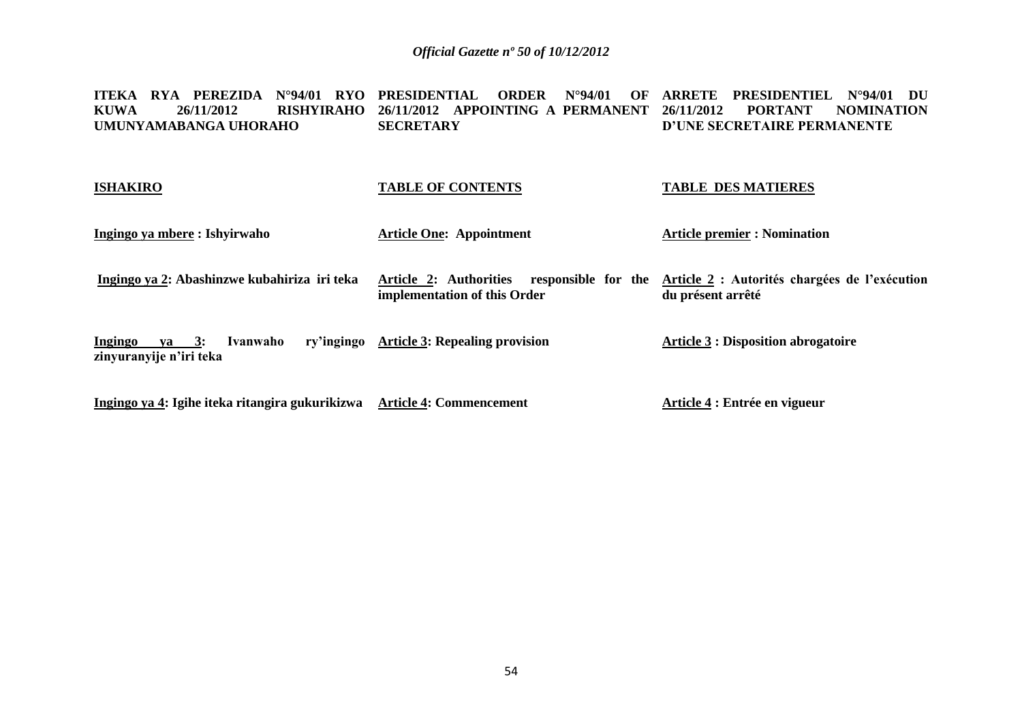ITEKA RYA PEREZIDA N°94/01 RYO PRESIDENTIAL ORDER N°94/01 OF ARRETE PRESIDENTIEL N°94/01 DU **KUWA 26/11/2012 RISHYIRAHO 26/11/2012 APPOINTING A PERMANENT 26/11/2012 PORTANT NOMINATION UMUNYAMABANGA UHORAHO SECRETARY D'UNE SECRETAIRE PERMANENTE**

| <b>ISHAKIRO</b>                                                    | <b>TABLE OF CONTENTS</b>                                                   | <b>TABLE DES MATIERES</b>                                          |
|--------------------------------------------------------------------|----------------------------------------------------------------------------|--------------------------------------------------------------------|
| Ingingo ya mbere : Ishyirwaho                                      | <b>Article One: Appointment</b>                                            | <b>Article premier : Nomination</b>                                |
| Ingingo ya 2: Abashinzwe kubahiriza iri teka                       | Article 2: Authorities responsible for the<br>implementation of this Order | Article 2 : Autorités chargées de l'exécution<br>du présent arrêté |
| <b>Ingingo</b><br>$va = 3:$<br>Ivanwaho<br>zinyuranyije n'iri teka | ry'ingingo Article 3: Repealing provision                                  | <b>Article 3 : Disposition abrogatoire</b>                         |
| Ingingo ya 4: Igihe iteka ritangira gukurikizwa                    | <b>Article 4: Commencement</b>                                             | Article 4 : Entrée en vigueur                                      |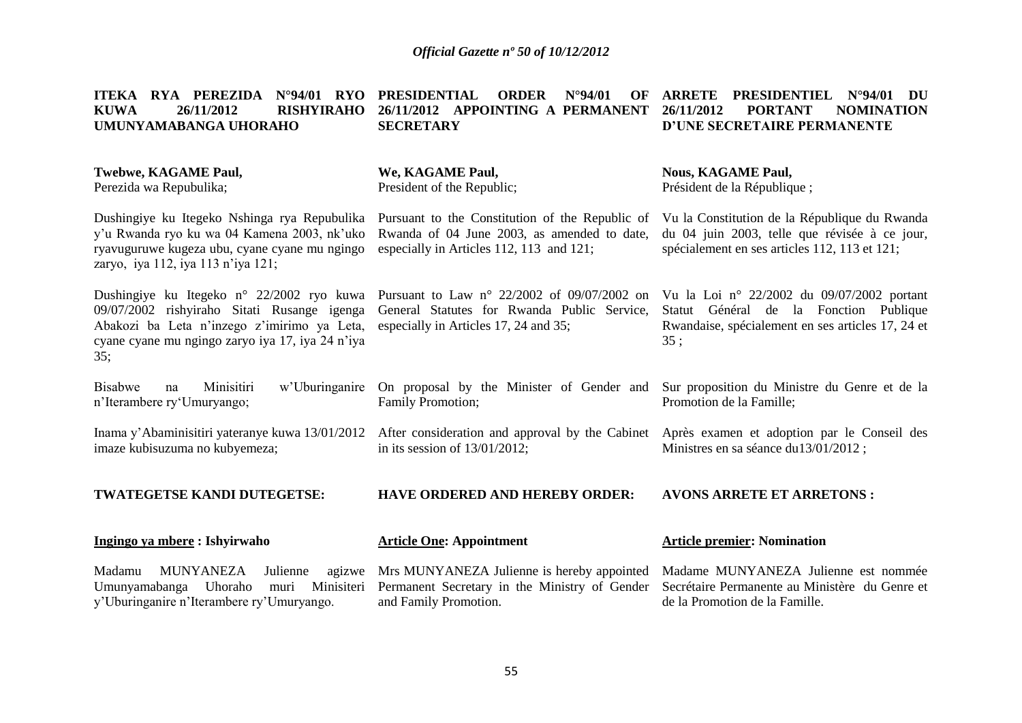|             |                       |  |                  |  |  | ITEKA RYA PEREZIDA N°94/01 RYO PRESIDENTIAL ORDER N°94/01 OF ARRETE PRESIDENTIEL N°94/01 DU |  |
|-------------|-----------------------|--|------------------|--|--|---------------------------------------------------------------------------------------------|--|
| <b>KUWA</b> | 26/11/2012            |  |                  |  |  | RISHYIRAHO 26/11/2012 APPOINTING A PERMANENT 26/11/2012 PORTANT NOMINATION                  |  |
|             | UMUNYAMABANGA UHORAHO |  | <b>SECRETARY</b> |  |  | D'UNE SECRETAIRE PERMANENTE                                                                 |  |

| Twebwe, KAGAME Paul,<br>Perezida wa Repubulika;                                                                                                                                                    | We, KAGAME Paul,<br>President of the Republic;                                                                                               | <b>Nous, KAGAME Paul,</b><br>Président de la République;                                                                                         |
|----------------------------------------------------------------------------------------------------------------------------------------------------------------------------------------------------|----------------------------------------------------------------------------------------------------------------------------------------------|--------------------------------------------------------------------------------------------------------------------------------------------------|
| Dushingiye ku Itegeko Nshinga rya Repubulika<br>y'u Rwanda ryo ku wa 04 Kamena 2003, nk'uko<br>ryavuguruwe kugeza ubu, cyane cyane mu ngingo<br>zaryo, iya 112, iya 113 n'iya 121;                 | Pursuant to the Constitution of the Republic of<br>Rwanda of 04 June 2003, as amended to date,<br>especially in Articles 112, 113 and 121;   | Vu la Constitution de la République du Rwanda<br>du 04 juin 2003, telle que révisée à ce jour,<br>spécialement en ses articles 112, 113 et 121;  |
| Dushingiye ku Itegeko n° 22/2002 ryo kuwa<br>09/07/2002 rishyiraho Sitati Rusange igenga<br>Abakozi ba Leta n'inzego z'imirimo ya Leta,<br>cyane cyane mu ngingo zaryo iya 17, iya 24 n'iya<br>35: | Pursuant to Law $n^{\circ}$ 22/2002 of 09/07/2002 on<br>General Statutes for Rwanda Public Service,<br>especially in Articles 17, 24 and 35; | Vu la Loi nº 22/2002 du 09/07/2002 portant<br>Statut Général de la Fonction Publique<br>Rwandaise, spécialement en ses articles 17, 24 et<br>35: |
| w'Uburinganire<br><b>Bisabwe</b><br>Minisitiri<br>na<br>n'Iterambere ry 'Umuryango;                                                                                                                | On proposal by the Minister of Gender and<br>Family Promotion;                                                                               | Sur proposition du Ministre du Genre et de la<br>Promotion de la Famille;                                                                        |
| Inama y'Abaminisitiri yateranye kuwa 13/01/2012<br>imaze kubisuzuma no kubyemeza;                                                                                                                  | After consideration and approval by the Cabinet<br>in its session of $13/01/2012$ ;                                                          | Après examen et adoption par le Conseil des<br>Ministres en sa séance du 13/01/2012;                                                             |
| <b>TWATEGETSE KANDI DUTEGETSE:</b>                                                                                                                                                                 | <b>HAVE ORDERED AND HEREBY ORDER:</b>                                                                                                        | <b>AVONS ARRETE ET ARRETONS:</b>                                                                                                                 |
| Ingingo ya mbere: Ishyirwaho                                                                                                                                                                       | <b>Article One: Appointment</b>                                                                                                              | <b>Article premier: Nomination</b>                                                                                                               |
| <b>MUNYANEZA</b><br>Madamu<br>Julienne<br>agizwe<br>Umunyamabanga<br>Uhoraho<br>Minisiteri<br>muri<br>y'Uburinganire n'Iterambere ry'Umuryango.                                                    | Mrs MUNYANEZA Julienne is hereby appointed<br>Permanent Secretary in the Ministry of Gender<br>and Family Promotion.                         | Madame MUNYANEZA Julienne est nommée<br>Secrétaire Permanente au Ministère du Genre et<br>de la Promotion de la Famille.                         |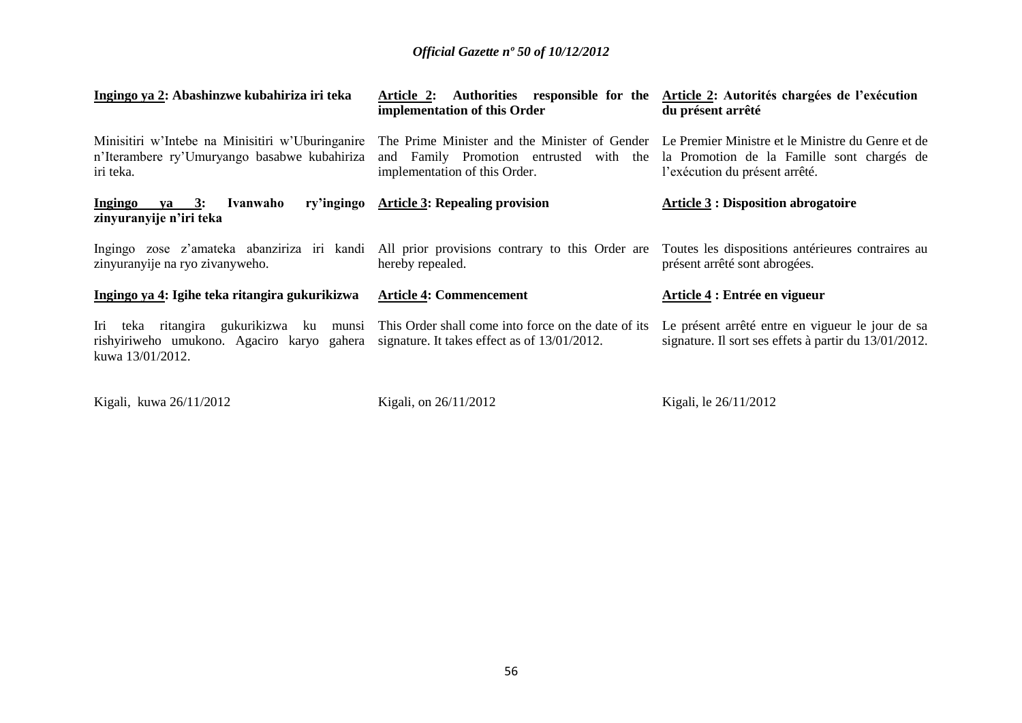| Ingingo ya 2: Abashinzwe kubahiriza iri teka                                                                                                                                                               | Article 2: Authorities responsible for the<br>implementation of this Order                                                                                                  | Article 2: Autorités chargées de l'exécution<br>du présent arrêté                                         |
|------------------------------------------------------------------------------------------------------------------------------------------------------------------------------------------------------------|-----------------------------------------------------------------------------------------------------------------------------------------------------------------------------|-----------------------------------------------------------------------------------------------------------|
| Minisitiri w'Intebe na Minisitiri w'Uburinganire<br>n'Iterambere ry'Umuryango basabwe kubahiriza<br>iri teka.                                                                                              | The Prime Minister and the Minister of Gender Le Premier Ministre et le Ministre du Genre et de<br>and Family Promotion entrusted with the<br>implementation of this Order. | la Promotion de la Famille sont chargés de<br>l'exécution du présent arrêté.                              |
| Ivanwaho<br>Ingingo<br>ya 3:<br>zinyuranyije n'iri teka                                                                                                                                                    | ry'ingingo Article 3: Repealing provision                                                                                                                                   | <b>Article 3: Disposition abrogatoire</b>                                                                 |
| Ingingo zose z'amateka abanziriza iri kandi All prior provisions contrary to this Order are<br>zinyuranyije na ryo zivanyweho.                                                                             | hereby repealed.                                                                                                                                                            | Toutes les dispositions antérieures contraires au<br>présent arrêté sont abrogées.                        |
| Ingingo ya 4: Igihe teka ritangira gukurikizwa                                                                                                                                                             | <b>Article 4: Commencement</b>                                                                                                                                              | Article 4 : Entrée en vigueur                                                                             |
| Iri teka ritangira gukurikizwa ku munsi This Order shall come into force on the date of its<br>rishyiriweho umukono. Agaciro karyo gahera signature. It takes effect as of 13/01/2012.<br>kuwa 13/01/2012. |                                                                                                                                                                             | Le présent arrêté entre en vigueur le jour de sa<br>signature. Il sort ses effets à partir du 13/01/2012. |
|                                                                                                                                                                                                            |                                                                                                                                                                             |                                                                                                           |

Kigali, kuwa 26/11/2012

Kigali, on 26/11/2012

Kigali, le 26/11/2012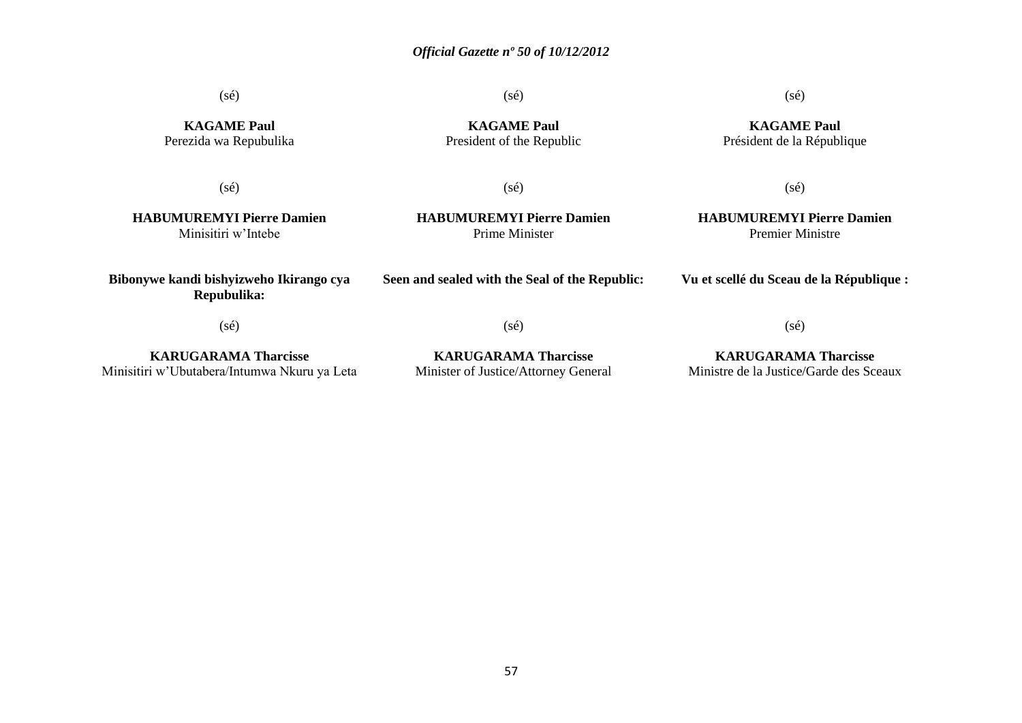(sé)

(sé)

### (sé)

**KAGAME Paul** Président de la République

**KAGAME Paul** Perezida wa Repubulika

(sé)

**KAGAME Paul** President of the Republic

(sé)

(sé)

**HABUMUREMYI Pierre Damien** Minisitiri w'Intebe

**HABUMUREMYI Pierre Damien** Prime Minister

**Seen and sealed with the Seal of the Republic:**

**HABUMUREMYI Pierre Damien** Premier Ministre

**Vu et scellé du Sceau de la République :**

(sé)

(sé)

**KARUGARAMA Tharcisse**

**Bibonywe kandi bishyizweho Ikirango cya Repubulika:**

**KARUGARAMA Tharcisse**

(sé)

**KARUGARAMA Tharcisse** Ministre de la Justice/Garde des Sceaux

Minisitiri w'Ubutabera/Intumwa Nkuru ya Leta Minister of Justice/Attorney General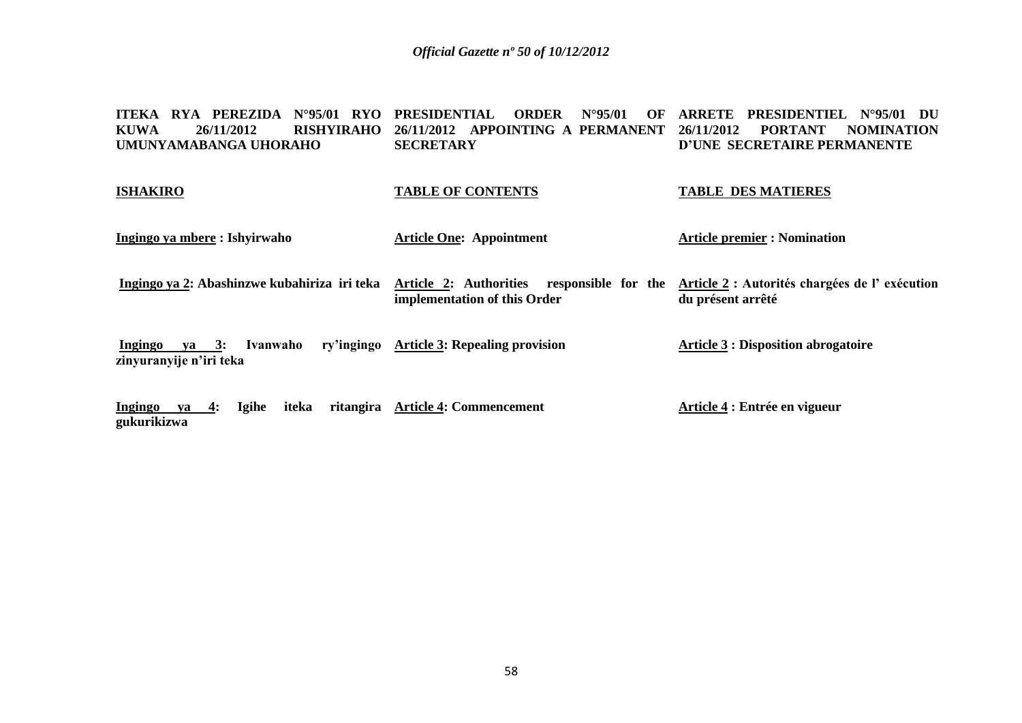#### **ITEKA RYA PEREZIDA N°95/01 RYO PRESIDENTIAL ORDER N°95/01 OF KUWA 26/11/2012 RISHYIRAHO UMUNYAMABANGA UHORAHO 26/11/2012 APPOINTING A PERMANENT SECRETARY ARRETE PRESIDENTIEL N°95/01 DU 26/11/2012 PORTANT NOMINATION D'UNE SECRETAIRE PERMANENTE**

#### **ISHAKIRO**

### **TABLE OF CONTENTS**

#### **TABLE DES MATIERES**

**Ingingo ya mbere : Ishyirwaho** 

**Article One: Appointment** 

**Article premier : Nomination** 

Ingingo ya 2: Abashinzwe kubahiriza iri teka Article 2: Authorities responsible for the Article 2: Autorités chargées de l'exécution **implementation of this Order du présent arrêté**

**Ingingo ya 3: Ivanwaho ry'ingingo Article 3: Repealing provision zinyuranyije n'iri teka Article 3 : Disposition abrogatoire**

**Ingingo ya 4: Igihe iteka ritangira Article 4: Commencement gukurikizwa Article 4 : Entrée en vigueur**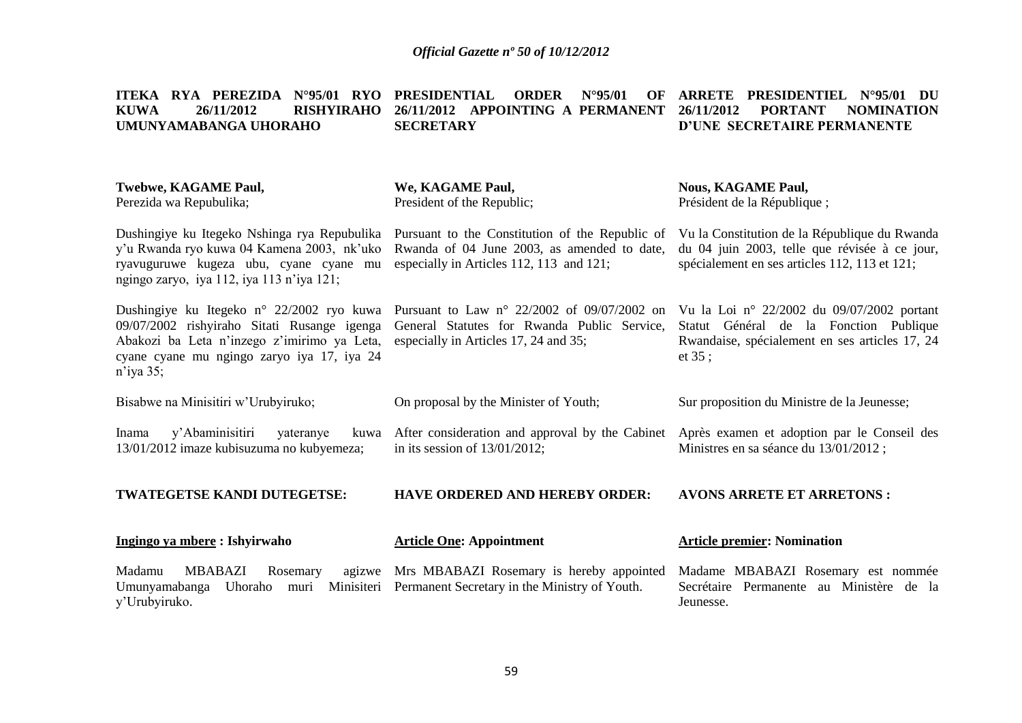**ITEKA RYA PEREZIDA N°95/01 RYO PRESIDENTIAL ORDER N°95/01 OF ARRETE PRESIDENTIEL N°95/01 DU** 

| <b>RISHYIRAHO</b><br><b>KUWA</b><br>26/11/2012<br>UMUNYAMABANGA UHORAHO                                                                                                                            | 26/11/2012 APPOINTING A PERMANENT<br><b>SECRETARY</b>                                                                                        | <b>PORTANT</b><br><b>NOMINATION</b><br>26/11/2012<br>D'UNE SECRETAIRE PERMANENTE                                                                 |
|----------------------------------------------------------------------------------------------------------------------------------------------------------------------------------------------------|----------------------------------------------------------------------------------------------------------------------------------------------|--------------------------------------------------------------------------------------------------------------------------------------------------|
| <b>Twebwe, KAGAME Paul,</b><br>Perezida wa Repubulika;                                                                                                                                             | We, KAGAME Paul,<br>President of the Republic;                                                                                               | <b>Nous, KAGAME Paul,</b><br>Président de la République;                                                                                         |
| Dushingiye ku Itegeko Nshinga rya Repubulika<br>y'u Rwanda ryo kuwa 04 Kamena 2003, nk'uko<br>ryavuguruwe kugeza ubu, cyane cyane mu<br>ngingo zaryo, iya 112, iya 113 n'iya 121;                  | Pursuant to the Constitution of the Republic of<br>Rwanda of 04 June 2003, as amended to date,<br>especially in Articles 112, 113 and 121;   | Vu la Constitution de la République du Rwanda<br>du 04 juin 2003, telle que révisée à ce jour,<br>spécialement en ses articles 112, 113 et 121;  |
| Dushingiye ku Itegeko n° 22/2002 ryo kuwa<br>09/07/2002 rishyiraho Sitati Rusange igenga<br>Abakozi ba Leta n'inzego z'imirimo ya Leta,<br>cyane cyane mu ngingo zaryo iya 17, iya 24<br>n'iya 35; | Pursuant to Law $n^{\circ}$ 22/2002 of 09/07/2002 on<br>General Statutes for Rwanda Public Service,<br>especially in Articles 17, 24 and 35; | Vu la Loi nº 22/2002 du 09/07/2002 portant<br>Statut Général de la Fonction Publique<br>Rwandaise, spécialement en ses articles 17, 24<br>et 35; |
| Bisabwe na Minisitiri w'Urubyiruko;                                                                                                                                                                | On proposal by the Minister of Youth;                                                                                                        | Sur proposition du Ministre de la Jeunesse;                                                                                                      |
| y'Abaminisitiri<br>Inama<br>yateranye<br>13/01/2012 imaze kubisuzuma no kubyemeza;                                                                                                                 | kuwa After consideration and approval by the Cabinet<br>in its session of $13/01/2012$ ;                                                     | Après examen et adoption par le Conseil des<br>Ministres en sa séance du 13/01/2012;                                                             |
| TWATEGETSE KANDI DUTEGETSE:                                                                                                                                                                        | <b>HAVE ORDERED AND HEREBY ORDER:</b>                                                                                                        | <b>AVONS ARRETE ET ARRETONS:</b>                                                                                                                 |
| Ingingo ya mbere: Ishyirwaho                                                                                                                                                                       | <b>Article One: Appointment</b>                                                                                                              | <b>Article premier: Nomination</b>                                                                                                               |
| Madamu<br><b>MBABAZI</b><br>Rosemary<br>agizwe<br>Umunyamabanga<br>Uhoraho<br>Minisiteri<br>muri<br>y'Urubyiruko.                                                                                  | Mrs MBABAZI Rosemary is hereby appointed<br>Permanent Secretary in the Ministry of Youth.                                                    | Madame MBABAZI Rosemary est nommée<br>Secrétaire Permanente au Ministère de la<br>Jeunesse.                                                      |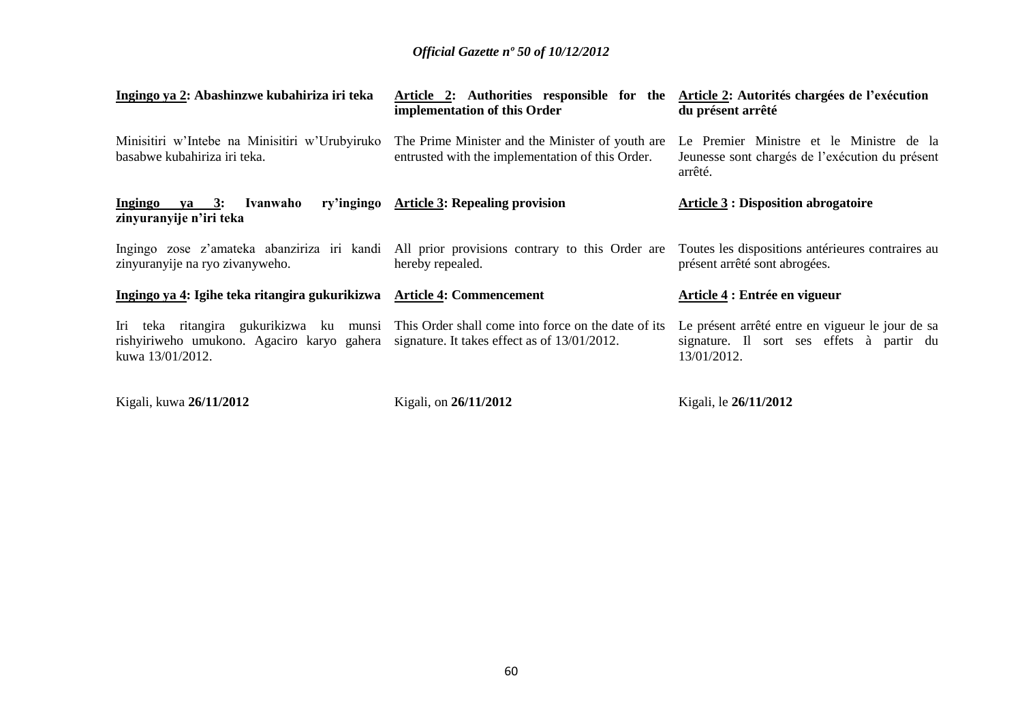| Ingingo ya 2: Abashinzwe kubahiriza iri teka                                                                | Article 2: Authorities responsible for the<br>implementation of this Order                                      | Article 2: Autorités chargées de l'exécution<br>du présent arrêté                                            |
|-------------------------------------------------------------------------------------------------------------|-----------------------------------------------------------------------------------------------------------------|--------------------------------------------------------------------------------------------------------------|
| Minisitiri w'Intebe na Minisitiri w'Urubyiruko<br>basabwe kubahiriza iri teka.                              | The Prime Minister and the Minister of youth are<br>entrusted with the implementation of this Order.            | Le Premier Ministre et le Ministre de la<br>Jeunesse sont chargés de l'exécution du présent<br>arrêté.       |
| Ingingo ya 3: Ivanwaho<br>zinyuranyije n'iri teka                                                           | ry'ingingo Article 3: Repealing provision                                                                       | <b>Article 3: Disposition abrogatoire</b>                                                                    |
| zinyuranyije na ryo zivanyweho.                                                                             | Ingingo zose z'amateka abanziriza iri kandi All prior provisions contrary to this Order are<br>hereby repealed. | Toutes les dispositions antérieures contraires au<br>présent arrêté sont abrogées.                           |
| Ingingo ya 4: Igihe teka ritangira gukurikizwa Article 4: Commencement                                      |                                                                                                                 | Article 4 : Entrée en vigueur                                                                                |
| rishyiriweho umukono. Agaciro karyo gahera signature. It takes effect as of 13/01/2012.<br>kuwa 13/01/2012. | Iri teka ritangira gukurikizwa ku munsi This Order shall come into force on the date of its                     | Le présent arrêté entre en vigueur le jour de sa<br>signature. Il sort ses effets à partir du<br>13/01/2012. |
| Kigali, kuwa 26/11/2012                                                                                     | Kigali, on 26/11/2012                                                                                           | Kigali, le 26/11/2012                                                                                        |

60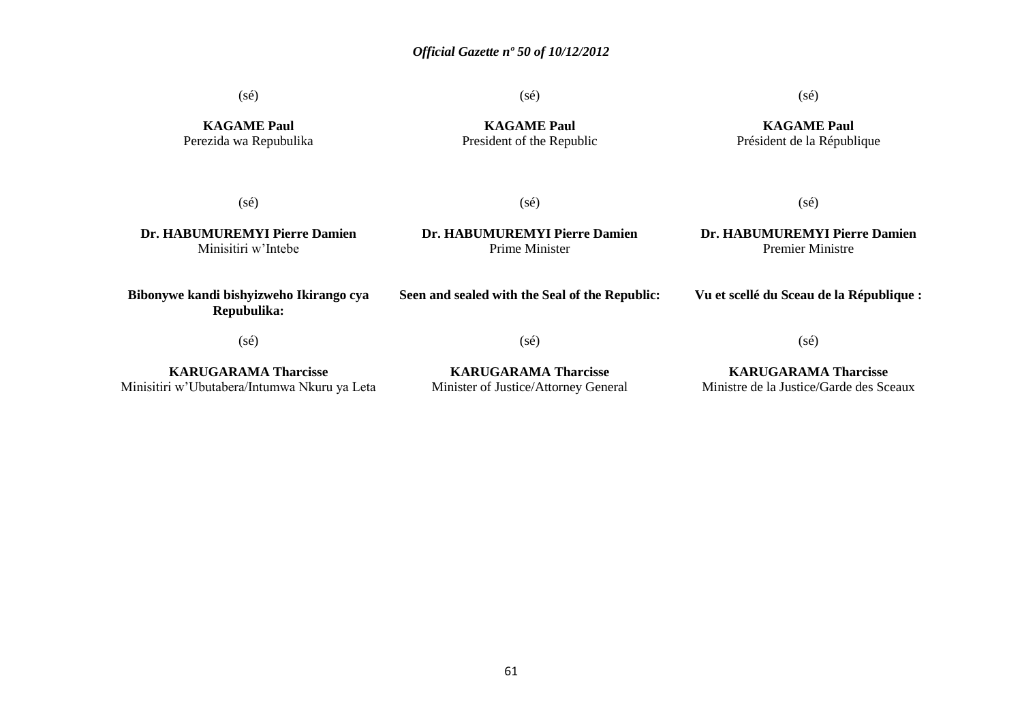(sé)

(sé)

### (sé)

**KAGAME Paul** Perezida wa Repubulika

**KAGAME Paul** President of the Republic

### **KAGAME Paul** Président de la République

(sé)

(sé)

**Dr. HABUMUREMYI Pierre Damien** Minisitiri w'Intebe

**Dr. HABUMUREMYI Pierre Damien** Prime Minister

### **Dr. HABUMUREMYI Pierre Damien** Premier Ministre

(sé)

**Bibonywe kandi bishyizweho Ikirango cya Repubulika:**

(sé)

(sé)

**KARUGARAMA Tharcisse** Minisitiri w'Ubutabera/Intumwa Nkuru ya Leta

**KARUGARAMA Tharcisse** Minister of Justice/Attorney General

# **KARUGARAMA Tharcisse**

(sé)

Ministre de la Justice/Garde des Sceaux

**Seen and sealed with the Seal of the Republic: Vu et scellé du Sceau de la République :**

61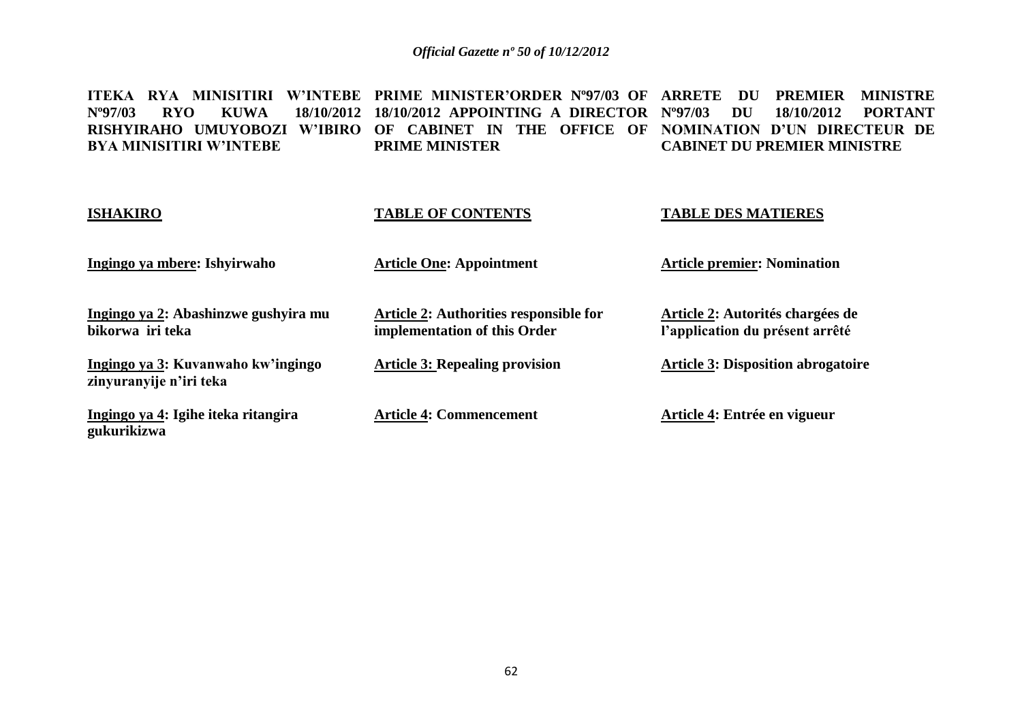ITEKA RYA MINISITIRI W'INTEBE PRIME MINISTER'ORDER N°97/03 OF ARRETE DU PREMIER MINISTRE Nº97/03 RYO KUWA **RISHYIRAHO UMUYOBOZI W'IBIRO OF CABINET IN THE OFFICE OF NOMINATION D'UN DIRECTEUR DE BYA MINISITIRI W'INTEBE 18/10/2012 APPOINTING A DIRECTOR Nº97/03 DU 18/10/2012 PORTANT PRIME MINISTER CABINET DU PREMIER MINISTRE**

| <b>ISHAKIRO</b>                                               | <b>TABLE OF CONTENTS</b>                                               | <b>TABLE DES MATIERES</b>                                           |
|---------------------------------------------------------------|------------------------------------------------------------------------|---------------------------------------------------------------------|
| Ingingo ya mbere: Ishyirwaho                                  | <b>Article One: Appointment</b>                                        | <b>Article premier: Nomination</b>                                  |
| Ingingo ya 2: Abashinzwe gushyira mu<br>bikorwa iri teka      | Article 2: Authorities responsible for<br>implementation of this Order | Article 2: Autorités chargées de<br>l'application du présent arrêté |
| Ingingo ya 3: Kuvanwaho kw'ingingo<br>zinyuranyije n'iri teka | <b>Article 3: Repealing provision</b>                                  | <b>Article 3: Disposition abrogatoire</b>                           |
| Ingingo ya 4: Igihe iteka ritangira<br>gukurikizwa            | <b>Article 4: Commencement</b>                                         | Article 4: Entrée en vigueur                                        |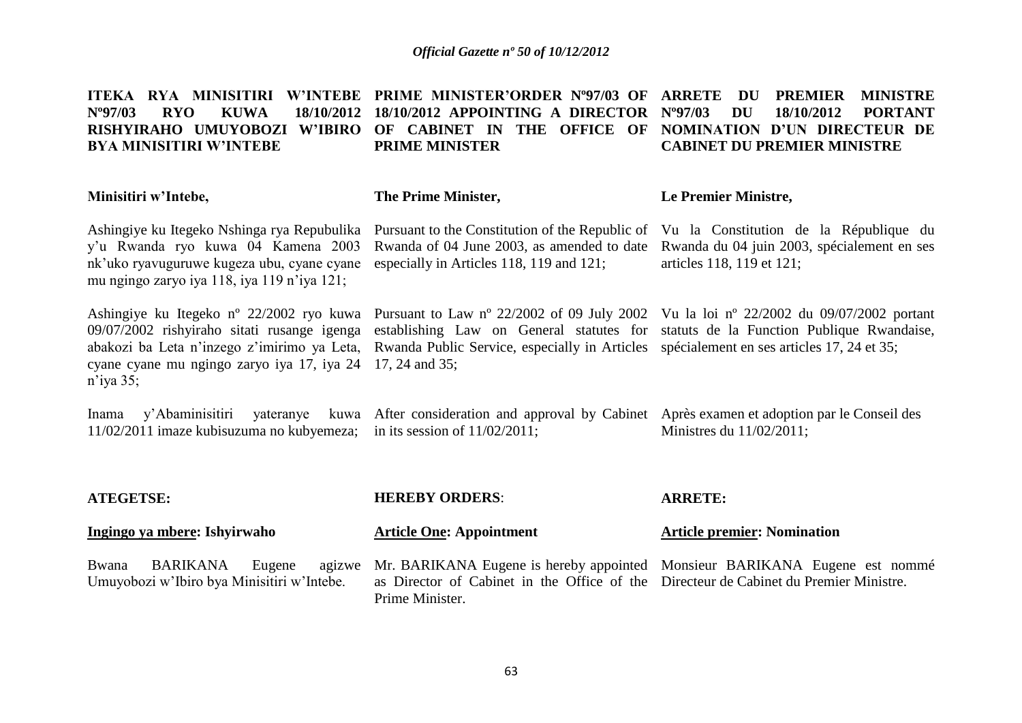#### ITEKA RYA MINISITIRI W'INTEBE PRIME MINISTER'ORDER N°97/03 OF ARRETE DU PREMIER MINISTRE **Nº97/03 RYO KUWA 18/10/2012 18/10/2012 APPOINTING A DIRECTOR RISHYIRAHO UMUYOBOZI W'IBIRO OF CABINET IN THE OFFICE OF NOMINATION D'UN DIRECTEUR DE BYA MINISITIRI W'INTEBE PRIME MINISTER Nº97/03 DU 18/10/2012 PORTANT CABINET DU PREMIER MINISTRE**

#### **The Prime Minister,**

### **Le Premier Ministre,**

articles 118, 119 et 121;

Rwanda of 04 June 2003, as amended to date Rwanda du 04 juin 2003, spécialement en ses

Ashingiye ku Itegeko Nshinga rya Repubulika Pursuant to the Constitution of the Republic of Vu la Constitution de la République du y'u Rwanda ryo kuwa 04 Kamena 2003 nk'uko ryavuguruwe kugeza ubu, cyane cyane especially in Articles 118, 119 and 121; mu ngingo zaryo iya 118, iya 119 n'iya 121;

**Minisitiri w'Intebe,**

cyane cyane mu ngingo zaryo iya 17, iya 24 17, 24 and 35; n'iya 35;

Ashingiye ku Itegeko nº 22/2002 ryo kuwa Pursuant to Law nº 22/2002 of 09 July 2002 Vu la loi nº 22/2002 du 09/07/2002 portant 09/07/2002 rishyiraho sitati rusange igenga establishing Law on General statutes for statuts de la Function Publique Rwandaise, abakozi ba Leta n'inzego z'imirimo ya Leta, Rwanda Public Service, especially in Articles spécialement en ses articles 17, 24 et 35;

Inama y'Abaminisitiri yateranye 11/02/2011 imaze kubisuzuma no kubyemeza; in its session of 11/02/2011; After consideration and approval by Cabinet Après examen et adoption par le Conseil des Ministres du 11/02/2011;

| <b>ATEGETSE:</b>                                                          | <b>HEREBY ORDERS:</b>                                                                                                                                                                         | <b>ARRETE:</b>                     |  |  |
|---------------------------------------------------------------------------|-----------------------------------------------------------------------------------------------------------------------------------------------------------------------------------------------|------------------------------------|--|--|
| Ingingo ya mbere: Ishyirwaho                                              | <b>Article One: Appointment</b>                                                                                                                                                               | <b>Article premier: Nomination</b> |  |  |
| Bwana<br>Eugene<br>BARIKANA<br>Umuyobozi w'Ibiro bya Minisitiri w'Intebe. | agizwe Mr. BARIKANA Eugene is hereby appointed Monsieur BARIKANA Eugene est nommé<br>as Director of Cabinet in the Office of the Directeur de Cabinet du Premier Ministre.<br>Prime Minister. |                                    |  |  |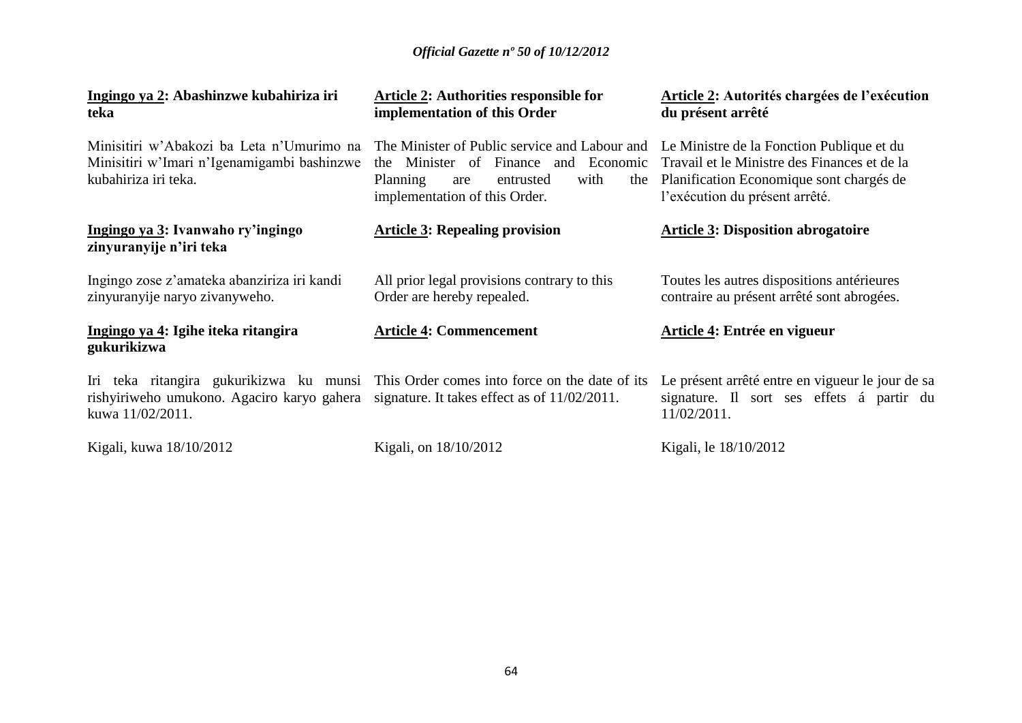| Ingingo ya 2: Abashinzwe kubahiriza iri<br>teka                                                                                                                                                          | <b>Article 2: Authorities responsible for</b><br>implementation of this Order                                                                                                                                   | <b>Article 2: Autorités chargées de l'exécution</b><br>du présent arrêté                                                   |
|----------------------------------------------------------------------------------------------------------------------------------------------------------------------------------------------------------|-----------------------------------------------------------------------------------------------------------------------------------------------------------------------------------------------------------------|----------------------------------------------------------------------------------------------------------------------------|
| Minisitiri w'Abakozi ba Leta n'Umurimo na<br>Minisitiri w'Imari n'Igenamigambi bashinzwe<br>kubahiriza iri teka.                                                                                         | The Minister of Public service and Labour and Le Ministre de la Fonction Publique et du<br>the Minister of Finance and Economic<br>with<br>Planning<br>entrusted<br>the<br>are<br>implementation of this Order. | Travail et le Ministre des Finances et de la<br>Planification Economique sont chargés de<br>l'exécution du présent arrêté. |
| Ingingo ya 3: Ivanwaho ry'ingingo<br>zinyuranyije n'iri teka                                                                                                                                             | <b>Article 3: Repealing provision</b>                                                                                                                                                                           | <b>Article 3: Disposition abrogatoire</b>                                                                                  |
| Ingingo zose z'amateka abanziriza iri kandi<br>zinyuranyije naryo zivanyweho.                                                                                                                            | All prior legal provisions contrary to this<br>Order are hereby repealed.                                                                                                                                       | Toutes les autres dispositions antérieures<br>contraire au présent arrêté sont abrogées.                                   |
| Ingingo ya 4: Igihe iteka ritangira<br>gukurikizwa                                                                                                                                                       | <b>Article 4: Commencement</b>                                                                                                                                                                                  | Article 4: Entrée en vigueur                                                                                               |
| Iri teka ritangira gukurikizwa ku munsi This Order comes into force on the date of its<br>rishyiriweho umukono. Agaciro karyo gahera signature. It takes effect as of $11/02/2011$ .<br>kuwa 11/02/2011. |                                                                                                                                                                                                                 | Le présent arrêté entre en vigueur le jour de sa<br>signature. Il sort ses effets á partir du<br>11/02/2011.               |
| Kigali, kuwa 18/10/2012                                                                                                                                                                                  | Kigali, on 18/10/2012                                                                                                                                                                                           | Kigali, le 18/10/2012                                                                                                      |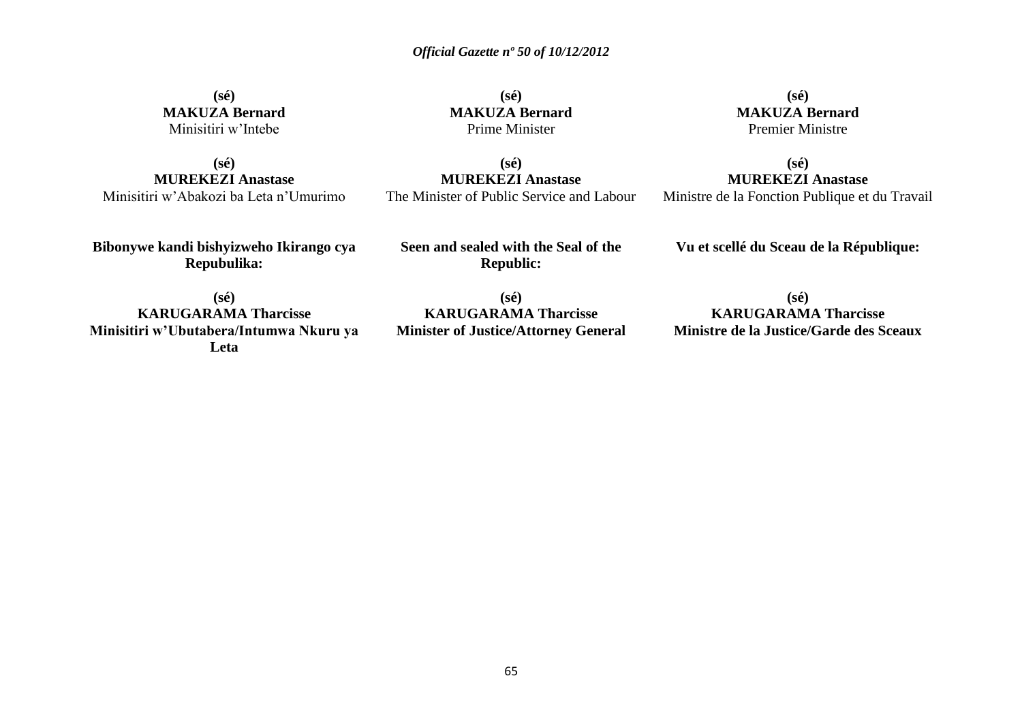**(sé) MAKUZA Bernard** Minisitiri w'Intebe

**(sé) MUREKEZI Anastase** Minisitiri w'Abakozi ba Leta n'Umurimo

**(sé) MAKUZA Bernard** Prime Minister

**(sé) MUREKEZI Anastase** The Minister of Public Service and Labour

**(sé) MAKUZA Bernard** Premier Ministre

**(sé) MUREKEZI Anastase** Ministre de la Fonction Publique et du Travail

**Bibonywe kandi bishyizweho Ikirango cya Repubulika:**

**Seen and sealed with the Seal of the Republic:**

**Vu et scellé du Sceau de la République:**

**(sé) KARUGARAMA Tharcisse Minisitiri w'Ubutabera/Intumwa Nkuru ya Leta**

**(sé) KARUGARAMA Tharcisse Minister of Justice/Attorney General**

**(sé) KARUGARAMA Tharcisse Ministre de la Justice/Garde des Sceaux**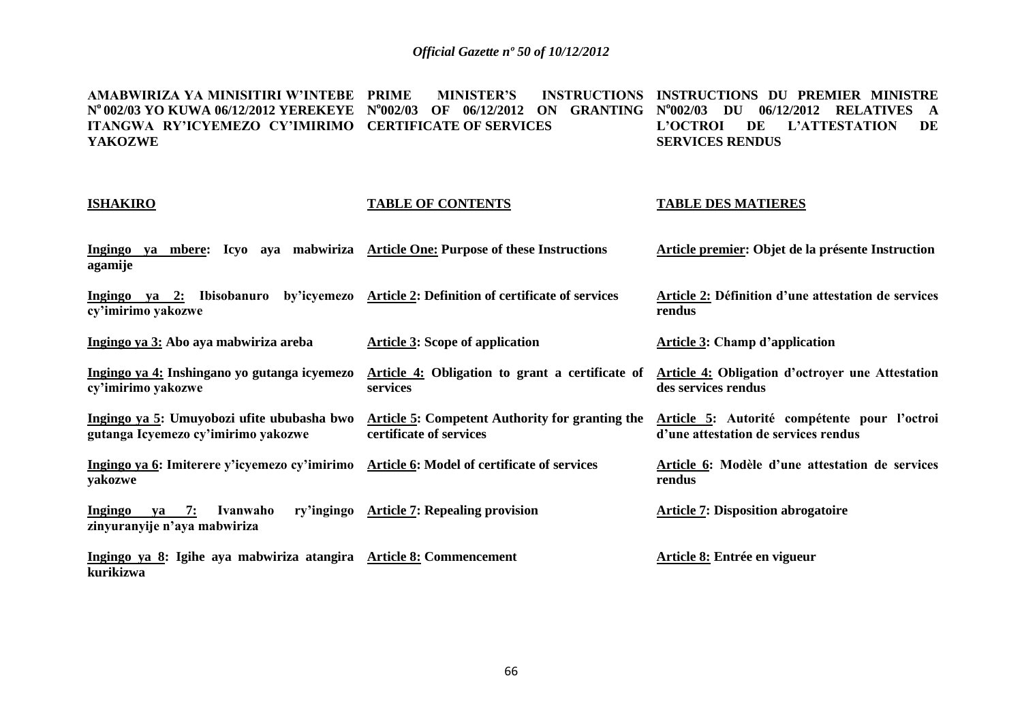**AMABWIRIZA YA MINISITIRI W'INTEBE N <sup>o</sup>002/03 YO KUWA 06/12/2012 YEREKEYE N o 002/03 OF 06/12/2012 ON GRANTING N o 002/03 DU 06/12/2012 RELATIVES A ITANGWA RY'ICYEMEZO CY'IMIRIMO CERTIFICATE OF SERVICES YAKOZWE PRIME MINISTER'S INSTRUCTIONS INSTRUCTIONS DU PREMIER MINISTRE L'OCTROI DE L'ATTESTATION DE SERVICES RENDUS**

#### **ISHAKIRO**

#### **TABLE OF CONTENTS**

### **TABLE DES MATIERES**

**des services rendus**

**rendus**

**Article 4: Obligation d'octroyer une Attestation** 

**Article 6: Modèle d'une attestation de services** 

**d'une attestation de services rendus** 

**Ingingo ya mbere: Icyo aya mabwiriza Article One: Purpose of these Instructions agamije Article premier: Objet de la présente Instruction**

**Ingingo ya 2: Ibisobanuro by'icyemezo Article 2: Definition of certificate of services cy'imirimo yakozwe Article 2: Définition d'une attestation de services rendus**

**Ingingo ya 3: Abo aya mabwiriza areba Article 3: Scope of application Article 3: Champ d'application**

**Ingingo ya 4: Inshingano yo gutanga icyemezo cy'imirimo yakozwe Article 4: Obligation to grant a certificate of services**

**Ingingo ya 5: Umuyobozi ufite ububasha bwo gutanga Icyemezo cy'imirimo yakozwe Article 5: Competent Authority for granting the Article 5: Autorité compétente pour l'octroi certificate of services**

**Ingingo ya 6: Imiterere y'icyemezo cy'imirimo yakozwe Article 6: Model of certificate of services** 

**Ingingo ya 7: Ivanwaho ry'ingingo zinyuranyije n'aya mabwiriza Article 7: Repealing provision Article 7: Disposition abrogatoire**

**Ingingo ya 8: Igihe aya mabwiriza atangira Article 8: Commencement kurikizwa Article 8: Entrée en vigueur**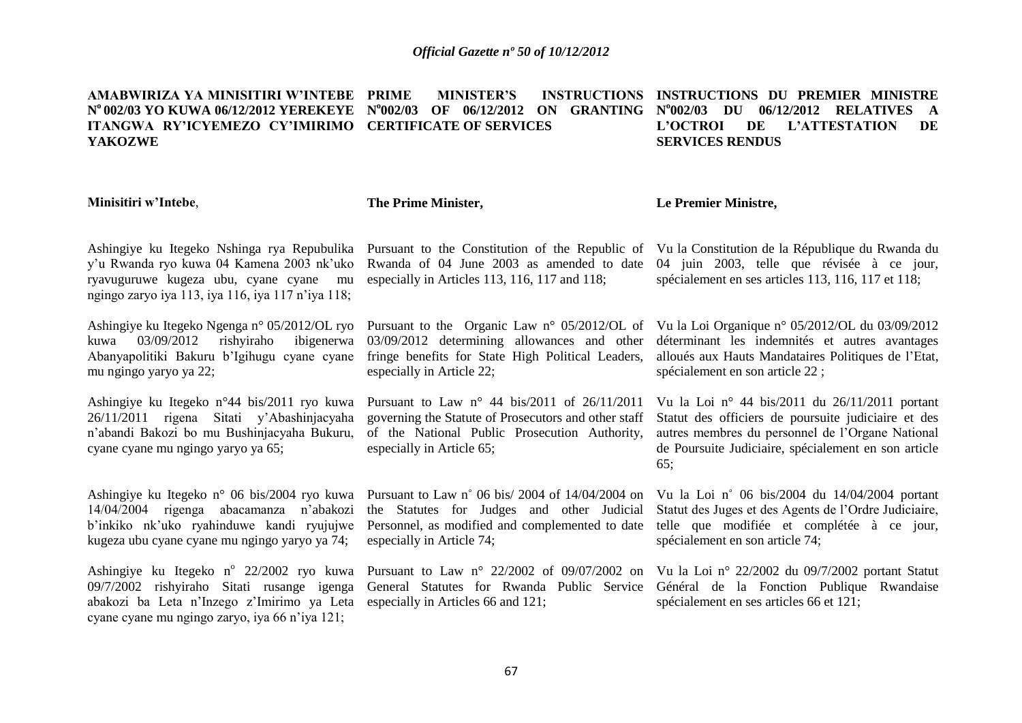#### **AMABWIRIZA YA MINISITIRI W'INTEBE N <sup>o</sup>002/03 YO KUWA 06/12/2012 YEREKEYE N o 002/03 OF 06/12/2012 ON GRANTING N o 002/03 DU 06/12/2012 RELATIVES A ITANGWA RY'ICYEMEZO CY'IMIRIMO CERTIFICATE OF SERVICES YAKOZWE PRIME MINISTER'S INSTRUCTIONS INSTRUCTIONS DU PREMIER MINISTRE L'OCTROI DE L'ATTESTATION DE SERVICES RENDUS**

#### **Minisitiri w'Intebe**,

**The Prime Minister,**

#### **Le Premier Ministre,**

Ashingiye ku Itegeko Nshinga rya Repubulika y'u Rwanda ryo kuwa 04 Kamena 2003 nk'uko ryavuguruwe kugeza ubu, cyane cyane mu ngingo zaryo iya 113, iya 116, iya 117 n'iya 118;

Ashingiye ku Itegeko Ngenga n° 05/2012/OL ryo kuwa 03/09/2012 rishyiraho ibigenerwa Abanyapolitiki Bakuru b'Igihugu cyane cyane mu ngingo yaryo ya 22;

Ashingiye ku Itegeko n°44 bis/2011 ryo kuwa 26/11/2011 rigena Sitati y'Abashinjacyaha n'abandi Bakozi bo mu Bushinjacyaha Bukuru, cyane cyane mu ngingo yaryo ya 65;

Ashingiye ku Itegeko n° 06 bis/2004 ryo kuwa 14/04/2004 rigenga abacamanza n'abakozi b'inkiko nk'uko ryahinduwe kandi ryujujwe kugeza ubu cyane cyane mu ngingo yaryo ya 74;

Ashingiye ku Itegeko nº 22/2002 ryo kuwa 09/7/2002 rishyiraho Sitati rusange igenga abakozi ba Leta n'Inzego z'Imirimo ya Leta especially in Articles 66 and 121; cyane cyane mu ngingo zaryo, iya 66 n'iya 121;

Rwanda of 04 June 2003 as amended to date especially in Articles 113, 116, 117 and 118;

03/09/2012 determining allowances and other fringe benefits for State High Political Leaders, especially in Article 22;

Pursuant to Law n° 44 bis/2011 of 26/11/2011 governing the Statute of Prosecutors and other staff of the National Public Prosecution Authority, especially in Article 65;

Pursuant to Law n˚ 06 bis/ 2004 of 14/04/2004 on the Statutes for Judges and other Judicial Personnel, as modified and complemented to date especially in Article 74;

Pursuant to the Constitution of the Republic of Vu la Constitution de la République du Rwanda du 04 juin 2003, telle que révisée à ce jour, spécialement en ses articles 113, 116, 117 et 118;

Pursuant to the Organic Law n° 05/2012/OL of Vu la Loi Organique n° 05/2012/OL du 03/09/2012 déterminant les indemnités et autres avantages alloués aux Hauts Mandataires Politiques de l'Etat, spécialement en son article 22 ;

> Vu la Loi n° 44 bis/2011 du 26/11/2011 portant Statut des officiers de poursuite judiciaire et des autres membres du personnel de l'Organe National de Poursuite Judiciaire, spécialement en son article 65;

> Vu la Loi n˚ 06 bis/2004 du 14/04/2004 portant Statut des Juges et des Agents de l'Ordre Judiciaire, telle que modifiée et complétée à ce jour, spécialement en son article 74;

Pursuant to Law n° 22/2002 of 09/07/2002 on Vu la Loi n° 22/2002 du 09/7/2002 portant Statut General Statutes for Rwanda Public Service Général de la Fonction Publique Rwandaise spécialement en ses articles 66 et 121;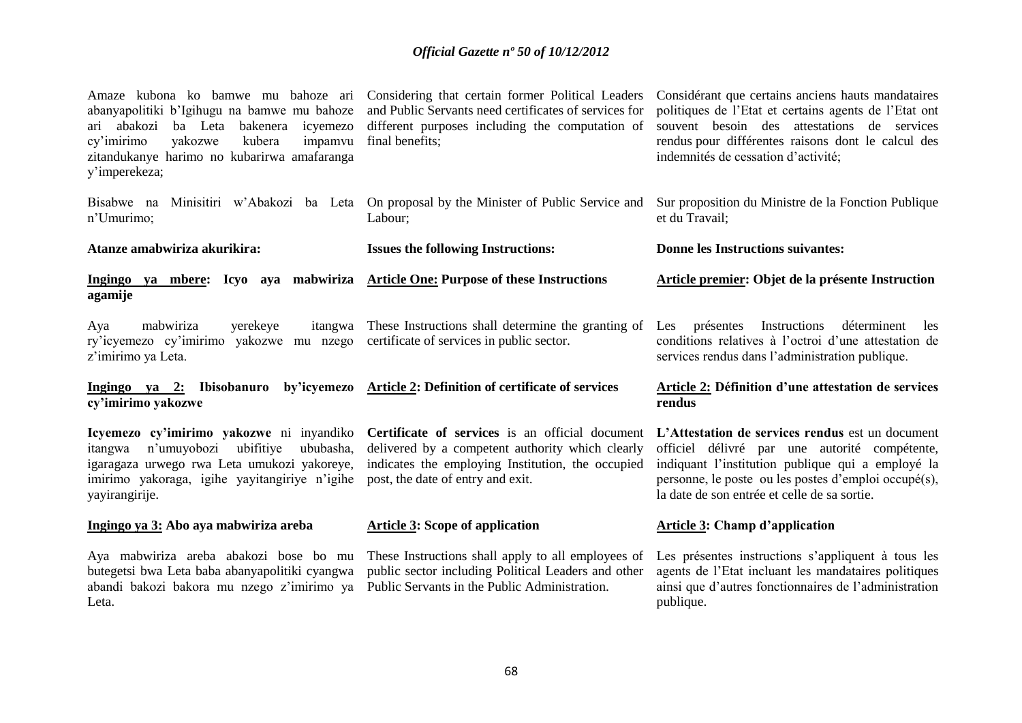| Amaze kubona ko bamwe mu bahoze ari<br>abanyapolitiki b'Igihugu na bamwe mu bahoze<br>abakozi<br>ba Leta<br>bakenera<br>icyemezo<br>arı —<br>yakozwe<br>kubera<br>impamvu<br>cy'imirimo<br>zitandukanye harimo no kubarirwa amafaranga<br>y'imperekeza; | Considering that certain former Political Leaders<br>and Public Servants need certificates of services for<br>different purposes including the computation of<br>final benefits;              | Considérant que certains anciens hauts mandataires<br>politiques de l'Etat et certains agents de l'Etat ont<br>souvent besoin des attestations de services<br>rendus pour différentes raisons dont le calcul des<br>indemnités de cessation d'activité;        |
|---------------------------------------------------------------------------------------------------------------------------------------------------------------------------------------------------------------------------------------------------------|-----------------------------------------------------------------------------------------------------------------------------------------------------------------------------------------------|----------------------------------------------------------------------------------------------------------------------------------------------------------------------------------------------------------------------------------------------------------------|
| Bisabwe na<br>Minisitiri w'Abakozi ba Leta<br>n'Umurimo;                                                                                                                                                                                                | On proposal by the Minister of Public Service and<br>Labour;                                                                                                                                  | Sur proposition du Ministre de la Fonction Publique<br>et du Travail;                                                                                                                                                                                          |
| Atanze amabwiriza akurikira:                                                                                                                                                                                                                            | <b>Issues the following Instructions:</b>                                                                                                                                                     | <b>Donne les Instructions suivantes:</b>                                                                                                                                                                                                                       |
| Ingingo ya mbere: Icyo aya mabwiriza<br>agamije                                                                                                                                                                                                         | <b>Article One: Purpose of these Instructions</b>                                                                                                                                             | Article premier: Objet de la présente Instruction                                                                                                                                                                                                              |
| mabwiriza<br>yerekeye<br>itangwa<br>Aya<br>ry'icyemezo cy'imirimo<br>yakozwe mu nzego<br>z'imirimo ya Leta.                                                                                                                                             | These Instructions shall determine the granting of<br>certificate of services in public sector.                                                                                               | Instructions<br>Les<br>présentes<br>déterminent<br>les<br>conditions relatives à l'octroi d'une attestation de<br>services rendus dans l'administration publique.                                                                                              |
| by'icyemezo<br>Ingingo ya 2:<br>Ibisobanuro<br>cy'imirimo yakozwe                                                                                                                                                                                       | Article 2: Definition of certificate of services                                                                                                                                              | <b>Article 2: Définition d'une attestation de services</b><br>rendus                                                                                                                                                                                           |
| Icyemezo cy'imirimo yakozwe ni inyandiko<br>n'umuyobozi ubifitiye<br>ububasha,<br>itangwa<br>igaragaza urwego rwa Leta umukozi yakoreye,<br>imirimo yakoraga, igihe yayitangiriye n'igihe<br>yayirangirije.                                             | Certificate of services is an official document<br>delivered by a competent authority which clearly<br>indicates the employing Institution, the occupied<br>post, the date of entry and exit. | L'Attestation de services rendus est un document<br>officiel délivré par une autorité compétente,<br>indiquant l'institution publique qui a employé la<br>personne, le poste ou les postes d'emploi occupé(s),<br>la date de son entrée et celle de sa sortie. |
| Ingingo ya 3: Abo aya mabwiriza areba                                                                                                                                                                                                                   | <b>Article 3: Scope of application</b>                                                                                                                                                        | <b>Article 3: Champ d'application</b>                                                                                                                                                                                                                          |
| Aya mabwiriza areba abakozi bose bo mu<br>butegetsi bwa Leta baba abanyapolitiki cyangwa<br>abandi bakozi bakora mu nzego z'imirimo ya<br>Leta.                                                                                                         | These Instructions shall apply to all employees of<br>public sector including Political Leaders and other<br>Public Servants in the Public Administration.                                    | Les présentes instructions s'appliquent à tous les<br>agents de l'Etat incluant les mandataires politiques<br>ainsi que d'autres fonctionnaires de l'administration<br>publique.                                                                               |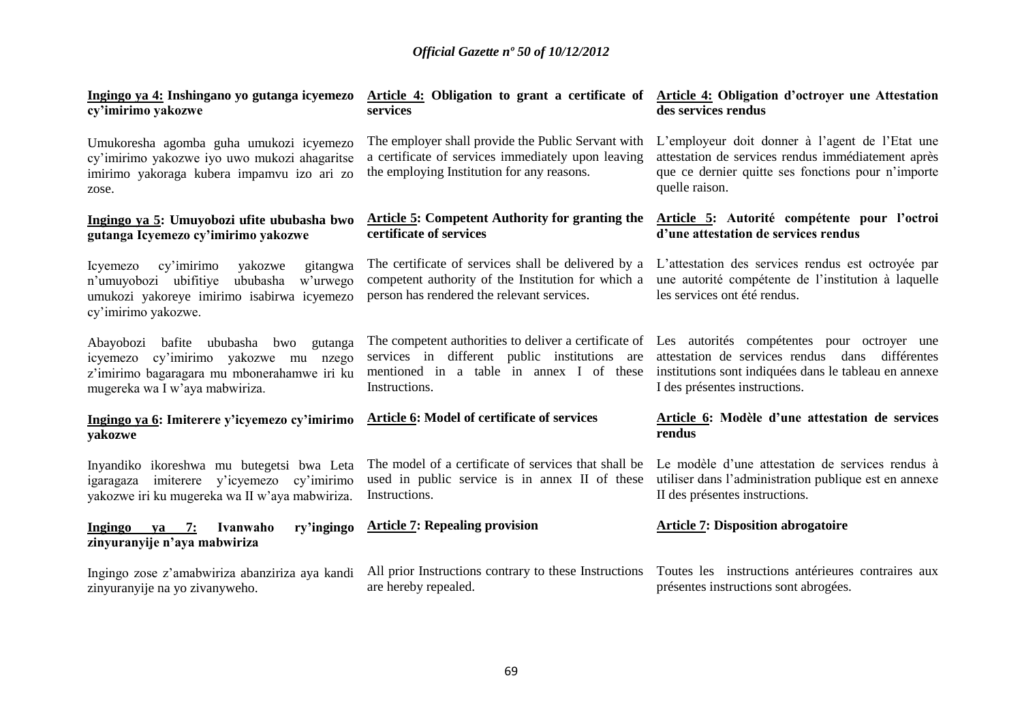| Ingingo ya 4: Inshingano yo gutanga icyemezo<br>cy'imirimo yakozwe                                                                                                   | services                                                                                                                                                | Article 4: Obligation to grant a certificate of Article 4: Obligation d'octroyer une Attestation<br>des services rendus                                                                                                                        |
|----------------------------------------------------------------------------------------------------------------------------------------------------------------------|---------------------------------------------------------------------------------------------------------------------------------------------------------|------------------------------------------------------------------------------------------------------------------------------------------------------------------------------------------------------------------------------------------------|
| Umukoresha agomba guha umukozi icyemezo<br>cy'imirimo yakozwe iyo uwo mukozi ahagaritse<br>imirimo yakoraga kubera impamvu izo ari zo<br>zose.                       | The employer shall provide the Public Servant with<br>a certificate of services immediately upon leaving<br>the employing Institution for any reasons.  | L'employeur doit donner à l'agent de l'Etat une<br>attestation de services rendus immédiatement après<br>que ce dernier quitte ses fonctions pour n'importe<br>quelle raison.                                                                  |
| Ingingo ya 5: Umuyobozi ufite ububasha bwo<br>gutanga Icyemezo cy'imirimo yakozwe                                                                                    | <b>Article 5: Competent Authority for granting the</b><br>certificate of services                                                                       | Article 5: Autorité compétente pour l'octroi<br>d'une attestation de services rendus                                                                                                                                                           |
| cy'imirimo<br>Icyemezo<br>yakozwe<br>gitangwa<br>n'umuyobozi ubifitiye<br>ububasha<br>w'urwego<br>umukozi yakoreye imirimo isabirwa icyemezo<br>cy'imirimo yakozwe.  | The certificate of services shall be delivered by a<br>competent authority of the Institution for which a<br>person has rendered the relevant services. | L'attestation des services rendus est octroyée par<br>une autorité compétente de l'institution à laquelle<br>les services ont été rendus.                                                                                                      |
| Abayobozi bafite ububasha bwo<br>gutanga<br>cy'imirimo yakozwe mu nzego<br>icyemezo<br>z'imirimo bagaragara mu mbonerahamwe iri ku<br>mugereka wa I w'aya mabwiriza. | services in different public institutions are<br>mentioned in a table in annex I of these<br>Instructions.                                              | The competent authorities to deliver a certificate of Les autorités compétentes pour octroyer une<br>attestation de services rendus dans différentes<br>institutions sont indiquées dans le tableau en annexe<br>I des présentes instructions. |
| Ingingo ya 6: Imiterere y'icyemezo cy'imirimo<br>yakozwe                                                                                                             | Article 6: Model of certificate of services                                                                                                             | Article 6: Modèle d'une attestation de services<br>rendus                                                                                                                                                                                      |
| Inyandiko ikoreshwa mu butegetsi bwa Leta<br>igaragaza imiterere y'icyemezo<br>cy'imirimo<br>yakozwe iri ku mugereka wa II w'aya mabwiriza.                          | The model of a certificate of services that shall be<br>used in public service is in annex II of these<br>Instructions.                                 | Le modèle d'une attestation de services rendus à<br>utiliser dans l'administration publique est en annexe<br>II des présentes instructions.                                                                                                    |
| Ingingo<br>ya 7:<br>Ivanwaho<br>ry'ingingo<br>zinyuranyije n'aya mabwiriza                                                                                           | <b>Article 7: Repealing provision</b>                                                                                                                   | <b>Article 7: Disposition abrogatoire</b>                                                                                                                                                                                                      |
| Ingingo zose z'amabwiriza abanziriza aya kandi<br>zinyuranyije na yo zivanyweho.                                                                                     | All prior Instructions contrary to these Instructions<br>are hereby repealed.                                                                           | Toutes les instructions antérieures contraires aux<br>présentes instructions sont abrogées.                                                                                                                                                    |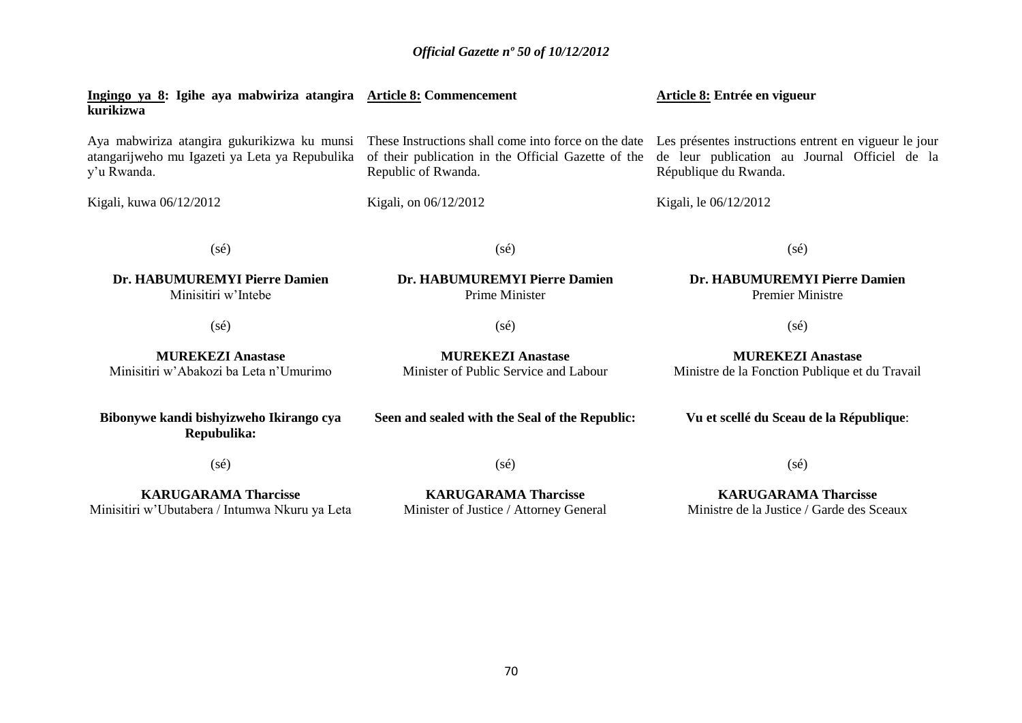| Ingingo ya 8: Igihe aya mabwiriza atangira Article 8: Commencement<br>kurikizwa                              |                                                                                                                                    | Article 8: Entrée en vigueur                                                                                                    |
|--------------------------------------------------------------------------------------------------------------|------------------------------------------------------------------------------------------------------------------------------------|---------------------------------------------------------------------------------------------------------------------------------|
| Aya mabwiriza atangira gukurikizwa ku munsi<br>atangarijweho mu Igazeti ya Leta ya Repubulika<br>y'u Rwanda. | These Instructions shall come into force on the date<br>of their publication in the Official Gazette of the<br>Republic of Rwanda. | Les présentes instructions entrent en vigueur le jour<br>de leur publication au Journal Officiel de la<br>République du Rwanda. |
| Kigali, kuwa 06/12/2012                                                                                      | Kigali, on 06/12/2012                                                                                                              | Kigali, le 06/12/2012                                                                                                           |
| $(s\acute{e})$                                                                                               | $(s\acute{e})$                                                                                                                     | $(s\acute{e})$                                                                                                                  |
| Dr. HABUMUREMYI Pierre Damien<br>Minisitiri w'Intebe                                                         | Dr. HABUMUREMYI Pierre Damien<br>Prime Minister                                                                                    | Dr. HABUMUREMYI Pierre Damien<br><b>Premier Ministre</b>                                                                        |
| $(s\acute{e})$                                                                                               | $(s\acute{e})$                                                                                                                     | $(s\acute{e})$                                                                                                                  |
| <b>MUREKEZI Anastase</b><br>Minisitiri w'Abakozi ba Leta n'Umurimo                                           | <b>MUREKEZI Anastase</b><br>Minister of Public Service and Labour                                                                  | <b>MUREKEZI Anastase</b><br>Ministre de la Fonction Publique et du Travail                                                      |
| Bibonywe kandi bishyizweho Ikirango cya<br>Repubulika:                                                       | Seen and sealed with the Seal of the Republic:                                                                                     | Vu et scellé du Sceau de la République:                                                                                         |
| $(s\acute{e})$                                                                                               | $(s\acute{e})$                                                                                                                     | $(s\acute{e})$                                                                                                                  |
| <b>KARUGARAMA Tharcisse</b><br>Minisitiri w'Ubutabera / Intumwa Nkuru ya Leta                                | <b>KARUGARAMA Tharcisse</b><br>Minister of Justice / Attorney General                                                              | <b>KARUGARAMA Tharcisse</b><br>Ministre de la Justice / Garde des Sceaux                                                        |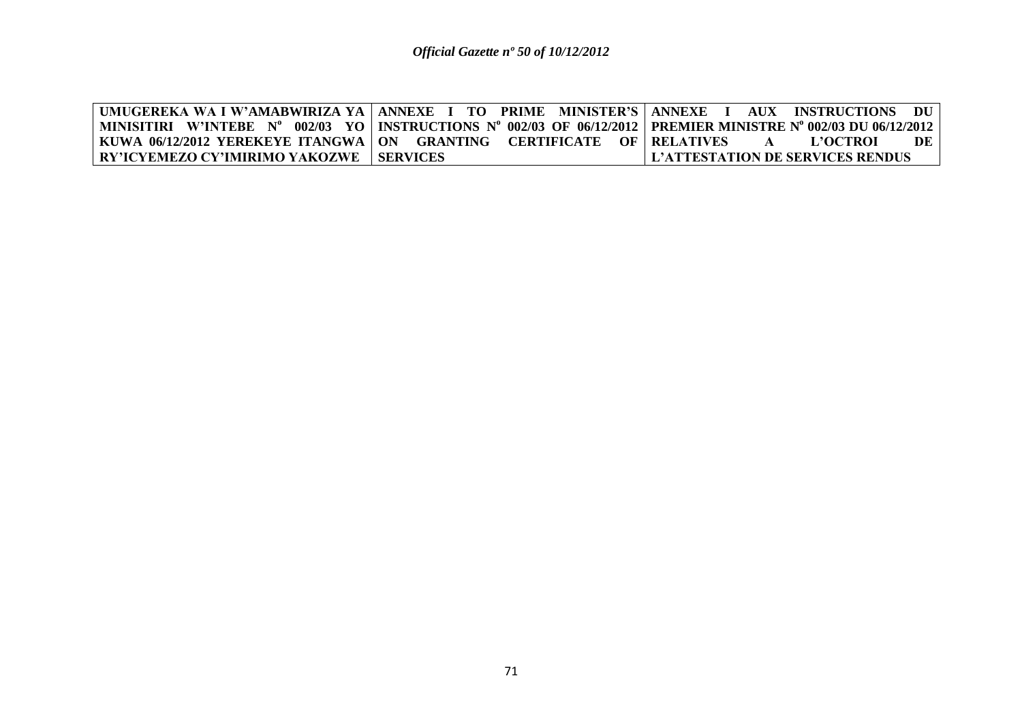|                                                                           | UMUGEREKA WA I W'AMABWIRIZA YA   ANNEXE I TO PRIME MINISTER'S   ANNEXE I AUX INSTRUCTIONS DU                       |
|---------------------------------------------------------------------------|--------------------------------------------------------------------------------------------------------------------|
|                                                                           | MINISITIRI W'INTEBE N° 002/03 YO   INSTRUCTIONS N° 002/03 OF 06/12/2012   PREMIER MINISTRE N° 002/03 DU 06/12/2012 |
| KUWA 06/12/2012 YEREKEYE ITANGWA   ON GRANTING CERTIFICATE OF   RELATIVES | DE<br>- L'OCTROL<br>$\mathbf{A}$                                                                                   |
| <b>RY'ICYEMEZO CY'IMIRIMO YAKOZWE   SERVICES</b>                          | LL'ATTESTATION DE SERVICES RENDUS-                                                                                 |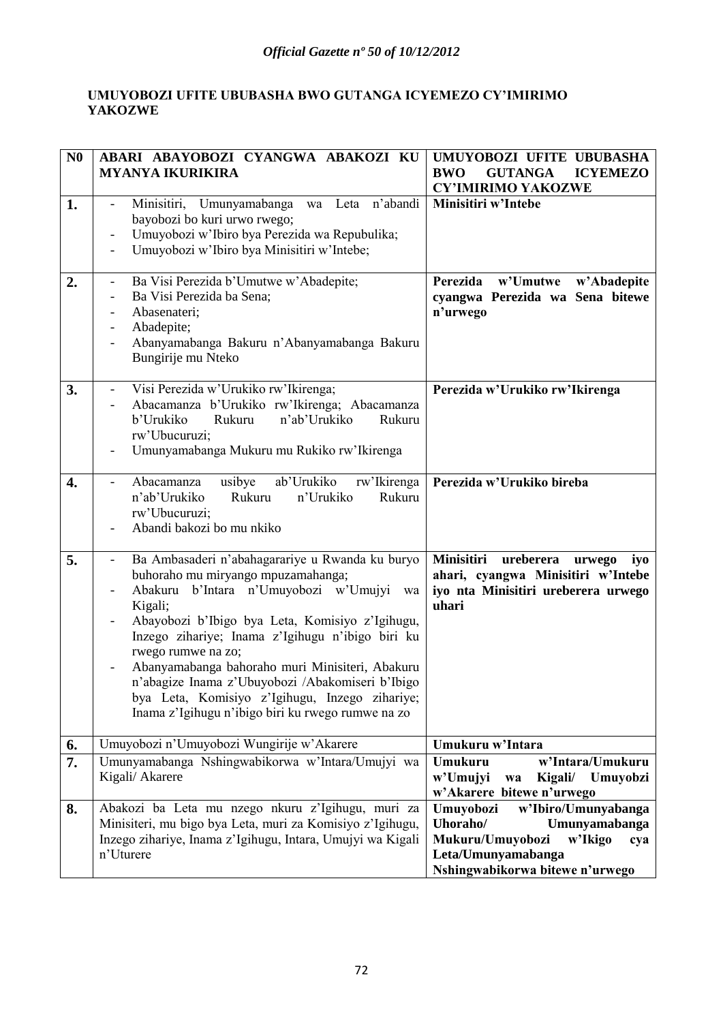### **UMUYOBOZI UFITE UBUBASHA BWO GUTANGA ICYEMEZO CY'IMIRIMO YAKOZWE**

| N <sub>0</sub>   | ABARI ABAYOBOZI CYANGWA ABAKOZI KU<br><b>MYANYA IKURIKIRA</b>                                                                                                                                                                                                                                                                                                                                                                                                                                 | UMUYOBOZI UFITE UBUBASHA<br><b>BWO</b><br><b>GUTANGA</b><br><b>ICYEMEZO</b><br><b>CY'IMIRIMO YAKOZWE</b>                                                     |
|------------------|-----------------------------------------------------------------------------------------------------------------------------------------------------------------------------------------------------------------------------------------------------------------------------------------------------------------------------------------------------------------------------------------------------------------------------------------------------------------------------------------------|--------------------------------------------------------------------------------------------------------------------------------------------------------------|
| 1.               | n'abandi<br>Minisitiri, Umunyamabanga<br>Leta<br>wa<br>$\overline{\phantom{a}}$<br>bayobozi bo kuri urwo rwego;<br>Umuyobozi w'Ibiro bya Perezida wa Repubulika;<br>Umuyobozi w'Ibiro bya Minisitiri w'Intebe;                                                                                                                                                                                                                                                                                | Minisitiri w'Intebe                                                                                                                                          |
| 2.               | Ba Visi Perezida b'Umutwe w'Abadepite;<br>Ba Visi Perezida ba Sena;<br>Abasenateri;<br>Abadepite;<br>Abanyamabanga Bakuru n'Abanyamabanga Bakuru<br>Bungirije mu Nteko                                                                                                                                                                                                                                                                                                                        | Perezida<br>w'Umutwe<br>w'Abadepite<br>cyangwa Perezida wa Sena bitewe<br>n'urwego                                                                           |
| 3.               | Visi Perezida w'Urukiko rw'Ikirenga;<br>Abacamanza b'Urukiko rw'Ikirenga; Abacamanza<br>b'Urukiko<br>Rukuru<br>n'ab'Urukiko<br>Rukuru<br>rw'Ubucuruzi;<br>Umunyamabanga Mukuru mu Rukiko rw'Ikirenga                                                                                                                                                                                                                                                                                          | Perezida w'Urukiko rw'Ikirenga                                                                                                                               |
| 4.               | ab'Urukiko<br>Abacamanza<br>usibye<br>rw'Ikirenga<br>$\overline{\phantom{a}}$<br>n'ab'Urukiko<br>Rukuru<br>n'Urukiko<br>Rukuru<br>rw'Ubucuruzi;<br>Abandi bakozi bo mu nkiko                                                                                                                                                                                                                                                                                                                  | Perezida w'Urukiko bireba                                                                                                                                    |
| 5.               | Ba Ambasaderi n'abahagarariye u Rwanda ku buryo<br>buhoraho mu miryango mpuzamahanga;<br>b'Intara n'Umuyobozi w'Umujyi<br>Abakuru<br>wa<br>Kigali;<br>Abayobozi b'Ibigo bya Leta, Komisiyo z'Igihugu,<br>Inzego zihariye; Inama z'Igihugu n'ibigo biri ku<br>rwego rumwe na zo;<br>Abanyamabanga bahoraho muri Minisiteri, Abakuru<br>n'abagize Inama z'Ubuyobozi /Abakomiseri b'Ibigo<br>bya Leta, Komisiyo z'Igihugu, Inzego zihariye;<br>Inama z'Igihugu n'ibigo biri ku rwego rumwe na zo | Minisitiri<br>ureberera<br>urwego<br>iyo<br>ahari, cyangwa Minisitiri w'Intebe<br>iyo nta Minisitiri ureberera urwego<br>uhari                               |
| 6.               | Umuyobozi n'Umuyobozi Wungirije w'Akarere                                                                                                                                                                                                                                                                                                                                                                                                                                                     | Umukuru w'Intara                                                                                                                                             |
| $\overline{7}$ . | Umunyamabanga Nshingwabikorwa w'Intara/Umujyi wa<br>Kigali/ Akarere                                                                                                                                                                                                                                                                                                                                                                                                                           | w'Intara/Umukuru<br>Umukuru<br>w'Umujyi<br>Kigali/<br>Umuyobzi<br>wa<br>w'Akarere bitewe n'urwego                                                            |
| 8.               | Abakozi ba Leta mu nzego nkuru z'Igihugu, muri za<br>Minisiteri, mu bigo bya Leta, muri za Komisiyo z'Igihugu,<br>Inzego zihariye, Inama z'Igihugu, Intara, Umujyi wa Kigali<br>n'Uturere                                                                                                                                                                                                                                                                                                     | w'Ibiro/Umunyabanga<br>Umuyobozi<br>Uhoraho/<br>Umunyamabanga<br>Mukuru/Umuyobozi<br>w'Ikigo<br>cya<br>Leta/Umunyamabanga<br>Nshingwabikorwa bitewe n'urwego |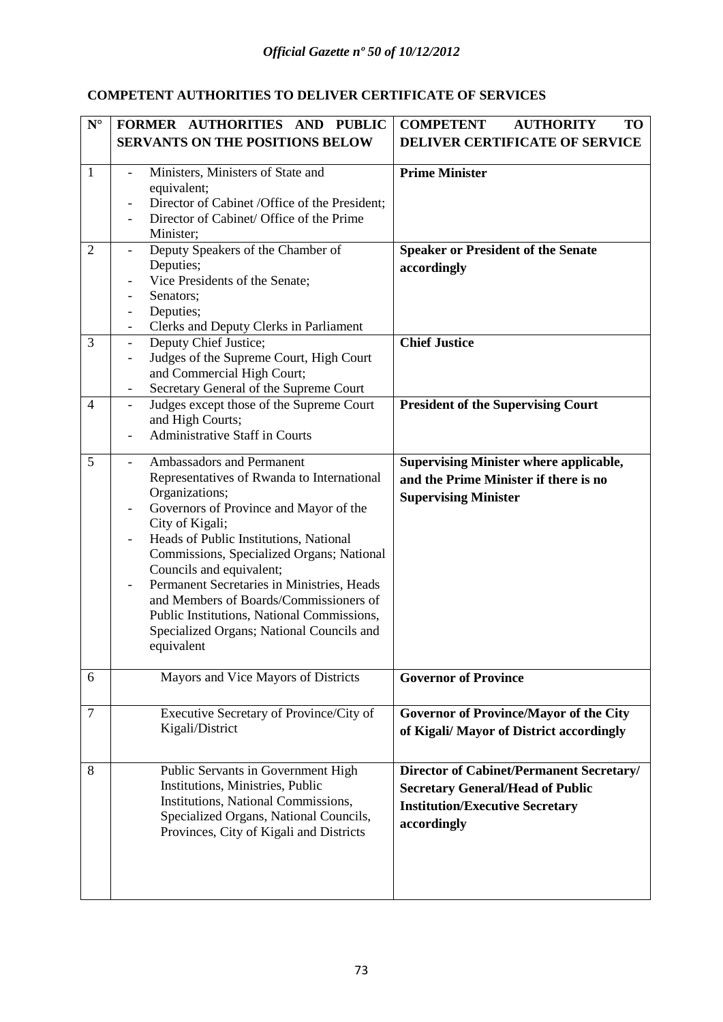#### **COMPETENT AUTHORITIES TO DELIVER CERTIFICATE OF SERVICES**

| $\mathbf{N}^\circ$ | FORMER AUTHORITIES AND PUBLIC                                      | <b>COMPETENT</b><br><b>AUTHORITY</b><br><b>TO</b> |
|--------------------|--------------------------------------------------------------------|---------------------------------------------------|
|                    | <b>SERVANTS ON THE POSITIONS BELOW</b>                             | <b>DELIVER CERTIFICATE OF SERVICE</b>             |
|                    |                                                                    |                                                   |
| 1                  | Ministers, Ministers of State and                                  | <b>Prime Minister</b>                             |
|                    | equivalent;<br>Director of Cabinet /Office of the President;       |                                                   |
|                    | Director of Cabinet/ Office of the Prime                           |                                                   |
|                    | Minister;                                                          |                                                   |
| $\overline{2}$     | Deputy Speakers of the Chamber of                                  | <b>Speaker or President of the Senate</b>         |
|                    | Deputies;                                                          | accordingly                                       |
|                    | Vice Presidents of the Senate;                                     |                                                   |
|                    | Senators;                                                          |                                                   |
|                    | Deputies;                                                          |                                                   |
|                    | Clerks and Deputy Clerks in Parliament                             |                                                   |
| 3                  | Deputy Chief Justice;<br>$\overline{a}$                            | <b>Chief Justice</b>                              |
|                    | Judges of the Supreme Court, High Court                            |                                                   |
|                    | and Commercial High Court;                                         |                                                   |
|                    | Secretary General of the Supreme Court                             | <b>President of the Supervising Court</b>         |
| $\overline{4}$     | Judges except those of the Supreme Court<br>and High Courts;       |                                                   |
|                    | <b>Administrative Staff in Courts</b>                              |                                                   |
|                    |                                                                    |                                                   |
| 5                  | Ambassadors and Permanent                                          | <b>Supervising Minister where applicable,</b>     |
|                    | Representatives of Rwanda to International                         | and the Prime Minister if there is no             |
|                    | Organizations;                                                     | <b>Supervising Minister</b>                       |
|                    | Governors of Province and Mayor of the<br>$\overline{\phantom{0}}$ |                                                   |
|                    | City of Kigali;                                                    |                                                   |
|                    | Heads of Public Institutions, National                             |                                                   |
|                    | Commissions, Specialized Organs; National                          |                                                   |
|                    | Councils and equivalent;                                           |                                                   |
|                    | Permanent Secretaries in Ministries, Heads                         |                                                   |
|                    | and Members of Boards/Commissioners of                             |                                                   |
|                    | Public Institutions, National Commissions,                         |                                                   |
|                    | Specialized Organs; National Councils and<br>equivalent            |                                                   |
|                    |                                                                    |                                                   |
| 6                  | Mayors and Vice Mayors of Districts                                | <b>Governor of Province</b>                       |
|                    |                                                                    |                                                   |
| $\tau$             | Executive Secretary of Province/City of                            | <b>Governor of Province/Mayor of the City</b>     |
|                    | Kigali/District                                                    | of Kigali/ Mayor of District accordingly          |
|                    |                                                                    |                                                   |
| 8                  | Public Servants in Government High                                 | <b>Director of Cabinet/Permanent Secretary/</b>   |
|                    | Institutions, Ministries, Public                                   | <b>Secretary General/Head of Public</b>           |
|                    | Institutions, National Commissions,                                | <b>Institution/Executive Secretary</b>            |
|                    | Specialized Organs, National Councils,                             |                                                   |
|                    | Provinces, City of Kigali and Districts                            | accordingly                                       |
|                    |                                                                    |                                                   |
|                    |                                                                    |                                                   |
|                    |                                                                    |                                                   |
|                    |                                                                    |                                                   |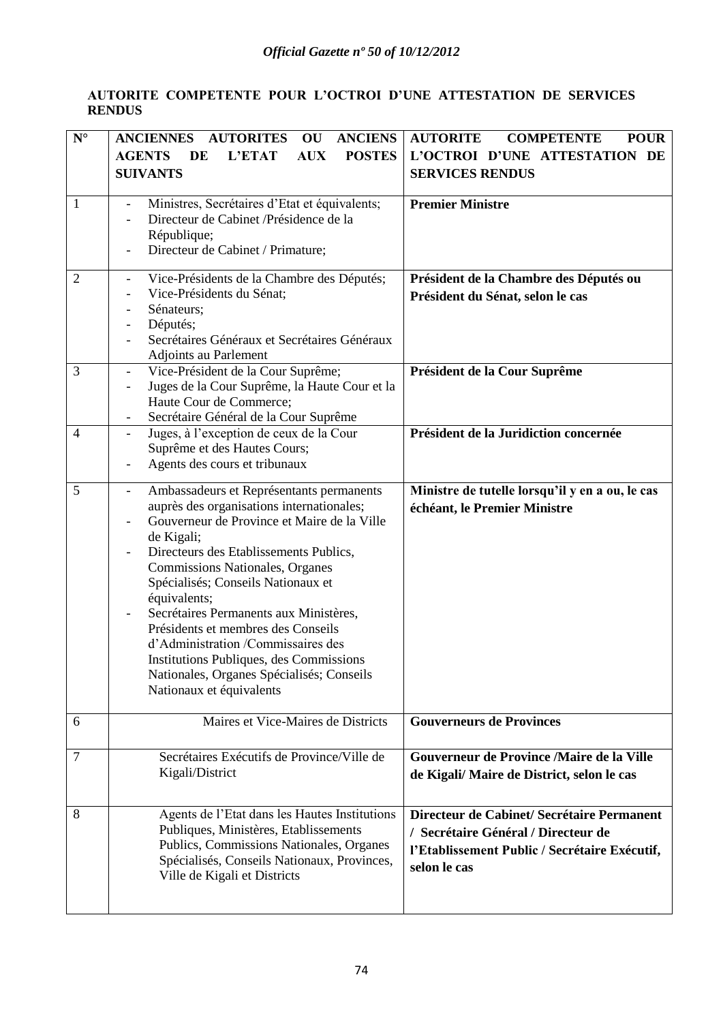#### **AUTORITE COMPETENTE POUR L'OCTROI D'UNE ATTESTATION DE SERVICES RENDUS**

| $\mathbf{N}^\circ$  | <b>AUTORITES</b><br><b>ANCIENS</b><br><b>ANCIENNES</b><br>OU                                                                                                                                                                                                                             | <b>AUTORITE</b><br><b>COMPETENTE</b><br><b>POUR</b>                                                                       |
|---------------------|------------------------------------------------------------------------------------------------------------------------------------------------------------------------------------------------------------------------------------------------------------------------------------------|---------------------------------------------------------------------------------------------------------------------------|
|                     | <b>POSTES</b><br><b>AGENTS</b><br>L'ETAT<br>DE<br><b>AUX</b>                                                                                                                                                                                                                             | L'OCTROI D'UNE ATTESTATION DE                                                                                             |
|                     | <b>SUIVANTS</b>                                                                                                                                                                                                                                                                          | <b>SERVICES RENDUS</b>                                                                                                    |
|                     |                                                                                                                                                                                                                                                                                          |                                                                                                                           |
| 1                   | Ministres, Secrétaires d'Etat et équivalents;<br>$\blacksquare$                                                                                                                                                                                                                          | <b>Premier Ministre</b>                                                                                                   |
|                     | Directeur de Cabinet /Présidence de la                                                                                                                                                                                                                                                   |                                                                                                                           |
|                     | République;                                                                                                                                                                                                                                                                              |                                                                                                                           |
|                     | Directeur de Cabinet / Primature;                                                                                                                                                                                                                                                        |                                                                                                                           |
| $\overline{2}$      | Vice-Présidents de la Chambre des Députés;                                                                                                                                                                                                                                               | Président de la Chambre des Députés ou                                                                                    |
|                     | Vice-Présidents du Sénat;                                                                                                                                                                                                                                                                | Président du Sénat, selon le cas                                                                                          |
|                     | Sénateurs;<br>$\overline{\phantom{a}}$                                                                                                                                                                                                                                                   |                                                                                                                           |
|                     | Députés;<br>$\overline{\phantom{a}}$                                                                                                                                                                                                                                                     |                                                                                                                           |
|                     | Secrétaires Généraux et Secrétaires Généraux                                                                                                                                                                                                                                             |                                                                                                                           |
|                     | Adjoints au Parlement                                                                                                                                                                                                                                                                    |                                                                                                                           |
| 3                   | Vice-Président de la Cour Suprême;<br>$\overline{\phantom{a}}$                                                                                                                                                                                                                           | Président de la Cour Suprême                                                                                              |
|                     | Juges de la Cour Suprême, la Haute Cour et la<br>$\overline{\phantom{a}}$                                                                                                                                                                                                                |                                                                                                                           |
|                     | Haute Cour de Commerce;                                                                                                                                                                                                                                                                  |                                                                                                                           |
| $\overline{4}$      | Secrétaire Général de la Cour Suprême<br>Juges, à l'exception de ceux de la Cour                                                                                                                                                                                                         | Président de la Juridiction concernée                                                                                     |
|                     | Suprême et des Hautes Cours;                                                                                                                                                                                                                                                             |                                                                                                                           |
|                     | Agents des cours et tribunaux                                                                                                                                                                                                                                                            |                                                                                                                           |
|                     |                                                                                                                                                                                                                                                                                          |                                                                                                                           |
| 5                   | Ambassadeurs et Représentants permanents<br>$\overline{\phantom{a}}$                                                                                                                                                                                                                     | Ministre de tutelle lorsqu'il y en a ou, le cas                                                                           |
|                     | auprès des organisations internationales;                                                                                                                                                                                                                                                | échéant, le Premier Ministre                                                                                              |
|                     | Gouverneur de Province et Maire de la Ville                                                                                                                                                                                                                                              |                                                                                                                           |
|                     | de Kigali;<br>Directeurs des Etablissements Publics,                                                                                                                                                                                                                                     |                                                                                                                           |
|                     | Commissions Nationales, Organes                                                                                                                                                                                                                                                          |                                                                                                                           |
|                     | Spécialisés; Conseils Nationaux et                                                                                                                                                                                                                                                       |                                                                                                                           |
|                     |                                                                                                                                                                                                                                                                                          |                                                                                                                           |
|                     |                                                                                                                                                                                                                                                                                          |                                                                                                                           |
|                     | Présidents et membres des Conseils                                                                                                                                                                                                                                                       |                                                                                                                           |
|                     | d'Administration /Commissaires des                                                                                                                                                                                                                                                       |                                                                                                                           |
|                     | Institutions Publiques, des Commissions                                                                                                                                                                                                                                                  |                                                                                                                           |
|                     | Nationales, Organes Spécialisés; Conseils                                                                                                                                                                                                                                                |                                                                                                                           |
|                     | Nationaux et équivalents                                                                                                                                                                                                                                                                 |                                                                                                                           |
|                     |                                                                                                                                                                                                                                                                                          |                                                                                                                           |
|                     |                                                                                                                                                                                                                                                                                          |                                                                                                                           |
|                     |                                                                                                                                                                                                                                                                                          |                                                                                                                           |
|                     |                                                                                                                                                                                                                                                                                          |                                                                                                                           |
|                     |                                                                                                                                                                                                                                                                                          |                                                                                                                           |
|                     |                                                                                                                                                                                                                                                                                          |                                                                                                                           |
| 8                   | Agents de l'Etat dans les Hautes Institutions                                                                                                                                                                                                                                            | Directeur de Cabinet/ Secrétaire Permanent                                                                                |
|                     | Publiques, Ministères, Etablissements                                                                                                                                                                                                                                                    | / Secrétaire Général / Directeur de                                                                                       |
|                     |                                                                                                                                                                                                                                                                                          | l'Etablissement Public / Secrétaire Exécutif,                                                                             |
|                     |                                                                                                                                                                                                                                                                                          | selon le cas                                                                                                              |
|                     |                                                                                                                                                                                                                                                                                          |                                                                                                                           |
|                     |                                                                                                                                                                                                                                                                                          |                                                                                                                           |
| 6<br>$\overline{7}$ | équivalents;<br>Secrétaires Permanents aux Ministères,<br>Maires et Vice-Maires de Districts<br>Secrétaires Exécutifs de Province/Ville de<br>Kigali/District<br>Publics, Commissions Nationales, Organes<br>Spécialisés, Conseils Nationaux, Provinces,<br>Ville de Kigali et Districts | <b>Gouverneurs de Provinces</b><br>Gouverneur de Province /Maire de la Ville<br>de Kigali/Maire de District, selon le cas |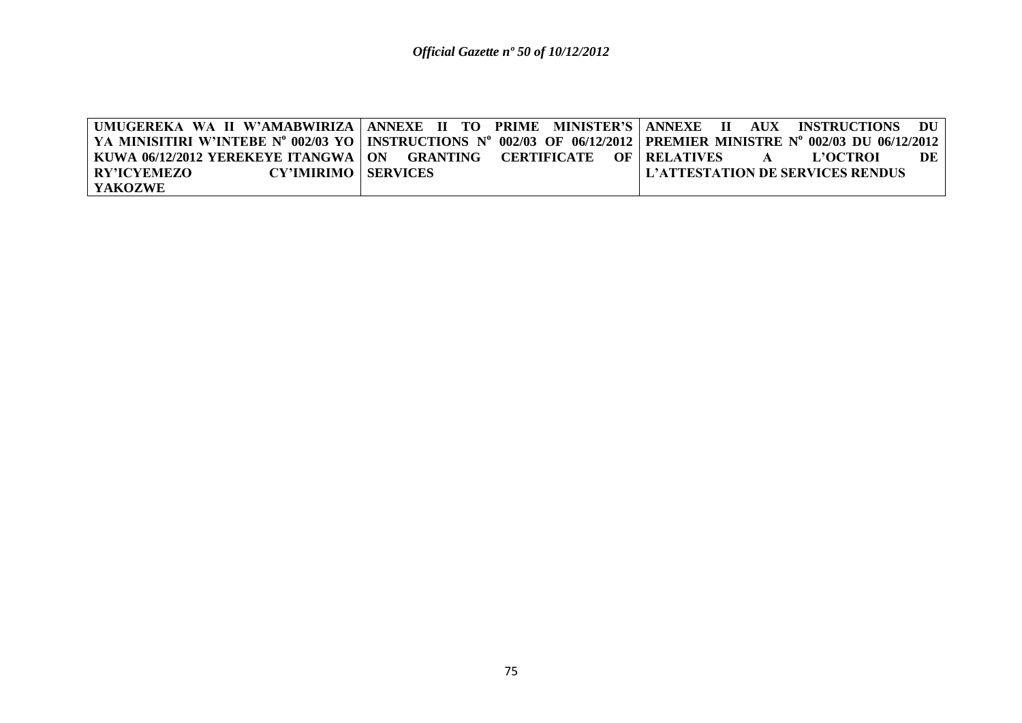|                                             |                                                                           | UMUGEREKA WA II W'AMABWIRIZA   ANNEXE II TO PRIME MINISTER'S   ANNEXE II AUX INSTRUCTIONS DU                          |
|---------------------------------------------|---------------------------------------------------------------------------|-----------------------------------------------------------------------------------------------------------------------|
|                                             |                                                                           | YA MINISITIRI W'INTEBE N° 002/03 YO   INSTRUCTIONS N° 002/03 OF 06/12/2012   PREMIER MINISTRE N° 002/03 DU 06/12/2012 |
|                                             | KUWA 06/12/2012 YEREKEYE ITANGWA   ON GRANTING CERTIFICATE OF   RELATIVES | <b>L'OCTROI</b><br>DE<br>$\mathbf{A}$                                                                                 |
| <b>CY'IMIRIMO   SERVICES</b><br>RY'ICYEMEZO |                                                                           | L'ATTESTATION DE SERVICES RENDUS                                                                                      |
| YAKOZWE                                     |                                                                           |                                                                                                                       |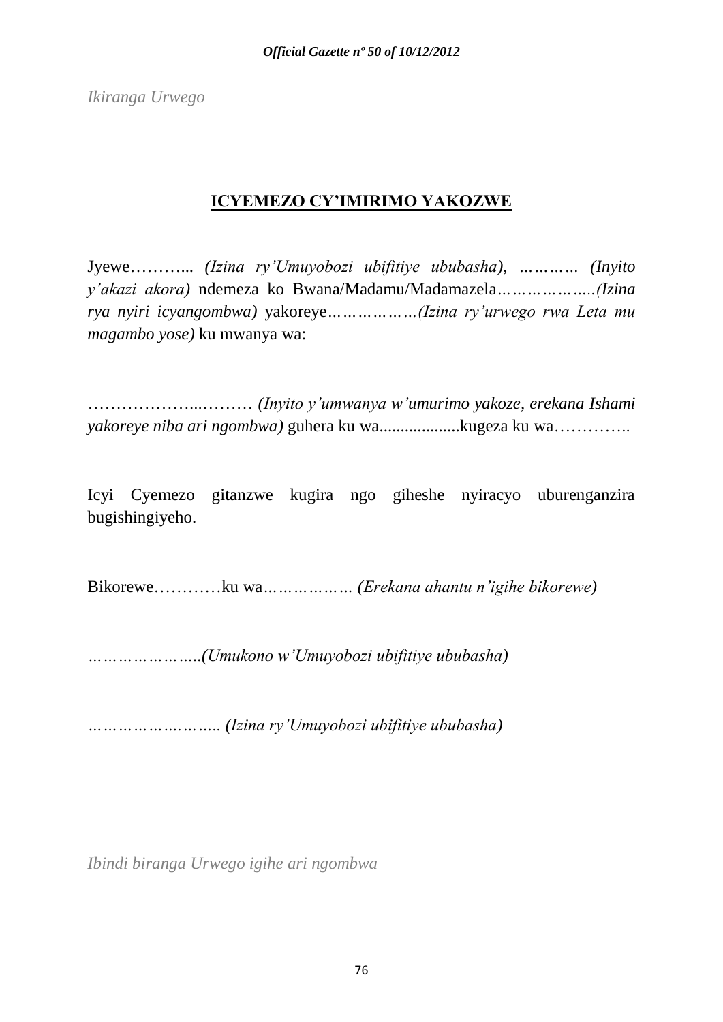*Ikiranga Urwego*

# **ICYEMEZO CY'IMIRIMO YAKOZWE**

Jyewe………... *(Izina ry'Umuyobozi ubifitiye ububasha), ………… (Inyito y'akazi akora)* ndemeza ko Bwana/Madamu/Madamazela*………………..(Izina rya nyiri icyangombwa)* yakoreye*………………(Izina ry'urwego rwa Leta mu magambo yose)* ku mwanya wa:

………………...……… *(Inyito y'umwanya w'umurimo yakoze, erekana Ishami yakoreye niba ari ngombwa)* guhera ku wa...................kugeza ku wa…………..

Icyi Cyemezo gitanzwe kugira ngo giheshe nyiracyo uburenganzira bugishingiyeho.

Bikorewe…………ku wa*……………… (Erekana ahantu n'igihe bikorewe)*

*…………………..(Umukono w'Umuyobozi ubifitiye ububasha)*

*……………….…….. (Izina ry'Umuyobozi ubifitiye ububasha)*

*Ibindi biranga Urwego igihe ari ngombwa*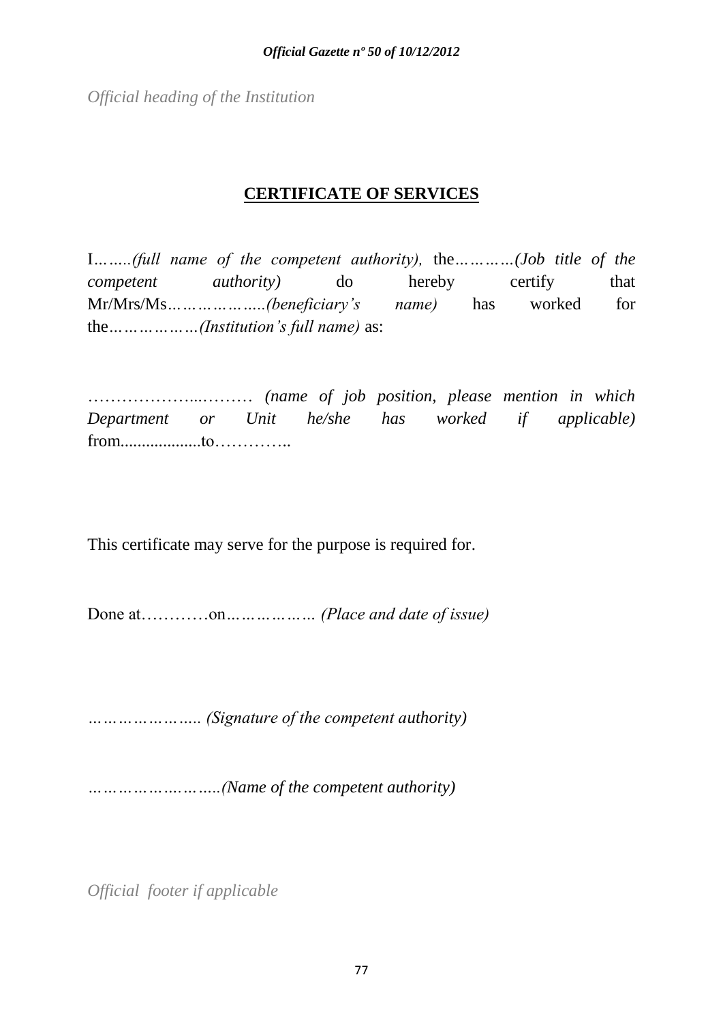*Official heading of the Institution*

## **CERTIFICATE OF SERVICES**

I*……..(full name of the competent authority),* the*…………(Job title of the competent authority*) do hereby certify that Mr/Mrs/Ms*………………..(beneficiary's name)* has worked for the*………………(Institution's full name)* as:

………………...……… *(name of job position, please mention in which Department or Unit he/she has worked if applicable)* from...................to…………..

This certificate may serve for the purpose is required for.

Done at…………on*……………… (Place and date of issue)*

*………………….. (Signature of the competent authority)*

*……………….……..(Name of the competent authority)*

*Official footer if applicable*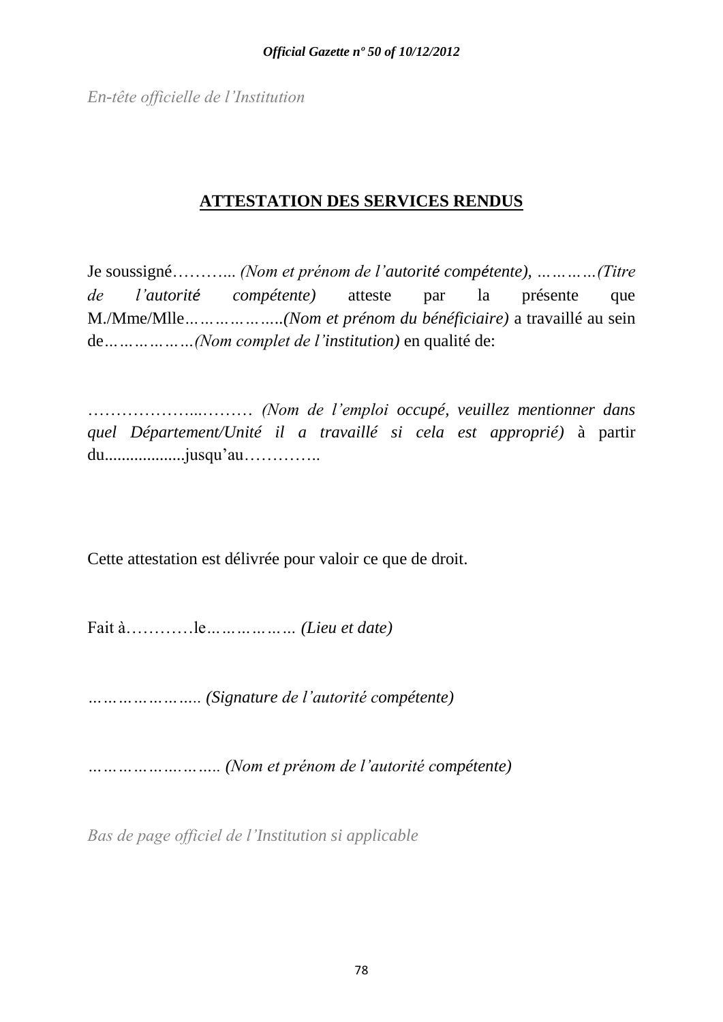*En-tête officielle de l'Institution*

# **ATTESTATION DES SERVICES RENDUS**

Je soussigné………... *(Nom et prénom de l'autorité compétente), …………(Titre de l'autorité compétente)* atteste par la présente que M./Mme/Mlle*………………..(Nom et prénom du bénéficiaire)* a travaillé au sein de*………………(Nom complet de l'institution)* en qualité de:

………………...……… *(Nom de l'emploi occupé, veuillez mentionner dans quel Département/Unité il a travaillé si cela est approprié)* à partir du...................jusqu'au…………..

Cette attestation est délivrée pour valoir ce que de droit.

Fait à…………le*……………… (Lieu et date)*

*………………….. (Signature de l'autorité compétente)*

*……………….…….. (Nom et prénom de l'autorité compétente)*

*Bas de page officiel de l'Institution si applicable*